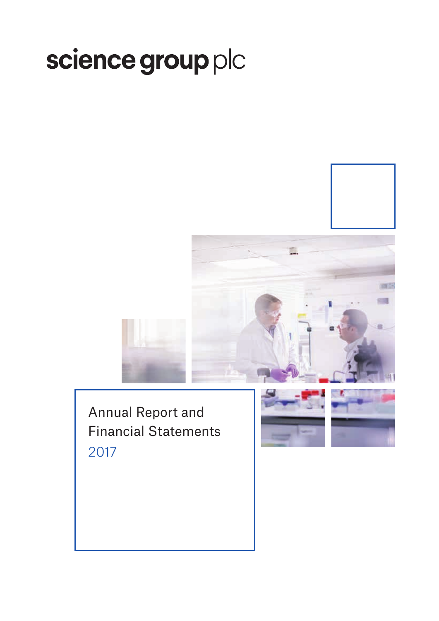# science group plc





Annual Report and Financial Statements 2017

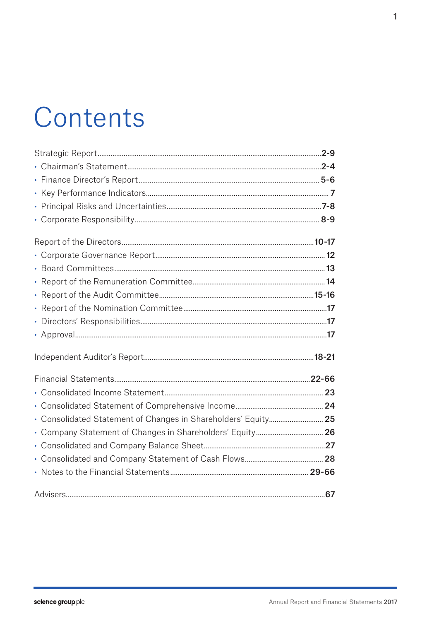# Contents

| • Consolidated Statement of Changes in Shareholders' Equity 25 |  |
|----------------------------------------------------------------|--|
|                                                                |  |
|                                                                |  |
|                                                                |  |
|                                                                |  |
|                                                                |  |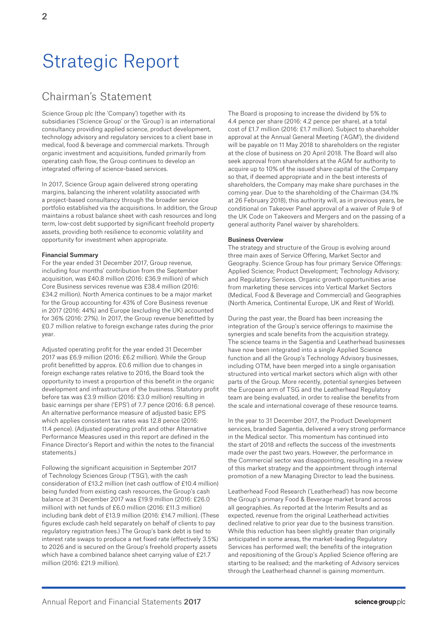# Strategic Report

# Chairman's Statement

Science Group plc (the 'Company') together with its subsidiaries ('Science Group' or the 'Group') is an international consultancy providing applied science, product development, technology advisory and regulatory services to a client base in medical, food & beverage and commercial markets. Through organic investment and acquisitions, funded primarily from operating cash flow, the Group continues to develop an integrated offering of science-based services.

In 2017, Science Group again delivered strong operating margins, balancing the inherent volatility associated with a project-based consultancy through the broader service portfolio established via the acquisitions. In addition, the Group maintains a robust balance sheet with cash resources and long term, low-cost debt supported by significant freehold property assets, providing both resilience to economic volatility and opportunity for investment when appropriate.

## Financial Summary

For the year ended 31 December 2017, Group revenue, including four months' contribution from the September acquisition, was £40.8 million (2016: £36.9 million) of which Core Business services revenue was £38.4 million (2016: £34.2 million). North America continues to be a major market for the Group accounting for 43% of Core Business revenue in 2017 (2016: 44%) and Europe (excluding the UK) accounted for 36% (2016: 27%). In 2017, the Group revenue benefitted by £0.7 million relative to foreign exchange rates during the prior year.

Adjusted operating profit for the year ended 31 December 2017 was £6.9 million (2016: £6.2 million). While the Group profit benefitted by approx. £0.6 million due to changes in foreign exchange rates relative to 2016, the Board took the opportunity to invest a proportion of this benefit in the organic development and infrastructure of the business. Statutory profit before tax was £3.9 million (2016: £3.0 million) resulting in basic earnings per share ('EPS') of 7.7 pence (2016: 6.8 pence). An alternative performance measure of adjusted basic EPS which applies consistent tax rates was 12.8 pence (2016: 11.4 pence). (Adjusted operating profit and other Alternative Performance Measures used in this report are defined in the Finance Director's Report and within the notes to the financial statements)

Following the significant acquisition in September 2017 of Technology Sciences Group ('TSG'), with the cash consideration of £13.2 million (net cash outflow of £10.4 million) being funded from existing cash resources, the Group's cash balance at 31 December 2017 was £19.9 million (2016: £26.0 million) with net funds of £6.0 million (2016: £11.3 million) including bank debt of £13.9 million (2016: £14.7 million). (These figures exclude cash held separately on behalf of clients to pay regulatory registration fees.) The Group's bank debt is tied to interest rate swaps to produce a net fixed rate (effectively 3.5%) to 2026 and is secured on the Group's freehold property assets which have a combined balance sheet carrying value of £21.7 million (2016: £21.9 million).

The Board is proposing to increase the dividend by 5% to 4.4 pence per share (2016: 4.2 pence per share), at a total cost of £1.7 million (2016: £1.7 million). Subject to shareholder approval at the Annual General Meeting ('AGM'), the dividend will be payable on 11 May 2018 to shareholders on the register at the close of business on 20 April 2018. The Board will also seek approval from shareholders at the AGM for authority to acquire up to 10% of the issued share capital of the Company so that, if deemed appropriate and in the best interests of shareholders, the Company may make share purchases in the coming year. Due to the shareholding of the Chairman (34.1% at 26 February 2018), this authority will, as in previous years, be conditional on Takeover Panel approval of a waiver of Rule 9 of the UK Code on Takeovers and Mergers and on the passing of a general authority Panel waiver by shareholders.

### Business Overview

The strategy and structure of the Group is evolving around three main axes of Service Offering, Market Sector and Geography. Science Group has four primary Service Offerings: Applied Science; Product Development; Technology Advisory; and Regulatory Services. Organic growth opportunities arise from marketing these services into Vertical Market Sectors (Medical, Food & Beverage and Commercial) and Geographies (North America, Continental Europe, UK and Rest of World).

During the past year, the Board has been increasing the integration of the Group's service offerings to maximise the synergies and scale benefits from the acquisition strategy. The science teams in the Sagentia and Leatherhead businesses have now been integrated into a single Applied Science function and all the Group's Technology Advisory businesses, including OTM, have been merged into a single organisation structured into vertical market sectors which align with other parts of the Group. More recently, potential synergies between the European arm of TSG and the Leatherhead Regulatory team are being evaluated, in order to realise the benefits from the scale and international coverage of these resource teams.

In the year to 31 December 2017, the Product Development services, branded Sagentia, delivered a very strong performance in the Medical sector. This momentum has continued into the start of 2018 and reflects the success of the investments made over the past two years. However, the performance in the Commercial sector was disappointing, resulting in a review of this market strategy and the appointment through internal promotion of a new Managing Director to lead the business.

Leatherhead Food Research ('Leatherhead') has now become the Group's primary Food & Beverage market brand across all geographies. As reported at the Interim Results and as expected, revenue from the original Leatherhead activities declined relative to prior year due to the business transition. While this reduction has been slightly greater than originally anticipated in some areas, the market-leading Regulatory Services has performed well; the benefits of the integration and repositioning of the Group's Applied Science offering are starting to be realised; and the marketing of Advisory services through the Leatherhead channel is gaining momentum.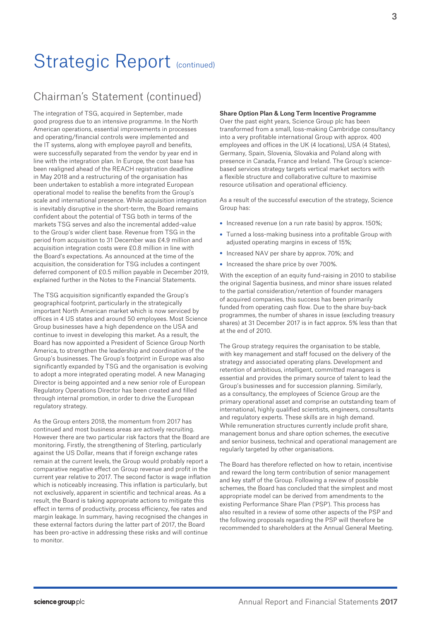# Chairman's Statement (continued)

The integration of TSG, acquired in September, made good progress due to an intensive programme. In the North American operations, essential improvements in processes and operating/financial controls were implemented and the IT systems, along with employee payroll and benefits, were successfully separated from the vendor by year end in line with the integration plan. In Europe, the cost base has been realigned ahead of the REACH registration deadline in May 2018 and a restructuring of the organisation has been undertaken to establish a more integrated European operational model to realise the benefits from the Group's scale and international presence. While acquisition integration is inevitably disruptive in the short-term, the Board remains confident about the potential of TSG both in terms of the markets TSG serves and also the incremental added-value to the Group's wider client base. Revenue from TSG in the period from acquisition to 31 December was £4.9 million and acquisition integration costs were £0.8 million in line with the Board's expectations. As announced at the time of the acquisition, the consideration for TSG includes a contingent deferred component of £0.5 million payable in December 2019, explained further in the Notes to the Financial Statements.

The TSG acquisition significantly expanded the Group's geographical footprint, particularly in the strategically important North American market which is now serviced by offices in 4 US states and around 50 employees. Most Science Group businesses have a high dependence on the USA and continue to invest in developing this market. As a result, the Board has now appointed a President of Science Group North America, to strengthen the leadership and coordination of the Group's businesses. The Group's footprint in Europe was also significantly expanded by TSG and the organisation is evolving to adopt a more integrated operating model. A new Managing Director is being appointed and a new senior role of European Regulatory Operations Director has been created and filled through internal promotion, in order to drive the European regulatory strategy.

As the Group enters 2018, the momentum from 2017 has continued and most business areas are actively recruiting. However there are two particular risk factors that the Board are monitoring. Firstly, the strengthening of Sterling, particularly against the US Dollar, means that if foreign exchange rates remain at the current levels, the Group would probably report a comparative negative effect on Group revenue and profit in the current year relative to 2017. The second factor is wage inflation which is noticeably increasing. This inflation is particularly, but not exclusively, apparent in scientific and technical areas. As a result, the Board is taking appropriate actions to mitigate this effect in terms of productivity, process efficiency, fee rates and margin leakage. In summary, having recognised the changes in these external factors during the latter part of 2017, the Board has been pro-active in addressing these risks and will continue to monitor.

### Share Option Plan & Long Term Incentive Programme

Over the past eight years, Science Group plc has been transformed from a small, loss-making Cambridge consultancy into a very profitable international Group with approx. 400 employees and offices in the UK (4 locations), USA (4 States), Germany, Spain, Slovenia, Slovakia and Poland along with presence in Canada, France and Ireland. The Group's sciencebased services strategy targets vertical market sectors with a flexible structure and collaborative culture to maximise resource utilisation and operational efficiency.

As a result of the successful execution of the strategy, Science Group has:

- Increased revenue (on a run rate basis) by approx. 150%;
- Turned a loss-making business into a profitable Group with adjusted operating margins in excess of 15%;
- Increased NAV per share by approx. 70%; and
- Increased the share price by over 700%.

With the exception of an equity fund-raising in 2010 to stabilise the original Sagentia business, and minor share issues related to the partial consideration/retention of founder managers of acquired companies, this success has been primarily funded from operating cash flow. Due to the share buy-back programmes, the number of shares in issue (excluding treasury shares) at 31 December 2017 is in fact approx. 5% less than that at the end of 2010.

The Group strategy requires the organisation to be stable, with key management and staff focused on the delivery of the strategy and associated operating plans. Development and retention of ambitious, intelligent, committed managers is essential and provides the primary source of talent to lead the Group's businesses and for succession planning. Similarly, as a consultancy, the employees of Science Group are the primary operational asset and comprise an outstanding team of international, highly qualified scientists, engineers, consultants and regulatory experts. These skills are in high demand. While remuneration structures currently include profit share, management bonus and share option schemes, the executive and senior business, technical and operational management are regularly targeted by other organisations.

The Board has therefore reflected on how to retain, incentivise and reward the long term contribution of senior management and key staff of the Group. Following a review of possible schemes, the Board has concluded that the simplest and most appropriate model can be derived from amendments to the existing Performance Share Plan ('PSP'). This process has also resulted in a review of some other aspects of the PSP and the following proposals regarding the PSP will therefore be recommended to shareholders at the Annual General Meeting.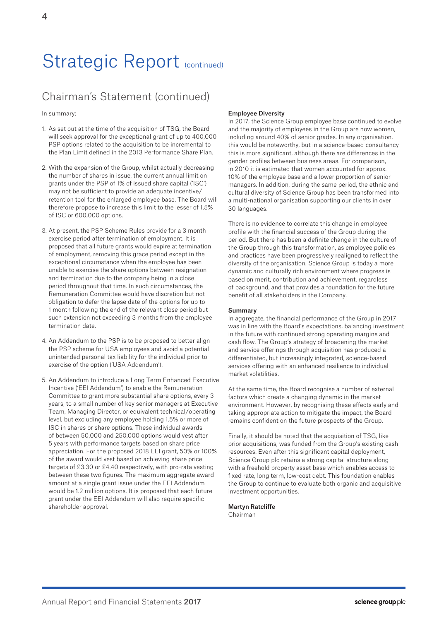# Chairman's Statement (continued)

In summary:

- 1. As set out at the time of the acquisition of TSG, the Board will seek approval for the exceptional grant of up to 400,000 PSP options related to the acquisition to be incremental to the Plan Limit defined in the 2013 Performance Share Plan.
- 2. With the expansion of the Group, whilst actually decreasing the number of shares in issue, the current annual limit on grants under the PSP of 1% of issued share capital ('ISC') may not be sufficient to provide an adequate incentive/ retention tool for the enlarged employee base. The Board will therefore propose to increase this limit to the lesser of 1.5% of ISC or 600,000 options.
- 3. At present, the PSP Scheme Rules provide for a 3 month exercise period after termination of employment. It is proposed that all future grants would expire at termination of employment, removing this grace period except in the exceptional circumstance when the employee has been unable to exercise the share options between resignation and termination due to the company being in a close period throughout that time. In such circumstances, the Remuneration Committee would have discretion but not obligation to defer the lapse date of the options for up to 1 month following the end of the relevant close period but such extension not exceeding 3 months from the employee termination date.
- 4. An Addendum to the PSP is to be proposed to better align the PSP scheme for USA employees and avoid a potential unintended personal tax liability for the individual prior to exercise of the option ('USA Addendum').
- 5. An Addendum to introduce a Long Term Enhanced Executive Incentive ('EEI Addendum') to enable the Remuneration Committee to grant more substantial share options, every 3 years, to a small number of key senior managers at Executive Team, Managing Director, or equivalent technical/operating level, but excluding any employee holding 1.5% or more of ISC in shares or share options. These individual awards of between 50,000 and 250,000 options would vest after 5 years with performance targets based on share price appreciation. For the proposed 2018 EEI grant, 50% or 100% of the award would vest based on achieving share price targets of £3.30 or £4.40 respectively, with pro-rata vesting between these two figures. The maximum aggregate award amount at a single grant issue under the EEI Addendum would be 1.2 million options. It is proposed that each future grant under the EEI Addendum will also require specific shareholder approval.

# Employee Diversity

In 2017, the Science Group employee base continued to evolve and the majority of employees in the Group are now women, including around 40% of senior grades. In any organisation, this would be noteworthy, but in a science-based consultancy this is more significant, although there are differences in the gender profiles between business areas. For comparison, in 2010 it is estimated that women accounted for approx. 10% of the employee base and a lower proportion of senior managers. In addition, during the same period, the ethnic and cultural diversity of Science Group has been transformed into a multi-national organisation supporting our clients in over 30 languages.

There is no evidence to correlate this change in employee profile with the financial success of the Group during the period. But there has been a definite change in the culture of the Group through this transformation, as employee policies and practices have been progressively realigned to reflect the diversity of the organisation. Science Group is today a more dynamic and culturally rich environment where progress is based on merit, contribution and achievement, regardless of background, and that provides a foundation for the future benefit of all stakeholders in the Company.

### Summary

In aggregate, the financial performance of the Group in 2017 was in line with the Board's expectations, balancing investment in the future with continued strong operating margins and cash flow. The Group's strategy of broadening the market and service offerings through acquisition has produced a differentiated, but increasingly integrated, science-based services offering with an enhanced resilience to individual market volatilities.

At the same time, the Board recognise a number of external factors which create a changing dynamic in the market environment. However, by recognising these effects early and taking appropriate action to mitigate the impact, the Board remains confident on the future prospects of the Group.

Finally, it should be noted that the acquisition of TSG, like prior acquisitions, was funded from the Group's existing cash resources. Even after this significant capital deployment, Science Group plc retains a strong capital structure along with a freehold property asset base which enables access to fixed rate, long term, low-cost debt. This foundation enables the Group to continue to evaluate both organic and acquisitive investment opportunities.

Martyn Ratcliffe Chairman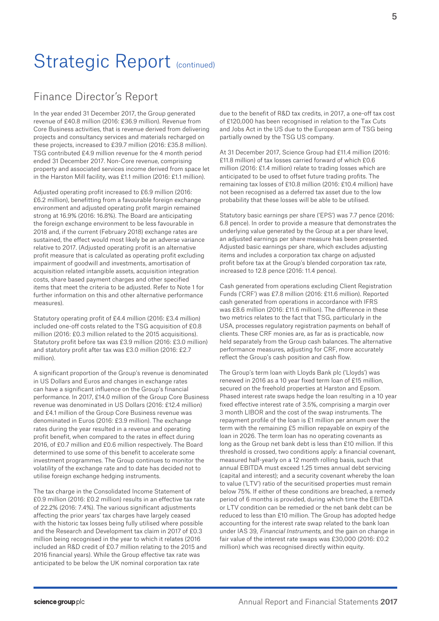# Finance Director's Report

In the year ended 31 December 2017, the Group generated revenue of £40.8 million (2016: £36.9 million). Revenue from Core Business activities, that is revenue derived from delivering projects and consultancy services and materials recharged on these projects, increased to £39.7 million (2016: £35.8 million). TSG contributed £4.9 million revenue for the 4 month period ended 31 December 2017. Non-Core revenue, comprising property and associated services income derived from space let in the Harston Mill facility, was £1.1 million (2016: £1.1 million).

Adjusted operating profit increased to £6.9 million (2016: £6.2 million), benefitting from a favourable foreign exchange environment and adjusted operating profit margin remained strong at 16.9% (2016: 16.8%). The Board are anticipating the foreign exchange environment to be less favourable in 2018 and, if the current (February 2018) exchange rates are sustained, the effect would most likely be an adverse variance relative to 2017. (Adjusted operating profit is an alternative profit measure that is calculated as operating profit excluding impairment of goodwill and investments, amortisation of acquisition related intangible assets, acquisition integration costs, share based payment charges and other specified items that meet the criteria to be adjusted. Refer to Note 1 for further information on this and other alternative performance measures).

Statutory operating profit of £4.4 million (2016: £3.4 million) included one-off costs related to the TSG acquisition of £0.8 million (2016: £0.3 million related to the 2015 acquisitions). Statutory profit before tax was £3.9 million (2016: £3.0 million) and statutory profit after tax was £3.0 million (2016: £2.7 million).

A significant proportion of the Group's revenue is denominated in US Dollars and Euros and changes in exchange rates can have a significant influence on the Group's financial performance. In 2017, £14.0 million of the Group Core Business revenue was denominated in US Dollars (2016: £12.4 million) and £4.1 million of the Group Core Business revenue was denominated in Euros (2016: £3.9 million). The exchange rates during the year resulted in a revenue and operating profit benefit, when compared to the rates in effect during 2016, of £0.7 million and £0.6 million respectively. The Board determined to use some of this benefit to accelerate some investment programmes. The Group continues to monitor the volatility of the exchange rate and to date has decided not to utilise foreign exchange hedging instruments.

The tax charge in the Consolidated Income Statement of £0.9 million (2016: £0.2 million) results in an effective tax rate of 22.2% (2016: 7.4%). The various significant adjustments affecting the prior years' tax charges have largely ceased with the historic tax losses being fully utilised where possible and the Research and Development tax claim in 2017 of £0.3 million being recognised in the year to which it relates (2016 included an R&D credit of £0.7 million relating to the 2015 and 2016 financial years). While the Group effective tax rate was anticipated to be below the UK nominal corporation tax rate

due to the benefit of R&D tax credits, in 2017, a one-off tax cost of £120,000 has been recognised in relation to the Tax Cuts and Jobs Act in the US due to the European arm of TSG being partially owned by the TSG US company.

At 31 December 2017, Science Group had £11.4 million (2016: £11.8 million) of tax losses carried forward of which £0.6 million (2016: £1.4 million) relate to trading losses which are anticipated to be used to offset future trading profits. The remaining tax losses of £10.8 million (2016: £10.4 million) have not been recognised as a deferred tax asset due to the low probability that these losses will be able to be utilised.

Statutory basic earnings per share ('EPS') was 7.7 pence (2016: 6.8 pence). In order to provide a measure that demonstrates the underlying value generated by the Group at a per share level, an adjusted earnings per share measure has been presented. Adjusted basic earnings per share, which excludes adjusting items and includes a corporation tax charge on adjusted profit before tax at the Group's blended corporation tax rate, increased to 12.8 pence (2016: 11.4 pence).

Cash generated from operations excluding Client Registration Funds ('CRF') was £7.8 million (2016: £11.6 million). Reported cash generated from operations in accordance with IFRS was £8.6 million (2016: £11.6 million). The difference in these two metrics relates to the fact that TSG, particularly in the USA, processes regulatory registration payments on behalf of clients. These CRF monies are, as far as is practicable, now held separately from the Group cash balances. The alternative performance measures, adjusting for CRF, more accurately reflect the Group's cash position and cash flow.

The Group's term loan with Lloyds Bank plc ('Lloyds') was renewed in 2016 as a 10 year fixed term loan of £15 million, secured on the freehold properties at Harston and Epsom. Phased interest rate swaps hedge the loan resulting in a 10 year fixed effective interest rate of 3.5%, comprising a margin over 3 month LIBOR and the cost of the swap instruments. The repayment profile of the loan is £1 million per annum over the term with the remaining £5 million repayable on expiry of the loan in 2026. The term loan has no operating covenants as long as the Group net bank debt is less than £10 million. If this threshold is crossed, two conditions apply: a financial covenant, measured half-yearly on a 12 month rolling basis, such that annual EBITDA must exceed 1.25 times annual debt servicing (capital and interest); and a security covenant whereby the loan to value ('LTV') ratio of the securitised properties must remain below 75%. If either of these conditions are breached, a remedy period of 6 months is provided, during which time the EBITDA or LTV condition can be remedied or the net bank debt can be reduced to less than £10 million. The Group has adopted hedge accounting for the interest rate swap related to the bank loan under IAS 39, Financial Instruments, and the gain on change in fair value of the interest rate swaps was £30,000 (2016: £0.2 million) which was recognised directly within equity.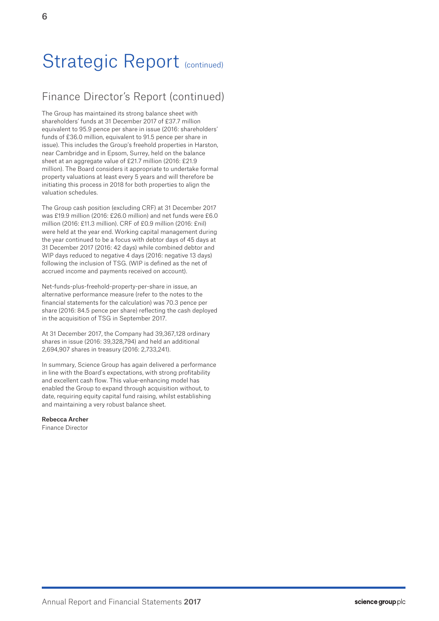# Finance Director's Report (continued)

The Group has maintained its strong balance sheet with shareholders' funds at 31 December 2017 of £37.7 million equivalent to 95.9 pence per share in issue (2016: shareholders' funds of £36.0 million, equivalent to 91.5 pence per share in issue). This includes the Group's freehold properties in Harston, near Cambridge and in Epsom, Surrey, held on the balance sheet at an aggregate value of £21.7 million (2016: £21.9 million). The Board considers it appropriate to undertake formal property valuations at least every 5 years and will therefore be initiating this process in 2018 for both properties to align the valuation schedules.

The Group cash position (excluding CRF) at 31 December 2017 was £19.9 million (2016: £26.0 million) and net funds were £6.0 million (2016: £11.3 million). CRF of £0.9 million (2016: £nil) were held at the year end. Working capital management during the year continued to be a focus with debtor days of 45 days at 31 December 2017 (2016: 42 days) while combined debtor and WIP days reduced to negative 4 days (2016: negative 13 days) following the inclusion of TSG. (WIP is defined as the net of accrued income and payments received on account).

Net-funds-plus-freehold-property-per-share in issue, an alternative performance measure (refer to the notes to the financial statements for the calculation) was 70.3 pence per share (2016: 84.5 pence per share) reflecting the cash deployed in the acquisition of TSG in September 2017.

At 31 December 2017, the Company had 39,367,128 ordinary shares in issue (2016: 39,328,794) and held an additional 2,694,907 shares in treasury (2016: 2,733,241).

In summary, Science Group has again delivered a performance in line with the Board's expectations, with strong profitability and excellent cash flow. This value-enhancing model has enabled the Group to expand through acquisition without, to date, requiring equity capital fund raising, whilst establishing and maintaining a very robust balance sheet.

# Rebecca Archer

Finance Director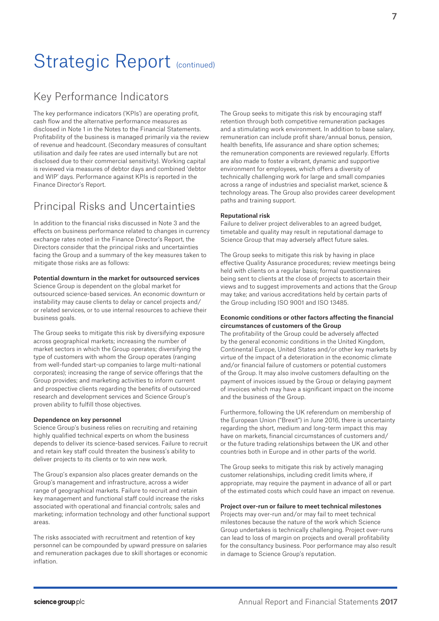# Key Performance Indicators

The key performance indicators ('KPIs') are operating profit, cash flow and the alternative performance measures as disclosed in Note 1 in the Notes to the Financial Statements. Profitability of the business is managed primarily via the review of revenue and headcount. (Secondary measures of consultant utilisation and daily fee rates are used internally but are not disclosed due to their commercial sensitivity). Working capital is reviewed via measures of debtor days and combined 'debtor and WIP' days. Performance against KPIs is reported in the Finance Director's Report.

# Principal Risks and Uncertainties

In addition to the financial risks discussed in Note 3 and the effects on business performance related to changes in currency exchange rates noted in the Finance Director's Report, the Directors consider that the principal risks and uncertainties facing the Group and a summary of the key measures taken to mitigate those risks are as follows:

### Potential downturn in the market for outsourced services

Science Group is dependent on the global market for outsourced science-based services. An economic downturn or instability may cause clients to delay or cancel projects and/ or related services, or to use internal resources to achieve their business goals.

The Group seeks to mitigate this risk by diversifying exposure across geographical markets; increasing the number of market sectors in which the Group operates; diversifying the type of customers with whom the Group operates (ranging from well-funded start-up companies to large multi-national corporates); increasing the range of service offerings that the Group provides; and marketing activities to inform current and prospective clients regarding the benefits of outsourced research and development services and Science Group's proven ability to fulfill those objectives.

#### Dependence on key personnel

Science Group's business relies on recruiting and retaining highly qualified technical experts on whom the business depends to deliver its science-based services. Failure to recruit and retain key staff could threaten the business's ability to deliver projects to its clients or to win new work.

The Group's expansion also places greater demands on the Group's management and infrastructure, across a wider range of geographical markets. Failure to recruit and retain key management and functional staff could increase the risks associated with operational and financial controls; sales and marketing; information technology and other functional support areas.

The risks associated with recruitment and retention of key personnel can be compounded by upward pressure on salaries and remuneration packages due to skill shortages or economic inflation.

The Group seeks to mitigate this risk by encouraging staff retention through both competitive remuneration packages and a stimulating work environment. In addition to base salary, remuneration can include profit share/annual bonus, pension, health benefits, life assurance and share option schemes; the remuneration components are reviewed regularly. Efforts are also made to foster a vibrant, dynamic and supportive environment for employees, which offers a diversity of technically challenging work for large and small companies across a range of industries and specialist market, science & technology areas. The Group also provides career development paths and training support.

### Reputational risk

Failure to deliver project deliverables to an agreed budget, timetable and quality may result in reputational damage to Science Group that may adversely affect future sales.

The Group seeks to mitigate this risk by having in place effective Quality Assurance procedures; review meetings being held with clients on a regular basis; formal questionnaires being sent to clients at the close of projects to ascertain their views and to suggest improvements and actions that the Group may take; and various accreditations held by certain parts of the Group including ISO 9001 and ISO 13485.

## Economic conditions or other factors affecting the financial circumstances of customers of the Group

The profitability of the Group could be adversely affected by the general economic conditions in the United Kingdom, Continental Europe, United States and/or other key markets by virtue of the impact of a deterioration in the economic climate and/or financial failure of customers or potential customers of the Group. It may also involve customers defaulting on the payment of invoices issued by the Group or delaying payment of invoices which may have a significant impact on the income and the business of the Group.

Furthermore, following the UK referendum on membership of the European Union ("Brexit") in June 2016, there is uncertainty regarding the short, medium and long-term impact this may have on markets, financial circumstances of customers and/ or the future trading relationships between the UK and other countries both in Europe and in other parts of the world.

The Group seeks to mitigate this risk by actively managing customer relationships, including credit limits where, if appropriate, may require the payment in advance of all or part of the estimated costs which could have an impact on revenue.

#### Project over-run or failure to meet technical milestones

Projects may over-run and/or may fail to meet technical milestones because the nature of the work which Science Group undertakes is technically challenging. Project over-runs can lead to loss of margin on projects and overall profitability for the consultancy business. Poor performance may also result in damage to Science Group's reputation.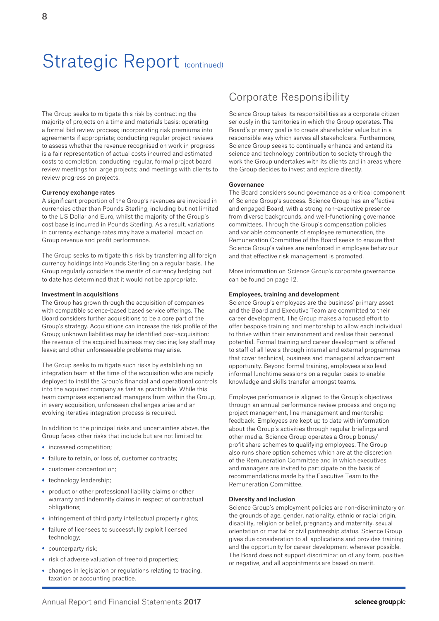The Group seeks to mitigate this risk by contracting the majority of projects on a time and materials basis; operating a formal bid review process; incorporating risk premiums into agreements if appropriate; conducting regular project reviews to assess whether the revenue recognised on work in progress is a fair representation of actual costs incurred and estimated costs to completion; conducting regular, formal project board review meetings for large projects; and meetings with clients to review progress on projects.

## Currency exchange rates

A significant proportion of the Group's revenues are invoiced in currencies other than Pounds Sterling, including but not limited to the US Dollar and Euro, whilst the majority of the Group's cost base is incurred in Pounds Sterling. As a result, variations in currency exchange rates may have a material impact on Group revenue and profit performance.

The Group seeks to mitigate this risk by transferring all foreign currency holdings into Pounds Sterling on a regular basis. The Group regularly considers the merits of currency hedging but to date has determined that it would not be appropriate.

#### Investment in acquisitions

The Group has grown through the acquisition of companies with compatible science-based based service offerings. The Board considers further acquisitions to be a core part of the Group's strategy. Acquisitions can increase the risk profile of the Group; unknown liabilities may be identified post-acquisition; the revenue of the acquired business may decline; key staff may leave; and other unforeseeable problems may arise.

The Group seeks to mitigate such risks by establishing an integration team at the time of the acquisition who are rapidly deployed to instil the Group's financial and operational controls into the acquired company as fast as practicable. While this team comprises experienced managers from within the Group, in every acquisition, unforeseen challenges arise and an evolving iterative integration process is required.

In addition to the principal risks and uncertainties above, the Group faces other risks that include but are not limited to:

- increased competition;
- failure to retain, or loss of, customer contracts:
- customer concentration;
- technology leadership;
- product or other professional liability claims or other warranty and indemnity claims in respect of contractual obligations;
- infringement of third party intellectual property rights;
- failure of licensees to successfully exploit licensed technology;
- counterparty risk;
- risk of adverse valuation of freehold properties;
- changes in legislation or regulations relating to trading, taxation or accounting practice.

# Corporate Responsibility

Science Group takes its responsibilities as a corporate citizen seriously in the territories in which the Group operates. The Board's primary goal is to create shareholder value but in a responsible way which serves all stakeholders. Furthermore, Science Group seeks to continually enhance and extend its science and technology contribution to society through the work the Group undertakes with its clients and in areas where the Group decides to invest and explore directly.

#### Governance

The Board considers sound governance as a critical component of Science Group's success. Science Group has an effective and engaged Board, with a strong non-executive presence from diverse backgrounds, and well-functioning governance committees. Through the Group's compensation policies and variable components of employee remuneration, the Remuneration Committee of the Board seeks to ensure that Science Group's values are reinforced in employee behaviour and that effective risk management is promoted.

More information on Science Group's corporate governance can be found on page 12.

### Employees, training and development

Science Group's employees are the business' primary asset and the Board and Executive Team are committed to their career development. The Group makes a focused effort to offer bespoke training and mentorship to allow each individual to thrive within their environment and realise their personal potential. Formal training and career development is offered to staff of all levels through internal and external programmes that cover technical, business and managerial advancement opportunity. Beyond formal training, employees also lead informal lunchtime sessions on a regular basis to enable knowledge and skills transfer amongst teams.

Employee performance is aligned to the Group's objectives through an annual performance review process and ongoing project management, line management and mentorship feedback. Employees are kept up to date with information about the Group's activities through regular briefings and other media. Science Group operates a Group bonus/ profit share schemes to qualifying employees. The Group also runs share option schemes which are at the discretion of the Remuneration Committee and in which executives and managers are invited to participate on the basis of recommendations made by the Executive Team to the Remuneration Committee.

### Diversity and inclusion

Science Group's employment policies are non-discriminatory on the grounds of age, gender, nationality, ethnic or racial origin, disability, religion or belief, pregnancy and maternity, sexual orientation or marital or civil partnership status. Science Group gives due consideration to all applications and provides training and the opportunity for career development wherever possible. The Board does not support discrimination of any form, positive or negative, and all appointments are based on merit.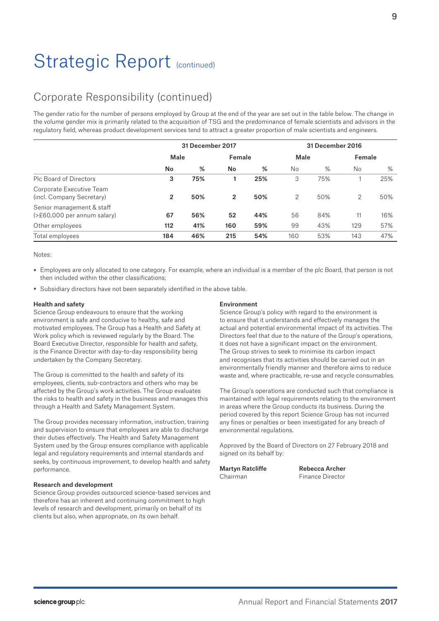# Corporate Responsibility (continued)

The gender ratio for the number of persons employed by Group at the end of the year are set out in the table below. The change in the volume gender mix is primarily related to the acquisition of TSG and the predominance of female scientists and advisors in the regulatory field, whereas product development services tend to attract a greater proportion of male scientists and engineers.

|                                                             | 31 December 2017 |     |                |     | 31 December 2016 |     |        |      |
|-------------------------------------------------------------|------------------|-----|----------------|-----|------------------|-----|--------|------|
|                                                             | Male             |     | Female         |     | Male             |     | Female |      |
|                                                             | No               | %   | No             | %   | <b>No</b>        | %   | No     | $\%$ |
| Plc Board of Directors                                      | 3                | 75% |                | 25% | 3                | 75% |        | 25%  |
| Corporate Executive Team<br>(incl. Company Secretary)       | 2                | 50% | $\overline{2}$ | 50% | 2                | 50% | 2      | 50%  |
| Senior management & staff<br>$(>= 60,000$ per annum salary) | 67               | 56% | 52             | 44% | 56               | 84% | 11     | 16%  |
| Other employees                                             | 112              | 41% | 160            | 59% | 99               | 43% | 129    | 57%  |
| Total employees                                             | 184              | 46% | 215            | 54% | 160              | 53% | 143    | 47%  |

Notes:

- Employees are only allocated to one category. For example, where an individual is a member of the plc Board, that person is not then included within the other classifications;
- Subsidiary directors have not been separately identified in the above table.

### Health and safety

Science Group endeavours to ensure that the working environment is safe and conducive to healthy, safe and motivated employees. The Group has a Health and Safety at Work policy which is reviewed regularly by the Board. The Board Executive Director, responsible for health and safety, is the Finance Director with day-to-day responsibility being undertaken by the Company Secretary.

The Group is committed to the health and safety of its employees, clients, sub-contractors and others who may be affected by the Group's work activities. The Group evaluates the risks to health and safety in the business and manages this through a Health and Safety Management System.

The Group provides necessary information, instruction, training and supervision to ensure that employees are able to discharge their duties effectively. The Health and Safety Management System used by the Group ensures compliance with applicable legal and regulatory requirements and internal standards and seeks, by continuous improvement, to develop health and safety performance.

# Research and development

Science Group provides outsourced science-based services and therefore has an inherent and continuing commitment to high levels of research and development, primarily on behalf of its clients but also, when appropriate, on its own behalf.

## Environment

Science Group's policy with regard to the environment is to ensure that it understands and effectively manages the actual and potential environmental impact of its activities. The Directors feel that due to the nature of the Group's operations, it does not have a significant impact on the environment. The Group strives to seek to minimise its carbon impact and recognises that its activities should be carried out in an environmentally friendly manner and therefore aims to reduce waste and, where practicable, re-use and recycle consumables.

The Group's operations are conducted such that compliance is maintained with legal requirements relating to the environment in areas where the Group conducts its business. During the period covered by this report Science Group has not incurred any fines or penalties or been investigated for any breach of environmental regulations.

Approved by the Board of Directors on 27 February 2018 and signed on its behalf by:

Martyn Ratcliffe Rebecca Archer Chairman Finance Director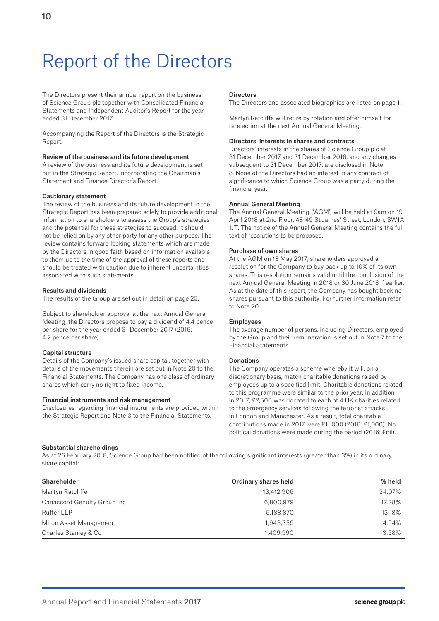# Report of the Directors

The Directors present their annual report on the business of Science Group plc together with Consolidated Financial Statements and Independent Auditor's Report for the year ended 31 December 2017.

Accompanying the Report of the Directors is the Strategic Report.

### Review of the business and its future development

A review of the business and its future development is set out in the Strategic Report, incorporating the Chairman's Statement and Finance Director's Report.

### Cautionary statement

The review of the business and its future development in the Strategic Report has been prepared solely to provide additional information to shareholders to assess the Group's strategies and the potential for these strategies to succeed. It should not be relied on by any other party for any other purpose. The review contains forward looking statements which are made by the Directors in good faith based on information available to them up to the time of the approval of these reports and should be treated with caution due to inherent uncertainties associated with such statements.

### Results and dividends

The results of the Group are set out in detail on page 23.

Subject to shareholder approval at the next Annual General Meeting, the Directors propose to pay a dividend of 4.4 pence per share for the year ended 31 December 2017 (2016: 4.2 pence per share).

#### Capital structure

Details of the Company's issued share capital, together with details of the movements therein are set out in Note 20 to the Financial Statements. The Company has one class of ordinary shares which carry no right to fixed income.

## Financial instruments and risk management

Disclosures regarding financial instruments are provided within the Strategic Report and Note 3 to the Financial Statements.

#### **Directors**

The Directors and associated biographies are listed on page 11.

Martyn Ratcliffe will retire by rotation and offer himself for re-election at the next Annual General Meeting.

#### Directors' interests in shares and contracts

Directors' interests in the shares of Science Group plc at 31 December 2017 and 31 December 2016, and any changes subsequent to 31 December 2017, are disclosed in Note 8. None of the Directors had an interest in any contract of significance to which Science Group was a party during the financial year.

### Annual General Meeting

The Annual General Meeting ('AGM') will be held at 9am on 19 April 2018 at 2nd Floor, 48-49 St James' Street, London, SW1A 1JT. The notice of the Annual General Meeting contains the full text of resolutions to be proposed.

### Purchase of own shares

At the AGM on 18 May 2017, shareholders approved a resolution for the Company to buy back up to 10% of its own shares. This resolution remains valid until the conclusion of the next Annual General Meeting in 2018 or 30 June 2018 if earlier. As at the date of this report, the Company has bought back no shares pursuant to this authority. For further information refer to Note 20.

#### Employees

The average number of persons, including Directors, employed by the Group and their remuneration is set out in Note 7 to the Financial Statements.

## Donations

The Company operates a scheme whereby it will, on a discretionary basis, match charitable donations raised by employees up to a specified limit. Charitable donations related to this programme were similar to the prior year. In addition in 2017, £2,500 was donated to each of 4 UK charities related to the emergency services following the terrorist attacks in London and Manchester. As a result, total charitable contributions made in 2017 were £11,000 (2016: £1,000). No political donations were made during the period (2016: £nil).

#### Substantial shareholdings

As at 26 February 2018, Science Group had been notified of the following significant interests (greater than 3%) in its ordinary share capital:

| Shareholder                 | Ordinary shares held | % held |
|-----------------------------|----------------------|--------|
| Martyn Ratcliffe            | 13,412,906           | 34.07% |
| Canaccord Genuity Group Inc | 6,800,979            | 17.28% |
| Ruffer LLP                  | 5,188,870            | 13.18% |
| Miton Asset Management      | 1,943,359            | 4.94%  |
| Charles Stanley & Co        | 1,409,990            | 3.58%  |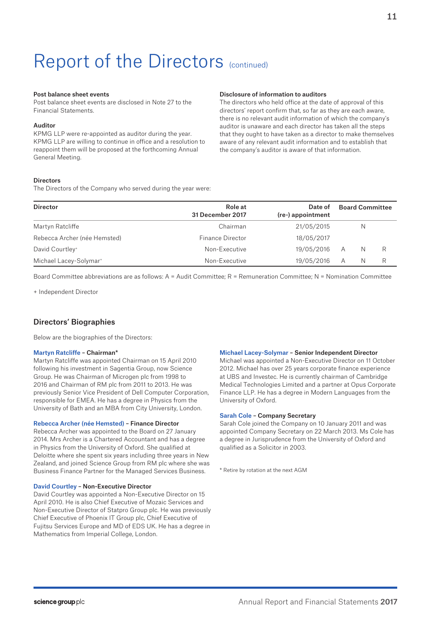#### Post balance sheet events

Post balance sheet events are disclosed in Note 27 to the Financial Statements.

### Auditor

KPMG LLP were re-appointed as auditor during the year. KPMG LLP are willing to continue in office and a resolution to reappoint them will be proposed at the forthcoming Annual General Meeting.

### **Directors**

The Directors of the Company who served during the year were:

#### Disclosure of information to auditors

The directors who held office at the date of approval of this directors' report confirm that, so far as they are each aware, there is no relevant audit information of which the company's auditor is unaware and each director has taken all the steps that they ought to have taken as a director to make themselves aware of any relevant audit information and to establish that the company's auditor is aware of that information.

| <b>Director</b>                    | Role at<br>31 December 2017 | Date of<br>(re-) appointment | <b>Board Committee</b> |   |   |
|------------------------------------|-----------------------------|------------------------------|------------------------|---|---|
| Martyn Ratcliffe                   | Chairman                    | 21/05/2015                   |                        | N |   |
| Rebecca Archer (née Hemsted)       | Finance Director            | 18/05/2017                   |                        |   |   |
| David Courtley <sup>+</sup>        | Non-Executive               | 19/05/2016                   | Α                      | N | R |
| Michael Lacey-Solymar <sup>+</sup> | Non-Executive               | 19/05/2016                   | А                      | N | R |

Board Committee abbreviations are as follows: A = Audit Committee; R = Remuneration Committee; N = Nomination Committee

+ Independent Director

# Directors' Biographies

Below are the biographies of the Directors:

### Martyn Ratcliffe – Chairman\*

Martyn Ratcliffe was appointed Chairman on 15 April 2010 following his investment in Sagentia Group, now Science Group. He was Chairman of Microgen plc from 1998 to 2016 and Chairman of RM plc from 2011 to 2013. He was previously Senior Vice President of Dell Computer Corporation, responsible for EMEA. He has a degree in Physics from the University of Bath and an MBA from City University, London.

#### Rebecca Archer (née Hemsted) – Finance Director

Rebecca Archer was appointed to the Board on 27 January 2014. Mrs Archer is a Chartered Accountant and has a degree in Physics from the University of Oxford. She qualified at Deloitte where she spent six years including three years in New Zealand, and joined Science Group from RM plc where she was Business Finance Partner for the Managed Services Business.

### David Courtley – Non-Executive Director

David Courtley was appointed a Non-Executive Director on 15 April 2010. He is also Chief Executive of Mozaic Services and Non-Executive Director of Statpro Group plc. He was previously Chief Executive of Phoenix IT Group plc, Chief Executive of Fujitsu Services Europe and MD of EDS UK. He has a degree in Mathematics from Imperial College, London.

#### Michael Lacey-Solymar – Senior Independent Director

Michael was appointed a Non-Executive Director on 11 October 2012. Michael has over 25 years corporate finance experience at UBS and Investec. He is currently chairman of Cambridge Medical Technologies Limited and a partner at Opus Corporate Finance LLP. He has a degree in Modern Languages from the University of Oxford.

### Sarah Cole – Company Secretary

Sarah Cole joined the Company on 10 January 2011 and was appointed Company Secretary on 22 March 2013. Ms Cole has a degree in Jurisprudence from the University of Oxford and qualified as a Solicitor in 2003.

\* Retire by rotation at the next AGM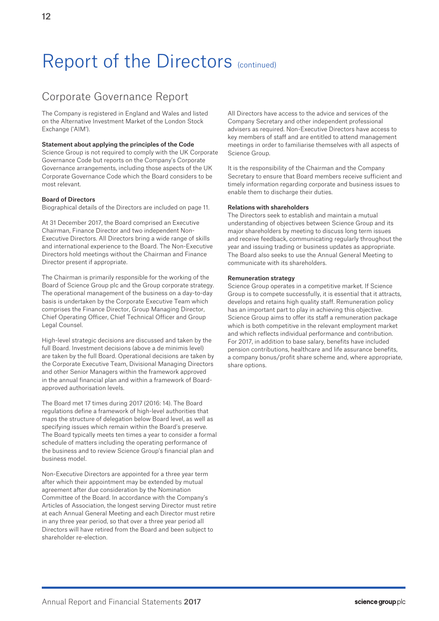# Corporate Governance Report

The Company is registered in England and Wales and listed on the Alternative Investment Market of the London Stock Exchange ('AIM').

## Statement about applying the principles of the Code

Science Group is not required to comply with the UK Corporate Governance Code but reports on the Company's Corporate Governance arrangements, including those aspects of the UK Corporate Governance Code which the Board considers to be most relevant.

# Board of Directors

Biographical details of the Directors are included on page 11.

At 31 December 2017, the Board comprised an Executive Chairman, Finance Director and two independent Non-Executive Directors. All Directors bring a wide range of skills and international experience to the Board. The Non-Executive Directors hold meetings without the Chairman and Finance Director present if appropriate.

The Chairman is primarily responsible for the working of the Board of Science Group plc and the Group corporate strategy. The operational management of the business on a day-to-day basis is undertaken by the Corporate Executive Team which comprises the Finance Director, Group Managing Director, Chief Operating Officer, Chief Technical Officer and Group Legal Counsel.

High-level strategic decisions are discussed and taken by the full Board. Investment decisions (above a de minimis level) are taken by the full Board. Operational decisions are taken by the Corporate Executive Team, Divisional Managing Directors and other Senior Managers within the framework approved in the annual financial plan and within a framework of Boardapproved authorisation levels.

The Board met 17 times during 2017 (2016: 14). The Board regulations define a framework of high-level authorities that maps the structure of delegation below Board level, as well as specifying issues which remain within the Board's preserve. The Board typically meets ten times a year to consider a formal schedule of matters including the operating performance of the business and to review Science Group's financial plan and business model.

Non-Executive Directors are appointed for a three year term after which their appointment may be extended by mutual agreement after due consideration by the Nomination Committee of the Board. In accordance with the Company's Articles of Association, the longest serving Director must retire at each Annual General Meeting and each Director must retire in any three year period, so that over a three year period all Directors will have retired from the Board and been subject to shareholder re-election.

All Directors have access to the advice and services of the Company Secretary and other independent professional advisers as required. Non-Executive Directors have access to key members of staff and are entitled to attend management meetings in order to familiarise themselves with all aspects of Science Group.

It is the responsibility of the Chairman and the Company Secretary to ensure that Board members receive sufficient and timely information regarding corporate and business issues to enable them to discharge their duties.

## Relations with shareholders

The Directors seek to establish and maintain a mutual understanding of objectives between Science Group and its major shareholders by meeting to discuss long term issues and receive feedback, communicating regularly throughout the year and issuing trading or business updates as appropriate. The Board also seeks to use the Annual General Meeting to communicate with its shareholders.

## Remuneration strategy

Science Group operates in a competitive market. If Science Group is to compete successfully, it is essential that it attracts, develops and retains high quality staff. Remuneration policy has an important part to play in achieving this objective. Science Group aims to offer its staff a remuneration package which is both competitive in the relevant employment market and which reflects individual performance and contribution. For 2017, in addition to base salary, benefits have included pension contributions, healthcare and life assurance benefits, a company bonus/profit share scheme and, where appropriate, share options.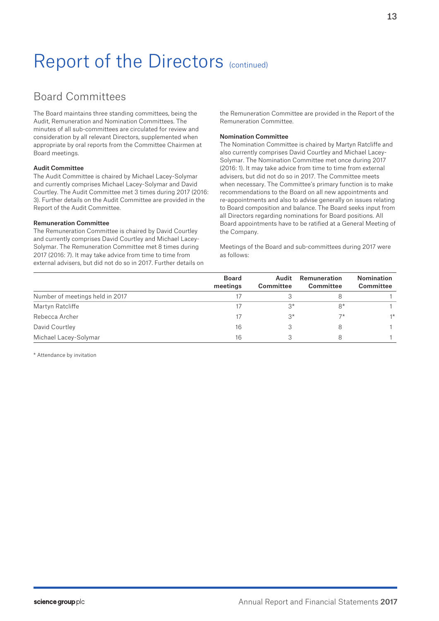# Board Committees

The Board maintains three standing committees, being the Audit, Remuneration and Nomination Committees. The minutes of all sub-committees are circulated for review and consideration by all relevant Directors, supplemented when appropriate by oral reports from the Committee Chairmen at Board meetings.

## Audit Committee

The Audit Committee is chaired by Michael Lacey-Solymar and currently comprises Michael Lacey-Solymar and David Courtley. The Audit Committee met 3 times during 2017 (2016: 3). Further details on the Audit Committee are provided in the Report of the Audit Committee.

## Remuneration Committee

The Remuneration Committee is chaired by David Courtley and currently comprises David Courtley and Michael Lacey-Solymar. The Remuneration Committee met 8 times during 2017 (2016: 7). It may take advice from time to time from external advisers, but did not do so in 2017. Further details on the Remuneration Committee are provided in the Report of the Remuneration Committee.

## Nomination Committee

The Nomination Committee is chaired by Martyn Ratcliffe and also currently comprises David Courtley and Michael Lacey-Solymar. The Nomination Committee met once during 2017 (2016: 1). It may take advice from time to time from external advisers, but did not do so in 2017. The Committee meets when necessary. The Committee's primary function is to make recommendations to the Board on all new appointments and re-appointments and also to advise generally on issues relating to Board composition and balance. The Board seeks input from all Directors regarding nominations for Board positions. All Board appointments have to be ratified at a General Meeting of the Company.

Meetings of the Board and sub-committees during 2017 were as follows:

|                                 | <b>Board</b><br>meetings | Audit<br>Committee | Remuneration<br>Committee | <b>Nomination</b><br>Committee |
|---------------------------------|--------------------------|--------------------|---------------------------|--------------------------------|
| Number of meetings held in 2017 |                          |                    |                           |                                |
| Martyn Ratcliffe                |                          | $3*$               | $8*$                      |                                |
| Rebecca Archer                  | 17                       | $3*$               | $7*$                      | $1*$                           |
| David Courtley                  | 16                       |                    |                           |                                |
| Michael Lacey-Solymar           | 16                       |                    |                           |                                |

\* Attendance by invitation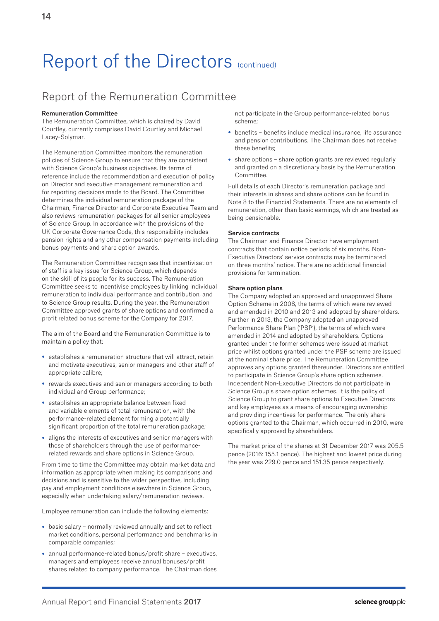# Report of the Remuneration Committee

# Remuneration Committee

The Remuneration Committee, which is chaired by David Courtley, currently comprises David Courtley and Michael Lacey-Solymar.

The Remuneration Committee monitors the remuneration policies of Science Group to ensure that they are consistent with Science Group's business objectives. Its terms of reference include the recommendation and execution of policy on Director and executive management remuneration and for reporting decisions made to the Board. The Committee determines the individual remuneration package of the Chairman, Finance Director and Corporate Executive Team and also reviews remuneration packages for all senior employees of Science Group. In accordance with the provisions of the UK Corporate Governance Code, this responsibility includes pension rights and any other compensation payments including bonus payments and share option awards.

The Remuneration Committee recognises that incentivisation of staff is a key issue for Science Group, which depends on the skill of its people for its success. The Remuneration Committee seeks to incentivise employees by linking individual remuneration to individual performance and contribution, and to Science Group results. During the year, the Remuneration Committee approved grants of share options and confirmed a profit related bonus scheme for the Company for 2017.

The aim of the Board and the Remuneration Committee is to maintain a policy that:

- establishes a remuneration structure that will attract, retain and motivate executives, senior managers and other staff of appropriate calibre;
- rewards executives and senior managers according to both individual and Group performance;
- establishes an appropriate balance between fixed and variable elements of total remuneration, with the performance-related element forming a potentially significant proportion of the total remuneration package;
- aligns the interests of executives and senior managers with those of shareholders through the use of performancerelated rewards and share options in Science Group.

From time to time the Committee may obtain market data and information as appropriate when making its comparisons and decisions and is sensitive to the wider perspective, including pay and employment conditions elsewhere in Science Group, especially when undertaking salary/remuneration reviews.

Employee remuneration can include the following elements:

- basic salary normally reviewed annually and set to reflect market conditions, personal performance and benchmarks in comparable companies;
- annual performance-related bonus/profit share executives, managers and employees receive annual bonuses/profit shares related to company performance. The Chairman does

not participate in the Group performance-related bonus scheme;

- benefits benefits include medical insurance, life assurance and pension contributions. The Chairman does not receive these benefits;
- share options share option grants are reviewed regularly and granted on a discretionary basis by the Remuneration Committee.

Full details of each Director's remuneration package and their interests in shares and share options can be found in Note 8 to the Financial Statements. There are no elements of remuneration, other than basic earnings, which are treated as being pensionable.

## Service contracts

The Chairman and Finance Director have employment contracts that contain notice periods of six months. Non-Executive Directors' service contracts may be terminated on three months' notice. There are no additional financial provisions for termination.

## Share option plans

The Company adopted an approved and unapproved Share Option Scheme in 2008, the terms of which were reviewed and amended in 2010 and 2013 and adopted by shareholders. Further in 2013, the Company adopted an unapproved Performance Share Plan ('PSP'), the terms of which were amended in 2014 and adopted by shareholders. Options granted under the former schemes were issued at market price whilst options granted under the PSP scheme are issued at the nominal share price. The Remuneration Committee approves any options granted thereunder. Directors are entitled to participate in Science Group's share option schemes. Independent Non-Executive Directors do not participate in Science Group's share option schemes. It is the policy of Science Group to grant share options to Executive Directors and key employees as a means of encouraging ownership and providing incentives for performance. The only share options granted to the Chairman, which occurred in 2010, were specifically approved by shareholders.

The market price of the shares at 31 December 2017 was 205.5 pence (2016: 155.1 pence). The highest and lowest price during the year was 229.0 pence and 151.35 pence respectively.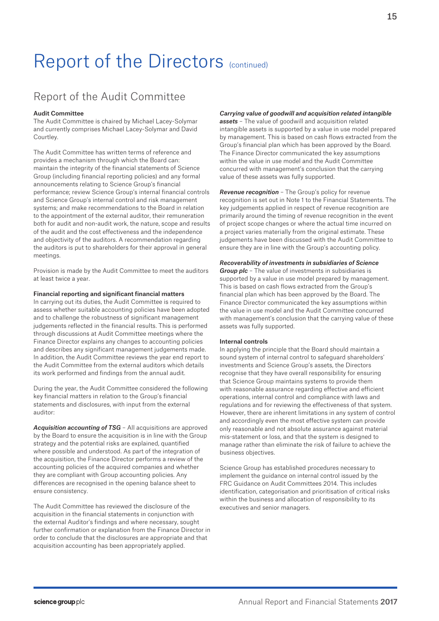# Report of the Audit Committee

### Audit Committee

The Audit Committee is chaired by Michael Lacey-Solymar and currently comprises Michael Lacey-Solymar and David Courtley.

The Audit Committee has written terms of reference and provides a mechanism through which the Board can: maintain the integrity of the financial statements of Science Group (including financial reporting policies) and any formal announcements relating to Science Group's financial performance; review Science Group's internal financial controls and Science Group's internal control and risk management systems; and make recommendations to the Board in relation to the appointment of the external auditor, their remuneration both for audit and non-audit work, the nature, scope and results of the audit and the cost effectiveness and the independence and objectivity of the auditors. A recommendation regarding the auditors is put to shareholders for their approval in general meetings.

Provision is made by the Audit Committee to meet the auditors at least twice a year.

### Financial reporting and significant financial matters

In carrying out its duties, the Audit Committee is required to assess whether suitable accounting policies have been adopted and to challenge the robustness of significant management judgements reflected in the financial results. This is performed through discussions at Audit Committee meetings where the Finance Director explains any changes to accounting policies and describes any significant management judgements made. In addition, the Audit Committee reviews the year end report to the Audit Committee from the external auditors which details its work performed and findings from the annual audit.

During the year, the Audit Committee considered the following key financial matters in relation to the Group's financial statements and disclosures, with input from the external auditor:

*Acquisition accounting of TSG* – All acquisitions are approved by the Board to ensure the acquisition is in line with the Group strategy and the potential risks are explained, quantified where possible and understood. As part of the integration of the acquisition, the Finance Director performs a review of the accounting policies of the acquired companies and whether they are compliant with Group accounting policies. Any differences are recognised in the opening balance sheet to ensure consistency.

The Audit Committee has reviewed the disclosure of the acquisition in the financial statements in conjunction with the external Auditor's findings and where necessary, sought further confirmation or explanation from the Finance Director in order to conclude that the disclosures are appropriate and that acquisition accounting has been appropriately applied.

## *Carrying value of goodwill and acquisition related intangible*

*assets* – The value of goodwill and acquisition related intangible assets is supported by a value in use model prepared by management. This is based on cash flows extracted from the Group's financial plan which has been approved by the Board. The Finance Director communicated the key assumptions within the value in use model and the Audit Committee concurred with management's conclusion that the carrying value of these assets was fully supported.

*Revenue recognition* – The Group's policy for revenue recognition is set out in Note 1 to the Financial Statements. The key judgements applied in respect of revenue recognition are primarily around the timing of revenue recognition in the event of project scope changes or where the actual time incurred on a project varies materially from the original estimate. These judgements have been discussed with the Audit Committee to ensure they are in line with the Group's accounting policy.

### *Recoverability of investments in subsidiaries of Science*

*Group plc* – The value of investments in subsidiaries is supported by a value in use model prepared by management. This is based on cash flows extracted from the Group's financial plan which has been approved by the Board. The Finance Director communicated the key assumptions within the value in use model and the Audit Committee concurred with management's conclusion that the carrying value of these assets was fully supported.

### Internal controls

In applying the principle that the Board should maintain a sound system of internal control to safeguard shareholders' investments and Science Group's assets, the Directors recognise that they have overall responsibility for ensuring that Science Group maintains systems to provide them with reasonable assurance regarding effective and efficient operations, internal control and compliance with laws and regulations and for reviewing the effectiveness of that system. However, there are inherent limitations in any system of control and accordingly even the most effective system can provide only reasonable and not absolute assurance against material mis-statement or loss, and that the system is designed to manage rather than eliminate the risk of failure to achieve the business objectives.

Science Group has established procedures necessary to implement the guidance on internal control issued by the FRC Guidance on Audit Committees 2014. This includes identification, categorisation and prioritisation of critical risks within the business and allocation of responsibility to its executives and senior managers.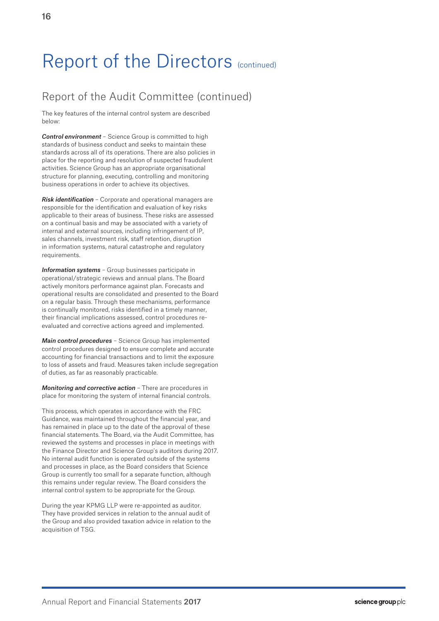# Report of the Audit Committee (continued)

The key features of the internal control system are described below:

*Control environment* – Science Group is committed to high standards of business conduct and seeks to maintain these standards across all of its operations. There are also policies in place for the reporting and resolution of suspected fraudulent activities. Science Group has an appropriate organisational structure for planning, executing, controlling and monitoring business operations in order to achieve its objectives.

*Risk identification* – Corporate and operational managers are responsible for the identification and evaluation of key risks applicable to their areas of business. These risks are assessed on a continual basis and may be associated with a variety of internal and external sources, including infringement of IP, sales channels, investment risk, staff retention, disruption in information systems, natural catastrophe and regulatory requirements.

*Information systems* – Group businesses participate in operational/strategic reviews and annual plans. The Board actively monitors performance against plan. Forecasts and operational results are consolidated and presented to the Board on a regular basis. Through these mechanisms, performance is continually monitored, risks identified in a timely manner, their financial implications assessed, control procedures reevaluated and corrective actions agreed and implemented.

*Main control procedures* – Science Group has implemented control procedures designed to ensure complete and accurate accounting for financial transactions and to limit the exposure to loss of assets and fraud. Measures taken include segregation of duties, as far as reasonably practicable.

*Monitoring and corrective action* – There are procedures in place for monitoring the system of internal financial controls.

This process, which operates in accordance with the FRC Guidance, was maintained throughout the financial year, and has remained in place up to the date of the approval of these financial statements. The Board, via the Audit Committee, has reviewed the systems and processes in place in meetings with the Finance Director and Science Group's auditors during 2017. No internal audit function is operated outside of the systems and processes in place, as the Board considers that Science Group is currently too small for a separate function, although this remains under regular review. The Board considers the internal control system to be appropriate for the Group.

During the year KPMG LLP were re-appointed as auditor. They have provided services in relation to the annual audit of the Group and also provided taxation advice in relation to the acquisition of TSG.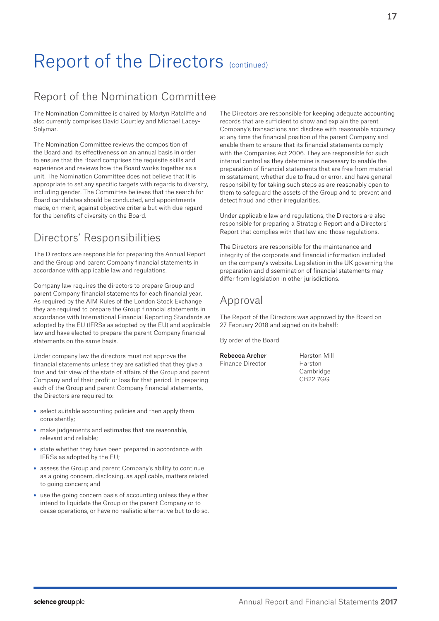# Report of the Nomination Committee

The Nomination Committee is chaired by Martyn Ratcliffe and also currently comprises David Courtley and Michael Lacey-Solymar.

The Nomination Committee reviews the composition of the Board and its effectiveness on an annual basis in order to ensure that the Board comprises the requisite skills and experience and reviews how the Board works together as a unit. The Nomination Committee does not believe that it is appropriate to set any specific targets with regards to diversity, including gender. The Committee believes that the search for Board candidates should be conducted, and appointments made, on merit, against objective criteria but with due regard for the benefits of diversity on the Board.

# Directors' Responsibilities

The Directors are responsible for preparing the Annual Report and the Group and parent Company financial statements in accordance with applicable law and regulations.

Company law requires the directors to prepare Group and parent Company financial statements for each financial year. As required by the AIM Rules of the London Stock Exchange they are required to prepare the Group financial statements in accordance with International Financial Reporting Standards as adopted by the EU (IFRSs as adopted by the EU) and applicable law and have elected to prepare the parent Company financial statements on the same basis.

Under company law the directors must not approve the financial statements unless they are satisfied that they give a true and fair view of the state of affairs of the Group and parent Company and of their profit or loss for that period. In preparing each of the Group and parent Company financial statements, the Directors are required to:

- select suitable accounting policies and then apply them consistently;
- make judgements and estimates that are reasonable, relevant and reliable;
- state whether they have been prepared in accordance with IFRSs as adopted by the EU;
- assess the Group and parent Company's ability to continue as a going concern, disclosing, as applicable, matters related to going concern; and
- use the going concern basis of accounting unless they either intend to liquidate the Group or the parent Company or to cease operations, or have no realistic alternative but to do so.

The Directors are responsible for keeping adequate accounting records that are sufficient to show and explain the parent Company's transactions and disclose with reasonable accuracy at any time the financial position of the parent Company and enable them to ensure that its financial statements comply with the Companies Act 2006. They are responsible for such internal control as they determine is necessary to enable the preparation of financial statements that are free from material misstatement, whether due to fraud or error, and have general responsibility for taking such steps as are reasonably open to them to safeguard the assets of the Group and to prevent and detect fraud and other irregularities.

Under applicable law and regulations, the Directors are also responsible for preparing a Strategic Report and a Directors' Report that complies with that law and those regulations.

The Directors are responsible for the maintenance and integrity of the corporate and financial information included on the company's website. Legislation in the UK governing the preparation and dissemination of financial statements may differ from legislation in other jurisdictions.

# Approval

The Report of the Directors was approved by the Board on 27 February 2018 and signed on its behalf:

By order of the Board

| Rebecca Archer   |
|------------------|
| Finance Director |
|                  |

Harston Mill Harston Cambridge CB22 7GG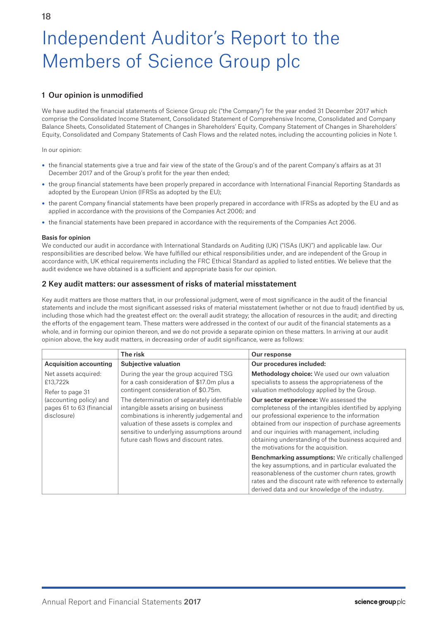# Independent Auditor's Report to the Members of Science Group plc

# 1 Our opinion is unmodified

We have audited the financial statements of Science Group plc ("the Company") for the year ended 31 December 2017 which comprise the Consolidated Income Statement, Consolidated Statement of Comprehensive Income, Consolidated and Company Balance Sheets, Consolidated Statement of Changes in Shareholders' Equity, Company Statement of Changes in Shareholders' Equity, Consolidated and Company Statements of Cash Flows and the related notes, including the accounting policies in Note 1.

In our opinion:

- the financial statements give a true and fair view of the state of the Group's and of the parent Company's affairs as at 31 December 2017 and of the Group's profit for the year then ended;
- the group financial statements have been properly prepared in accordance with International Financial Reporting Standards as adopted by the European Union (IFRSs as adopted by the EU);
- the parent Company financial statements have been properly prepared in accordance with IFRSs as adopted by the EU and as applied in accordance with the provisions of the Companies Act 2006; and
- the financial statements have been prepared in accordance with the requirements of the Companies Act 2006.

## Basis for opinion

We conducted our audit in accordance with International Standards on Auditing (UK) ("ISAs (UK)") and applicable law. Our responsibilities are described below. We have fulfilled our ethical responsibilities under, and are independent of the Group in accordance with, UK ethical requirements including the FRC Ethical Standard as applied to listed entities. We believe that the audit evidence we have obtained is a sufficient and appropriate basis for our opinion.

# 2 Key audit matters: our assessment of risks of material misstatement

Key audit matters are those matters that, in our professional judgment, were of most significance in the audit of the financial statements and include the most significant assessed risks of material misstatement (whether or not due to fraud) identified by us, including those which had the greatest effect on: the overall audit strategy; the allocation of resources in the audit; and directing the efforts of the engagement team. These matters were addressed in the context of our audit of the financial statements as a whole, and in forming our opinion thereon, and we do not provide a separate opinion on these matters. In arriving at our audit opinion above, the key audit matters, in decreasing order of audit significance, were as follows:

|                                                                     | The risk                                                                                                                                                                                                                                                               | Our response                                                                                                                                                                                                                                                                                                                                                     |
|---------------------------------------------------------------------|------------------------------------------------------------------------------------------------------------------------------------------------------------------------------------------------------------------------------------------------------------------------|------------------------------------------------------------------------------------------------------------------------------------------------------------------------------------------------------------------------------------------------------------------------------------------------------------------------------------------------------------------|
| <b>Acquisition accounting</b>                                       | <b>Subjective valuation</b>                                                                                                                                                                                                                                            | Our procedures included:                                                                                                                                                                                                                                                                                                                                         |
| Net assets acquired:<br>£13.722k<br>Refer to page 31                | During the year the group acquired TSG<br>for a cash consideration of \$17.0m plus a<br>contingent consideration of \$0.75m.                                                                                                                                           | Methodology choice: We used our own valuation<br>specialists to assess the appropriateness of the<br>valuation methodology applied by the Group.                                                                                                                                                                                                                 |
| (accounting policy) and<br>pages 61 to 63 (financial<br>disclosure) | The determination of separately identifiable<br>intangible assets arising on business<br>combinations is inherently judgemental and<br>valuation of these assets is complex and<br>sensitive to underlying assumptions around<br>future cash flows and discount rates. | <b>Our sector experience:</b> We assessed the<br>completeness of the intangibles identified by applying<br>our professional experience to the information<br>obtained from our inspection of purchase agreements<br>and our inquiries with management, including<br>obtaining understanding of the business acquired and<br>the motivations for the acquisition. |
|                                                                     |                                                                                                                                                                                                                                                                        | <b>Benchmarking assumptions:</b> We critically challenged<br>the key assumptions, and in particular evaluated the<br>reasonableness of the customer churn rates, growth<br>rates and the discount rate with reference to externally<br>derived data and our knowledge of the industry.                                                                           |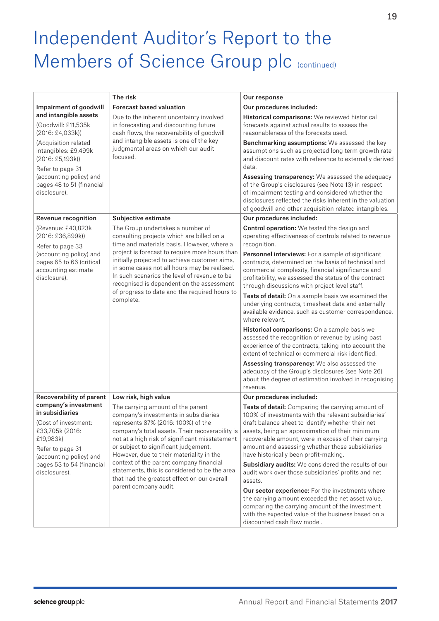# Independent Auditor's Report to the Members of Science Group plc (continued)

|                                                                                                                                                                                              | The risk                                                                                                                                                                                                                                                                                                                                                                                                                                                                      | Our response                                                                                                                                                                                                                                                                                                                                                                                                                                                                                                                                                                                                                                              |  |
|----------------------------------------------------------------------------------------------------------------------------------------------------------------------------------------------|-------------------------------------------------------------------------------------------------------------------------------------------------------------------------------------------------------------------------------------------------------------------------------------------------------------------------------------------------------------------------------------------------------------------------------------------------------------------------------|-----------------------------------------------------------------------------------------------------------------------------------------------------------------------------------------------------------------------------------------------------------------------------------------------------------------------------------------------------------------------------------------------------------------------------------------------------------------------------------------------------------------------------------------------------------------------------------------------------------------------------------------------------------|--|
| Impairment of goodwill                                                                                                                                                                       | <b>Forecast based valuation</b>                                                                                                                                                                                                                                                                                                                                                                                                                                               | Our procedures included:                                                                                                                                                                                                                                                                                                                                                                                                                                                                                                                                                                                                                                  |  |
| and intangible assets<br>(Goodwill: £11,535k<br>$(2016: \text{\textsterling}4, 033k))$                                                                                                       | Due to the inherent uncertainty involved<br>in forecasting and discounting future<br>cash flows, the recoverability of goodwill                                                                                                                                                                                                                                                                                                                                               | Historical comparisons: We reviewed historical<br>forecasts against actual results to assess the<br>reasonableness of the forecasts used.                                                                                                                                                                                                                                                                                                                                                                                                                                                                                                                 |  |
| (Acquisition related<br>intangibles: £9,499k<br>(2016: £5,193k))                                                                                                                             | and intangible assets is one of the key<br>judgmental areas on which our audit<br>focused.                                                                                                                                                                                                                                                                                                                                                                                    | Benchmarking assumptions: We assessed the key<br>assumptions such as projected long term growth rate<br>and discount rates with reference to externally derived<br>data.                                                                                                                                                                                                                                                                                                                                                                                                                                                                                  |  |
| Refer to page 31<br>(accounting policy) and<br>pages 48 to 51 (financial<br>disclosure).                                                                                                     |                                                                                                                                                                                                                                                                                                                                                                                                                                                                               | Assessing transparency: We assessed the adequacy<br>of the Group's disclosures (see Note 13) in respect<br>of impairment testing and considered whether the<br>disclosures reflected the risks inherent in the valuation<br>of goodwill and other acquisition related intangibles.                                                                                                                                                                                                                                                                                                                                                                        |  |
| Revenue recognition                                                                                                                                                                          | Subjective estimate                                                                                                                                                                                                                                                                                                                                                                                                                                                           | Our procedures included:                                                                                                                                                                                                                                                                                                                                                                                                                                                                                                                                                                                                                                  |  |
| (Revenue: £40,823k<br>(2016: £36,899k))                                                                                                                                                      | The Group undertakes a number of<br>consulting projects which are billed on a<br>time and materials basis. However, where a                                                                                                                                                                                                                                                                                                                                                   | <b>Control operation:</b> We tested the design and<br>operating effectiveness of controls related to revenue<br>recognition.                                                                                                                                                                                                                                                                                                                                                                                                                                                                                                                              |  |
| Refer to page 33<br>(accounting policy) and<br>pages 65 to 66 (critical<br>accounting estimate<br>disclosure).                                                                               | project is forecast to require more hours than<br>initially projected to achieve customer aims,<br>in some cases not all hours may be realised.<br>In such scenarios the level of revenue to be<br>recognised is dependent on the assessment                                                                                                                                                                                                                                  | Personnel interviews: For a sample of significant<br>contracts, determined on the basis of technical and<br>commercial complexity, financial significance and<br>profitability, we assessed the status of the contract<br>through discussions with project level staff.                                                                                                                                                                                                                                                                                                                                                                                   |  |
|                                                                                                                                                                                              | of progress to date and the required hours to<br>complete.                                                                                                                                                                                                                                                                                                                                                                                                                    | Tests of detail: On a sample basis we examined the<br>underlying contracts, timesheet data and externally<br>available evidence, such as customer correspondence,<br>where relevant.                                                                                                                                                                                                                                                                                                                                                                                                                                                                      |  |
|                                                                                                                                                                                              |                                                                                                                                                                                                                                                                                                                                                                                                                                                                               | Historical comparisons: On a sample basis we<br>assessed the recognition of revenue by using past<br>experience of the contracts, taking into account the<br>extent of technical or commercial risk identified.                                                                                                                                                                                                                                                                                                                                                                                                                                           |  |
|                                                                                                                                                                                              |                                                                                                                                                                                                                                                                                                                                                                                                                                                                               | Assessing transparency: We also assessed the<br>adequacy of the Group's disclosures (see Note 26)<br>about the degree of estimation involved in recognising<br>revenue.                                                                                                                                                                                                                                                                                                                                                                                                                                                                                   |  |
| <b>Recoverability of parent</b>                                                                                                                                                              | Low risk, high value                                                                                                                                                                                                                                                                                                                                                                                                                                                          | Our procedures included:                                                                                                                                                                                                                                                                                                                                                                                                                                                                                                                                                                                                                                  |  |
| company's investment<br>in subsidiaries<br>(Cost of investment:<br>£33,705k (2016:<br>£19,983k)<br>Refer to page 31<br>(accounting policy) and<br>pages 53 to 54 (financial<br>disclosures). | The carrying amount of the parent<br>company's investments in subsidiaries<br>represents 87% (2016: 100%) of the<br>company's total assets. Their recoverability is<br>not at a high risk of significant misstatement<br>or subject to significant judgement.<br>However, due to their materiality in the<br>context of the parent company financial<br>statements, this is considered to be the area<br>that had the greatest effect on our overall<br>parent company audit. | Tests of detail: Comparing the carrying amount of<br>100% of investments with the relevant subsidiaries'<br>draft balance sheet to identify whether their net<br>assets, being an approximation of their minimum<br>recoverable amount, were in excess of their carrying<br>amount and assessing whether those subsidiaries<br>have historically been profit-making.<br>Subsidiary audits: We considered the results of our<br>audit work over those subsidiaries' profits and net<br>assets.<br>Our sector experience: For the investments where<br>the carrying amount exceeded the net asset value,<br>comparing the carrying amount of the investment |  |
|                                                                                                                                                                                              |                                                                                                                                                                                                                                                                                                                                                                                                                                                                               | with the expected value of the business based on a<br>discounted cash flow model.                                                                                                                                                                                                                                                                                                                                                                                                                                                                                                                                                                         |  |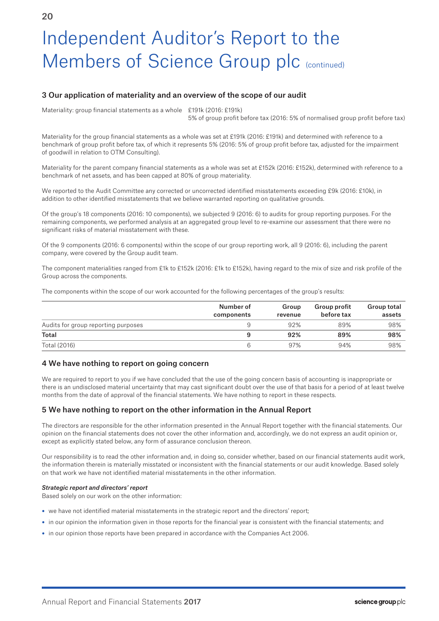# Independent Auditor's Report to the Members of Science Group plc (continued)

# 3 Our application of materiality and an overview of the scope of our audit

Materiality: group financial statements as a whole £191k (2016: £191k)

5% of group profit before tax (2016: 5% of normalised group profit before tax)

Materiality for the group financial statements as a whole was set at £191k (2016: £191k) and determined with reference to a benchmark of group profit before tax, of which it represents 5% (2016: 5% of group profit before tax, adjusted for the impairment of goodwill in relation to OTM Consulting).

Materiality for the parent company financial statements as a whole was set at £152k (2016: £152k), determined with reference to a benchmark of net assets, and has been capped at 80% of group materiality.

We reported to the Audit Committee any corrected or uncorrected identified misstatements exceeding £9k (2016: £10k), in addition to other identified misstatements that we believe warranted reporting on qualitative grounds.

Of the group's 18 components (2016: 10 components), we subjected 9 (2016: 6) to audits for group reporting purposes. For the remaining components, we performed analysis at an aggregated group level to re-examine our assessment that there were no significant risks of material misstatement with these.

Of the 9 components (2016: 6 components) within the scope of our group reporting work, all 9 (2016: 6), including the parent company, were covered by the Group audit team.

The component materialities ranged from £1k to £152k (2016: £1k to £152k), having regard to the mix of size and risk profile of the Group across the components.

The components within the scope of our work accounted for the following percentages of the group's results:

|                                     | Number of<br>components | Group<br>revenue | Group profit<br>before tax | <b>Group total</b><br>assets |
|-------------------------------------|-------------------------|------------------|----------------------------|------------------------------|
| Audits for group reporting purposes |                         | 92%              | 89%                        | 98%                          |
| Total                               | 9                       | 92%              | 89%                        | 98%                          |
| Total (2016)                        | b                       | 97%              | 94%                        | 98%                          |

# 4 We have nothing to report on going concern

We are required to report to you if we have concluded that the use of the going concern basis of accounting is inappropriate or there is an undisclosed material uncertainty that may cast significant doubt over the use of that basis for a period of at least twelve months from the date of approval of the financial statements. We have nothing to report in these respects.

# 5 We have nothing to report on the other information in the Annual Report

The directors are responsible for the other information presented in the Annual Report together with the financial statements. Our opinion on the financial statements does not cover the other information and, accordingly, we do not express an audit opinion or, except as explicitly stated below, any form of assurance conclusion thereon.

Our responsibility is to read the other information and, in doing so, consider whether, based on our financial statements audit work, the information therein is materially misstated or inconsistent with the financial statements or our audit knowledge. Based solely on that work we have not identified material misstatements in the other information.

# *Strategic report and directors' report*

Based solely on our work on the other information:

- we have not identified material misstatements in the strategic report and the directors' report;
- in our opinion the information given in those reports for the financial year is consistent with the financial statements; and
- in our opinion those reports have been prepared in accordance with the Companies Act 2006.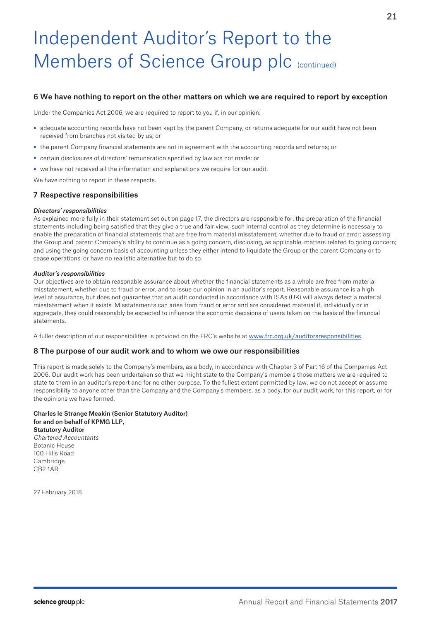# Independent Auditor's Report to the Members of Science Group plc (continued)

# 6 We have nothing to report on the other matters on which we are required to report by exception

Under the Companies Act 2006, we are required to report to you if, in our opinion:

- adequate accounting records have not been kept by the parent Company, or returns adequate for our audit have not been received from branches not visited by us; or
- the parent Company financial statements are not in agreement with the accounting records and returns; or
- certain disclosures of directors' remuneration specified by law are not made; or
- we have not received all the information and explanations we require for our audit.

We have nothing to report in these respects.

# 7 Respective responsibilities

### *Directors' responsibilities*

As explained more fully in their statement set out on page 17, the directors are responsible for: the preparation of the financial statements including being satisfied that they give a true and fair view; such internal control as they determine is necessary to enable the preparation of financial statements that are free from material misstatement, whether due to fraud or error; assessing the Group and parent Company's ability to continue as a going concern, disclosing, as applicable, matters related to going concern; and using the going concern basis of accounting unless they either intend to liquidate the Group or the parent Company or to cease operations, or have no realistic alternative but to do so.

### *Auditor's responsibilities*

Our objectives are to obtain reasonable assurance about whether the financial statements as a whole are free from material misstatement, whether due to fraud or error, and to issue our opinion in an auditor's report. Reasonable assurance is a high level of assurance, but does not guarantee that an audit conducted in accordance with ISAs (UK) will always detect a material misstatement when it exists. Misstatements can arise from fraud or error and are considered material if, individually or in aggregate, they could reasonably be expected to influence the economic decisions of users taken on the basis of the financial statements.

A fuller description of our responsibilities is provided on the FRC's website at www.frc.org.uk/auditorsresponsibilities.

## 8 The purpose of our audit work and to whom we owe our responsibilities

This report is made solely to the Company's members, as a body, in accordance with Chapter 3 of Part 16 of the Companies Act 2006. Our audit work has been undertaken so that we might state to the Company's members those matters we are required to state to them in an auditor's report and for no other purpose. To the fullest extent permitted by law, we do not accept or assume responsibility to anyone other than the Company and the Company's members, as a body, for our audit work, for this report, or for the opinions we have formed.

#### Charles le Strange Meakin (Senior Statutory Auditor) for and on behalf of KPMG LLP, Statutory Auditor Chartered Accountants

Botanic House 100 Hills Road **Cambridge** CB2 1AR

27 February 2018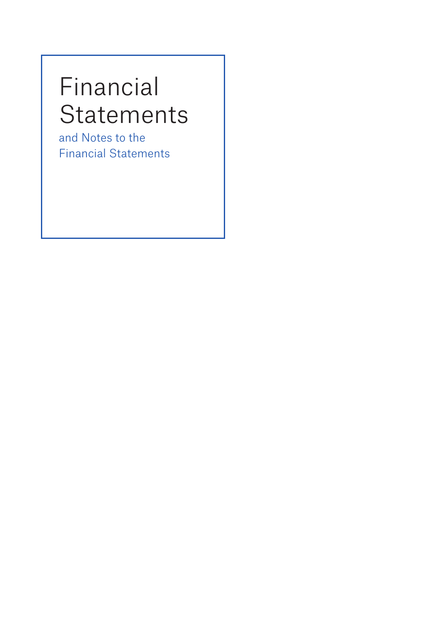# Financial Statements

and Notes to the Financial Statements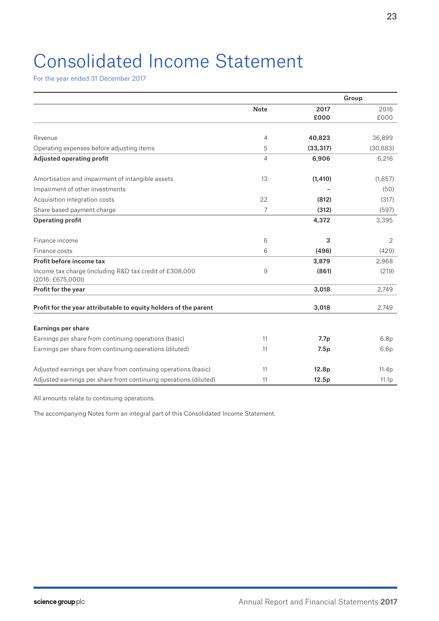# Consolidated Income Statement

For the year ended 31 December 2017

|                                                                                                   |             |                   | Group        |
|---------------------------------------------------------------------------------------------------|-------------|-------------------|--------------|
|                                                                                                   | <b>Note</b> | 2017<br>£000      | 2016<br>£000 |
| Revenue                                                                                           | 4           | 40,823            | 36,899       |
| Operating expenses before adjusting items                                                         | 5           | (33, 317)         | (30, 683)    |
| <b>Adjusted operating profit</b>                                                                  | 4           | 6,906             | 6,216        |
| Amortisation and impairment of intangible assets                                                  | 13          | (1, 410)          | (1, 857)     |
| Impairment of other investments                                                                   |             |                   | (50)         |
| Acquisition integration costs                                                                     | 22          | (812)             | (317)        |
| Share based payment charge                                                                        | 7           | (312)             | (597)        |
| <b>Operating profit</b>                                                                           |             | 4,372             | 3,395        |
| Finance income                                                                                    | 6           | 3                 | 2            |
| Finance costs                                                                                     | 6           | (496)             | (429)        |
| Profit before income tax                                                                          |             | 3,879             | 2,968        |
| Income tax charge (including R&D tax credit of £308,000<br>$(2016: \text{\textsterling}675,000))$ | 9           | (861)             | (219)        |
| Profit for the year                                                                               |             | 3,018             | 2,749        |
| Profit for the year attributable to equity holders of the parent                                  |             | 3,018             | 2,749        |
| <b>Earnings per share</b>                                                                         |             |                   |              |
| Earnings per share from continuing operations (basic)                                             | 11          | 7.7p              | 6.8p         |
| Earnings per share from continuing operations (diluted)                                           | 11          | 7.5p              | 6.6p         |
| Adjusted earnings per share from continuing operations (basic)                                    | 11          | 12.8 <sub>p</sub> | 11.4p        |
| Adjusted earnings per share from continuing operations (diluted)                                  | 11          | 12.5p             | 11.1p        |

All amounts relate to continuing operations.

The accompanying Notes form an integral part of this Consolidated Income Statement.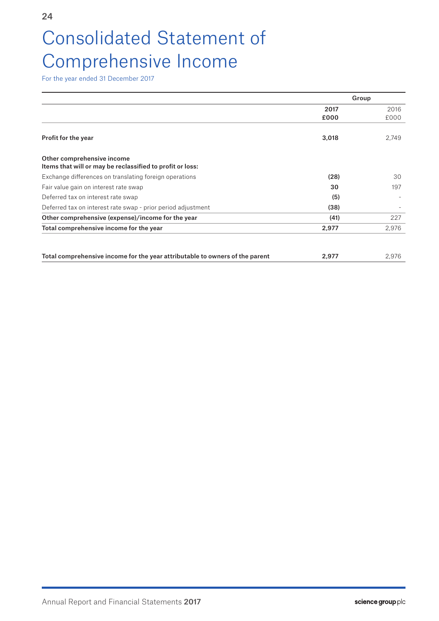# Consolidated Statement of Comprehensive Income

For the year ended 31 December 2017

|                                                                                         | Group |       |
|-----------------------------------------------------------------------------------------|-------|-------|
|                                                                                         | 2017  | 2016  |
|                                                                                         | £000  | £000  |
| <b>Profit for the year</b>                                                              | 3,018 | 2,749 |
| Other comprehensive income<br>Items that will or may be reclassified to profit or loss: |       |       |
| Exchange differences on translating foreign operations                                  | (28)  | 30    |
| Fair value gain on interest rate swap                                                   | 30    | 197   |
| Deferred tax on interest rate swap                                                      | (5)   |       |
| Deferred tax on interest rate swap - prior period adjustment                            | (38)  |       |
| Other comprehensive (expense)/income for the year                                       | (41)  | 227   |
| Total comprehensive income for the year                                                 | 2,977 | 2,976 |
|                                                                                         |       |       |
| Total comprehensive income for the year attributable to owners of the parent            | 2,977 | 2,976 |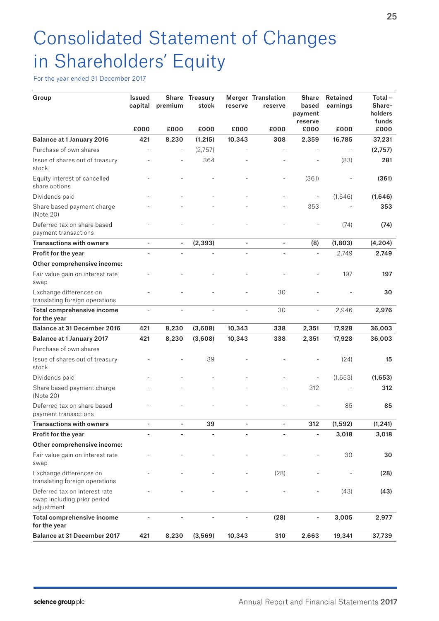# Consolidated Statement of Changes in Shareholders' Equity

For the year ended 31 December 2017

| Group                                                                      | <b>Issued</b><br>capital | <b>Share</b><br>premium  | <b>Treasury</b><br>stock | reserve | <b>Merger Translation</b><br>reserve | <b>Share</b><br>based<br>payment<br>reserve | Retained<br>earnings | Total-<br>Share-<br>holders<br>funds |
|----------------------------------------------------------------------------|--------------------------|--------------------------|--------------------------|---------|--------------------------------------|---------------------------------------------|----------------------|--------------------------------------|
|                                                                            | £000                     | £000                     | £000                     | £000    | £000                                 | £000                                        | £000                 | £000                                 |
| <b>Balance at 1 January 2016</b>                                           | 421                      | 8,230                    | (1, 215)                 | 10,343  | 308                                  | 2,359                                       | 16,785               | 37,231                               |
| Purchase of own shares                                                     |                          |                          | (2,757)                  |         |                                      |                                             |                      | (2,757)                              |
| Issue of shares out of treasury<br>stock                                   |                          |                          | 364                      |         |                                      |                                             | (83)                 | 281                                  |
| Equity interest of cancelled<br>share options                              |                          |                          |                          |         | $\overline{\phantom{m}}$             | (361)                                       |                      | (361)                                |
| Dividends paid                                                             |                          |                          |                          |         |                                      | $\blacksquare$                              | (1,646)              | (1,646)                              |
| Share based payment charge<br>(Note 20)                                    |                          |                          |                          |         |                                      | 353                                         |                      | 353                                  |
| Deferred tax on share based<br>payment transactions                        |                          |                          |                          |         |                                      |                                             | (74)                 | (74)                                 |
| <b>Transactions with owners</b>                                            |                          | $\overline{\phantom{a}}$ | (2, 393)                 |         |                                      | (8)                                         | (1,803)              | (4, 204)                             |
| Profit for the year                                                        |                          |                          |                          |         |                                      | ÷,                                          | 2.749                | 2,749                                |
| Other comprehensive income:                                                |                          |                          |                          |         |                                      |                                             |                      |                                      |
| Fair value gain on interest rate<br>swap                                   |                          |                          |                          |         |                                      |                                             | 197                  | 197                                  |
| Exchange differences on<br>translating foreign operations                  |                          |                          |                          |         | 30                                   |                                             |                      | 30                                   |
| Total comprehensive income<br>for the year                                 |                          |                          |                          |         | 30                                   | $\overline{\phantom{a}}$                    | 2,946                | 2,976                                |
| <b>Balance at 31 December 2016</b>                                         | 421                      | 8,230                    | (3,608)                  | 10,343  | 338                                  | 2,351                                       | 17,928               | 36,003                               |
| <b>Balance at 1 January 2017</b>                                           | 421                      | 8,230                    | (3,608)                  | 10,343  | 338                                  | 2,351                                       | 17,928               | 36,003                               |
| Purchase of own shares                                                     |                          |                          |                          |         |                                      |                                             |                      |                                      |
| Issue of shares out of treasury<br>stock                                   |                          |                          | 39                       |         |                                      |                                             | (24)                 | 15                                   |
| Dividends paid                                                             |                          |                          |                          |         |                                      | $\overline{\phantom{0}}$                    | (1,653)              | (1,653)                              |
| Share based payment charge<br>(Note 20)                                    |                          |                          |                          |         |                                      | 312                                         |                      | 312                                  |
| Deferred tax on share based<br>payment transactions                        |                          |                          |                          |         |                                      |                                             | 85                   | 85                                   |
| <b>Transactions with owners</b>                                            |                          |                          | 39                       |         |                                      | 312                                         | (1, 592)             | (1, 241)                             |
| Profit for the year                                                        | $\overline{\phantom{0}}$ | $\blacksquare$           | ÷,                       |         | $\overline{\phantom{a}}$             | $\overline{\phantom{0}}$                    | 3,018                | 3,018                                |
| Other comprehensive income:                                                |                          |                          |                          |         |                                      |                                             |                      |                                      |
| Fair value gain on interest rate<br>swap                                   |                          |                          |                          |         |                                      |                                             | 30                   | 30                                   |
| Exchange differences on<br>translating foreign operations                  |                          |                          |                          |         | (28)                                 |                                             |                      | (28)                                 |
| Deferred tax on interest rate<br>swap including prior period<br>adjustment |                          |                          |                          |         |                                      |                                             | (43)                 | (43)                                 |
| Total comprehensive income<br>for the year                                 |                          |                          |                          |         | (28)                                 | $\overline{\phantom{0}}$                    | 3,005                | 2,977                                |
| <b>Balance at 31 December 2017</b>                                         | 421                      | 8,230                    | (3, 569)                 | 10,343  | 310                                  | 2,663                                       | 19,341               | 37,739                               |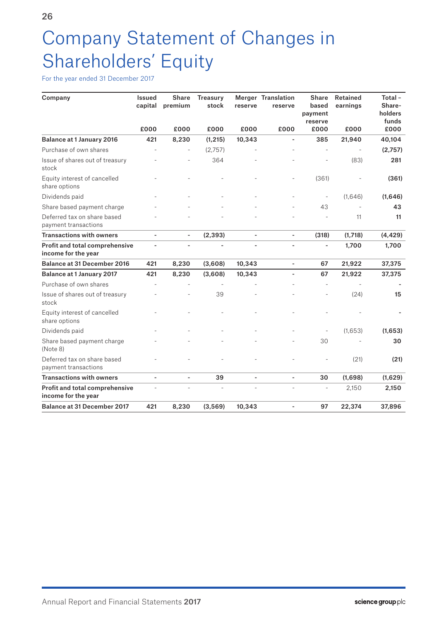# Company Statement of Changes in Shareholders' Equity

For the year ended 31 December 2017

| Company                                               | <b>Issued</b><br>capital | <b>Share</b><br>premium | <b>Treasury</b><br>stock | reserve | <b>Merger Translation</b><br>reserve | <b>Share</b><br>based<br>payment<br>reserve | <b>Retained</b><br>earnings | Total-<br>Share-<br>holders<br>funds |
|-------------------------------------------------------|--------------------------|-------------------------|--------------------------|---------|--------------------------------------|---------------------------------------------|-----------------------------|--------------------------------------|
|                                                       | £000                     | £000                    | £000                     | £000    | £000                                 | £000                                        | £000                        | £000                                 |
| <b>Balance at 1 January 2016</b>                      | 421                      | 8,230                   | (1, 215)                 | 10,343  |                                      | 385                                         | 21,940                      | 40,104                               |
| Purchase of own shares                                |                          |                         | (2,757)                  |         |                                      |                                             |                             | (2,757)                              |
| Issue of shares out of treasury<br>stock              |                          |                         | 364                      |         |                                      |                                             | (83)                        | 281                                  |
| Equity interest of cancelled<br>share options         |                          |                         |                          |         |                                      | (361)                                       |                             | (361)                                |
| Dividends paid                                        |                          |                         |                          |         |                                      | $\overline{\phantom{a}}$                    | (1,646)                     | (1,646)                              |
| Share based payment charge                            |                          |                         |                          |         |                                      | 43                                          |                             | 43                                   |
| Deferred tax on share based<br>payment transactions   |                          |                         |                          |         |                                      |                                             | 11                          | 11                                   |
| <b>Transactions with owners</b>                       | ÷,                       | $\blacksquare$          | (2, 393)                 | ÷,      | $\blacksquare$                       | (318)                                       | (1,718)                     | (4, 429)                             |
| Profit and total comprehensive<br>income for the year |                          |                         | ÷,                       |         |                                      | ä,                                          | 1,700                       | 1,700                                |
| <b>Balance at 31 December 2016</b>                    | 421                      | 8,230                   | (3,608)                  | 10,343  | ä,                                   | 67                                          | 21,922                      | 37,375                               |
| <b>Balance at 1 January 2017</b>                      | 421                      | 8,230                   | (3,608)                  | 10,343  | ÷,                                   | 67                                          | 21,922                      | 37,375                               |
| Purchase of own shares                                |                          |                         |                          |         |                                      |                                             |                             |                                      |
| Issue of shares out of treasury<br>stock              |                          |                         | 39                       |         |                                      |                                             | (24)                        | 15                                   |
| Equity interest of cancelled<br>share options         |                          |                         |                          |         |                                      |                                             |                             |                                      |
| Dividends paid                                        |                          |                         |                          |         |                                      | ÷,                                          | (1,653)                     | (1,653)                              |
| Share based payment charge<br>(Note 8)                |                          |                         |                          |         |                                      | 30                                          |                             | 30                                   |
| Deferred tax on share based<br>payment transactions   |                          |                         |                          |         |                                      |                                             | (21)                        | (21)                                 |
| <b>Transactions with owners</b>                       | ÷,                       | ÷,                      | 39                       | ÷,      |                                      | 30                                          | (1,698)                     | (1,629)                              |
| Profit and total comprehensive<br>income for the year |                          |                         |                          |         |                                      |                                             | 2,150                       | 2,150                                |
| <b>Balance at 31 December 2017</b>                    | 421                      | 8,230                   | (3, 569)                 | 10,343  |                                      | 97                                          | 22,374                      | 37,896                               |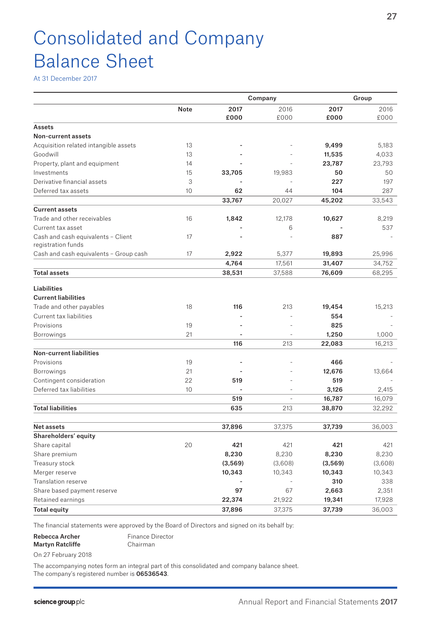# Consolidated and Company Balance Sheet

At 31 December 2017

|                                        | Company     |         |                          | Group         |               |  |
|----------------------------------------|-------------|---------|--------------------------|---------------|---------------|--|
|                                        | <b>Note</b> | 2017    | 2016                     | 2017          | 2016          |  |
|                                        |             | £000    | £000                     | £000          | £000          |  |
| Assets                                 |             |         |                          |               |               |  |
| Non-current assets                     |             |         |                          |               |               |  |
| Acquisition related intangible assets  | 13          |         |                          | 9,499         | 5,183         |  |
| Goodwill                               | 13          |         |                          | 11,535        | 4,033         |  |
| Property, plant and equipment          | 14          |         |                          | 23,787        | 23,793        |  |
| Investments                            | 15          | 33,705  | 19,983                   | 50            | 50            |  |
| Derivative financial assets            | 3           |         |                          | 227           | 197           |  |
| Deferred tax assets                    | 10          | 62      | 44                       | 104           | 287           |  |
|                                        |             | 33,767  | 20,027                   | 45,202        | 33,543        |  |
| <b>Current assets</b>                  |             |         |                          |               |               |  |
| Trade and other receivables            | 16          | 1,842   | 12,178                   | 10,627        | 8,219         |  |
| Current tax asset                      |             |         | 6                        |               | 537           |  |
| Cash and cash equivalents - Client     | 17          |         |                          | 887           |               |  |
| registration funds                     |             |         |                          |               |               |  |
| Cash and cash equivalents - Group cash | 17          | 2,922   | 5,377                    | 19,893        | 25,996        |  |
|                                        |             | 4,764   | 17,561                   | 31,407        | 34,752        |  |
| <b>Total assets</b>                    |             | 38,531  | 37,588                   | 76,609        | 68,295        |  |
| <b>Liabilities</b>                     |             |         |                          |               |               |  |
| <b>Current liabilities</b>             |             |         |                          |               |               |  |
| Trade and other payables               | 18          | 116     | 213                      | 19,454        | 15,213        |  |
| Current tax liabilities                |             |         |                          | 554           |               |  |
| Provisions                             | 19          |         |                          | 825           |               |  |
| Borrowings                             | 21          |         |                          | 1,250         | 1,000         |  |
|                                        |             | 116     | 213                      | 22,083        | 16,213        |  |
| <b>Non-current liabilities</b>         |             |         |                          |               |               |  |
| Provisions                             | 19          |         |                          | 466           |               |  |
| <b>Borrowings</b>                      | 21          |         |                          | 12,676        | 13,664        |  |
| Contingent consideration               | 22          | 519     |                          | 519           |               |  |
| Deferred tax liabilities               | 10          |         |                          | 3,126         | 2,415         |  |
|                                        |             | 519     | $\overline{\phantom{a}}$ | 16,787        | 16,079        |  |
| <b>Total liabilities</b>               |             | 635     | 213                      | 38,870        | 32,292        |  |
| <b>Net assets</b>                      |             | 37,896  | 37,375                   | 37,739        | 36,003        |  |
| Shareholders' equity                   |             |         |                          |               |               |  |
| Share capital                          | 20          | 421     | 421                      | 421           | 421           |  |
| Share premium                          |             | 8,230   | 8,230                    | 8,230         | 8,230         |  |
| Treasury stock                         |             | (3,569) | (3,608)                  |               | (3,608)       |  |
| Merger reserve                         |             | 10,343  | 10,343                   | (3,569)       |               |  |
| Translation reserve                    |             |         |                          | 10,343<br>310 | 10,343<br>338 |  |
| Share based payment reserve            |             | 97      | 67                       | 2,663         | 2,351         |  |
| Retained earnings                      |             | 22,374  | 21,922                   | 19,341        | 17,928        |  |
|                                        |             |         |                          |               |               |  |
| <b>Total equity</b>                    |             | 37,896  | 37,375                   | 37,739        | 36,003        |  |

The financial statements were approved by the Board of Directors and signed on its behalf by:

#### Rebecca Archer Martyn Ratcliffe Finance Director Chairman

On 27 February 2018

The accompanying notes form an integral part of this consolidated and company balance sheet. The company's registered number is 06536543.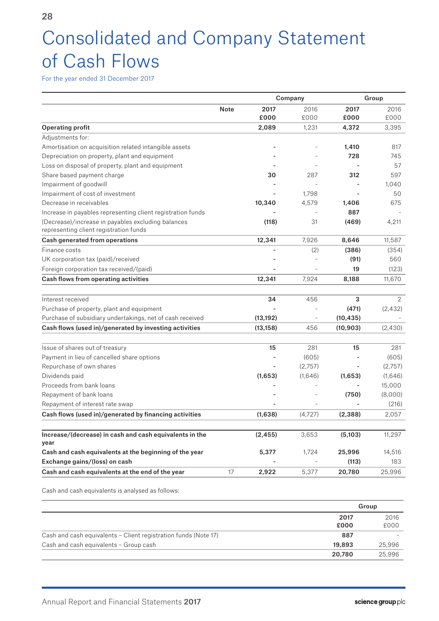# Consolidated and Company Statement of Cash Flows

For the year ended 31 December 2017

|                                                                                              |             | Company   |         | Group          |         |
|----------------------------------------------------------------------------------------------|-------------|-----------|---------|----------------|---------|
|                                                                                              | <b>Note</b> | 2017      | 2016    | 2017           | 2016    |
|                                                                                              |             | £000      | £000    | £000           | £000    |
| <b>Operating profit</b>                                                                      |             | 2,089     | 1,231   | 4,372          | 3,395   |
| Adjustments for:                                                                             |             |           |         |                |         |
| Amortisation on acquisition related intangible assets                                        |             |           |         | 1,410          | 817     |
| Depreciation on property, plant and equipment                                                |             |           |         | 728            | 745     |
| Loss on disposal of property, plant and equipment                                            |             |           |         |                | 57      |
| Share based payment charge                                                                   |             | 30        | 287     | 312            | 597     |
| Impairment of goodwill                                                                       |             |           |         | $\blacksquare$ | 1.040   |
| Impairment of cost of investment                                                             |             |           | 1,798   |                | 50      |
| Decrease in receivables                                                                      |             | 10,340    | 4,579   | 1,406          | 675     |
| Increase in payables representing client registration funds                                  |             |           |         | 887            |         |
| (Decrease)/increase in payables excluding balances<br>representing client registration funds |             | (118)     | 31      | (469)          | 4,211   |
| Cash generated from operations                                                               |             | 12,341    | 7,926   | 8,646          | 11,587  |
| Finance costs                                                                                |             |           | (2)     | (386)          | (354)   |
| UK corporation tax (paid)/received                                                           |             |           |         | (91)           | 560     |
| Foreign corporation tax received/(paid)                                                      |             |           |         | 19             | (123)   |
| Cash flows from operating activities                                                         |             | 12,341    | 7,924   | 8,188          | 11,670  |
| Interest received                                                                            |             | 34        | 456     | 3              | 2       |
| Purchase of property, plant and equipment                                                    |             |           |         | (471)          | (2,432) |
| Purchase of subsidiary undertakings, net of cash received                                    |             | (13, 192) |         | (10, 435)      |         |
| Cash flows (used in)/generated by investing activities                                       |             | (13, 158) | 456     | (10, 903)      | (2,430) |
|                                                                                              |             |           |         |                |         |
| Issue of shares out of treasury                                                              |             | 15        | 281     | 15             | 281     |
| Payment in lieu of cancelled share options                                                   |             |           | (605)   |                | (605)   |
| Repurchase of own shares                                                                     |             |           | (2,757) |                | (2,757) |
| Dividends paid                                                                               |             | (1,653)   | (1,646) | (1,653)        | (1,646) |
| Proceeds from bank loans                                                                     |             |           |         |                | 15,000  |
| Repayment of bank loans                                                                      |             |           |         | (750)          | (8,000) |
| Repayment of interest rate swap                                                              |             |           |         |                | (216)   |
| Cash flows (used in)/generated by financing activities                                       |             | (1,638)   | (4,727) | (2, 388)       | 2,057   |
|                                                                                              |             |           |         |                |         |
| Increase/(decrease) in cash and cash equivalents in the<br>year                              |             | (2, 455)  | 3,653   | (5,103)        | 11,297  |
| Cash and cash equivalents at the beginning of the year                                       |             | 5,377     | 1,724   | 25,996         | 14,516  |
| Exchange gains/(loss) on cash                                                                |             |           |         | (113)          | 183     |
| Cash and cash equivalents at the end of the year                                             | 17          | 2,922     | 5,377   | 20,780         | 25,996  |

Cash and cash equivalents is analysed as follows:

|                                                                        | Group  |  |
|------------------------------------------------------------------------|--------|--|
| 2017                                                                   | 2016   |  |
| £000                                                                   | £000   |  |
| Cash and cash equivalents - Client registration funds (Note 17)<br>887 |        |  |
| Cash and cash equivalents - Group cash<br>19,893                       | 25,996 |  |
| 20,780                                                                 | 25,996 |  |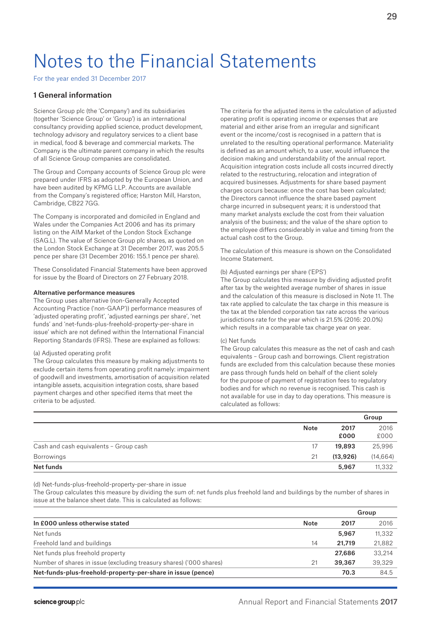# Notes to the Financial Statements

For the year ended 31 December 2017

# 1 General information

Science Group plc (the 'Company') and its subsidiaries (together 'Science Group' or 'Group') is an international consultancy providing applied science, product development, technology advisory and regulatory services to a client base in medical, food & beverage and commercial markets. The Company is the ultimate parent company in which the results of all Science Group companies are consolidated.

The Group and Company accounts of Science Group plc were prepared under IFRS as adopted by the European Union, and have been audited by KPMG LLP. Accounts are available from the Company's registered office; Harston Mill, Harston, Cambridge, CB22 7GG.

The Company is incorporated and domiciled in England and Wales under the Companies Act 2006 and has its primary listing on the AIM Market of the London Stock Exchange (SAG.L). The value of Science Group plc shares, as quoted on the London Stock Exchange at 31 December 2017, was 205.5 pence per share (31 December 2016: 155.1 pence per share).

These Consolidated Financial Statements have been approved for issue by the Board of Directors on 27 February 2018.

### Alternative performance measures

The Group uses alternative (non-Generally Accepted Accounting Practice ('non-GAAP')) performance measures of 'adjusted operating profit', 'adjusted earnings per share', 'net funds' and 'net-funds-plus-freehold-property-per-share in issue' which are not defined within the International Financial Reporting Standards (IFRS). These are explained as follows:

#### (a) Adjusted operating profit

The Group calculates this measure by making adjustments to exclude certain items from operating profit namely: impairment of goodwill and investments, amortisation of acquisition related intangible assets, acquisition integration costs, share based payment charges and other specified items that meet the criteria to be adjusted.

The criteria for the adjusted items in the calculation of adjusted operating profit is operating income or expenses that are material and either arise from an irregular and significant event or the income/cost is recognised in a pattern that is unrelated to the resulting operational performance. Materiality is defined as an amount which, to a user, would influence the decision making and understandability of the annual report. Acquisition integration costs include all costs incurred directly related to the restructuring, relocation and integration of acquired businesses. Adjustments for share based payment charges occurs because: once the cost has been calculated; the Directors cannot influence the share based payment charge incurred in subsequent years; it is understood that many market analysts exclude the cost from their valuation analysis of the business; and the value of the share option to the employee differs considerably in value and timing from the actual cash cost to the Group.

The calculation of this measure is shown on the Consolidated Income Statement.

### (b) Adjusted earnings per share ('EPS')

The Group calculates this measure by dividing adjusted profit after tax by the weighted average number of shares in issue and the calculation of this measure is disclosed in Note 11. The tax rate applied to calculate the tax charge in this measure is the tax at the blended corporation tax rate across the various jurisdictions rate for the year which is 21.5% (2016: 20.0%) which results in a comparable tax charge year on year.

#### (c) Net funds

The Group calculates this measure as the net of cash and cash equivalents – Group cash and borrowings. Client registration funds are excluded from this calculation because these monies are pass through funds held on behalf of the client solely for the purpose of payment of registration fees to regulatory bodies and for which no revenue is recognised. This cash is not available for use in day to day operations. This measure is calculated as follows:

|                                        |             |          | Group     |
|----------------------------------------|-------------|----------|-----------|
|                                        | <b>Note</b> | 2017     | 2016      |
|                                        |             | £000     | £000      |
| Cash and cash equivalents - Group cash | 17          | 19,893   | 25,996    |
| Borrowings                             | 21          | (13,926) | (14, 664) |
| Net funds                              |             | 5,967    | 11,332    |

(d) Net-funds-plus-freehold-property-per-share in issue

The Group calculates this measure by dividing the sum of: net funds plus freehold land and buildings by the number of shares in issue at the balance sheet date. This is calculated as follows:

|                                                                     |      |        | Group  |
|---------------------------------------------------------------------|------|--------|--------|
| In £000 unless otherwise stated                                     | Note | 2017   | 2016   |
| Net funds                                                           |      | 5.967  | 11,332 |
| Freehold land and buildings                                         | 14   | 21,719 | 21,882 |
| Net funds plus freehold property                                    |      | 27,686 | 33,214 |
| Number of shares in issue (excluding treasury shares) ('000 shares) | 21   | 39,367 | 39,329 |
| Net-funds-plus-freehold-property-per-share in issue (pence)         |      | 70.3   | 84.5   |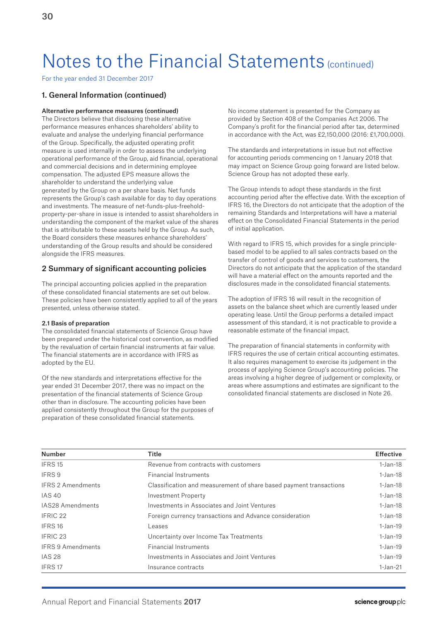For the year ended 31 December 2017

# 1. General Information (continued)

#### Alternative performance measures (continued)

The Directors believe that disclosing these alternative performance measures enhances shareholders' ability to evaluate and analyse the underlying financial performance of the Group. Specifically, the adjusted operating profit measure is used internally in order to assess the underlying operational performance of the Group, aid financial, operational and commercial decisions and in determining employee compensation. The adjusted EPS measure allows the shareholder to understand the underlying value generated by the Group on a per share basis. Net funds represents the Group's cash available for day to day operations and investments. The measure of net-funds-plus-freeholdproperty-per-share in issue is intended to assist shareholders in understanding the component of the market value of the shares that is attributable to these assets held by the Group. As such, the Board considers these measures enhance shareholders' understanding of the Group results and should be considered alongside the IFRS measures.

### 2 Summary of significant accounting policies

The principal accounting policies applied in the preparation of these consolidated financial statements are set out below. These policies have been consistently applied to all of the years presented, unless otherwise stated.

#### 2.1 Basis of preparation

The consolidated financial statements of Science Group have been prepared under the historical cost convention, as modified by the revaluation of certain financial instruments at fair value. The financial statements are in accordance with IFRS as adopted by the EU.

Of the new standards and interpretations effective for the year ended 31 December 2017, there was no impact on the presentation of the financial statements of Science Group other than in disclosure. The accounting policies have been applied consistently throughout the Group for the purposes of preparation of these consolidated financial statements.

No income statement is presented for the Company as provided by Section 408 of the Companies Act 2006. The Company's profit for the financial period after tax, determined in accordance with the Act, was £2,150,000 (2016: £1,700,000).

The standards and interpretations in issue but not effective for accounting periods commencing on 1 January 2018 that may impact on Science Group going forward are listed below. Science Group has not adopted these early.

The Group intends to adopt these standards in the first accounting period after the effective date. With the exception of IFRS 16, the Directors do not anticipate that the adoption of the remaining Standards and Interpretations will have a material effect on the Consolidated Financial Statements in the period of initial application.

With regard to IFRS 15, which provides for a single principlebased model to be applied to all sales contracts based on the transfer of control of goods and services to customers, the Directors do not anticipate that the application of the standard will have a material effect on the amounts reported and the disclosures made in the consolidated financial statements.

The adoption of IFRS 16 will result in the recognition of assets on the balance sheet which are currently leased under operating lease. Until the Group performs a detailed impact assessment of this standard, it is not practicable to provide a reasonable estimate of the financial impact.

The preparation of financial statements in conformity with IFRS requires the use of certain critical accounting estimates. It also requires management to exercise its judgement in the process of applying Science Group's accounting policies. The areas involving a higher degree of judgement or complexity, or areas where assumptions and estimates are significant to the consolidated financial statements are disclosed in Note 26.

| <b>Number</b>            | <b>Title</b>                                                       | <b>Effective</b> |
|--------------------------|--------------------------------------------------------------------|------------------|
| IFRS 15                  | Revenue from contracts with customers                              | $1-Jan-18$       |
| IFRS 9                   | <b>Financial Instruments</b>                                       | $1-Jan-18$       |
| <b>IFRS 2 Amendments</b> | Classification and measurement of share based payment transactions | $1$ -Jan-18      |
| <b>IAS 40</b>            | Investment Property                                                | $1-Jan-18$       |
| IAS28 Amendments         | Investments in Associates and Joint Ventures                       | $1$ -Jan-18      |
| IFRIC 22                 | Foreign currency transactions and Advance consideration            | $1-Jan-18$       |
| IFRS 16                  | Leases                                                             | $1$ -Jan-19      |
| IFRIC <sub>23</sub>      | Uncertainty over Income Tax Treatments                             | $1$ -Jan-19      |
| <b>IFRS 9 Amendments</b> | <b>Financial Instruments</b>                                       | $1-Jan-19$       |
| <b>IAS 28</b>            | Investments in Associates and Joint Ventures                       | $1$ -Jan-19      |
| IFRS 17                  | Insurance contracts                                                | $1-Jan-21$       |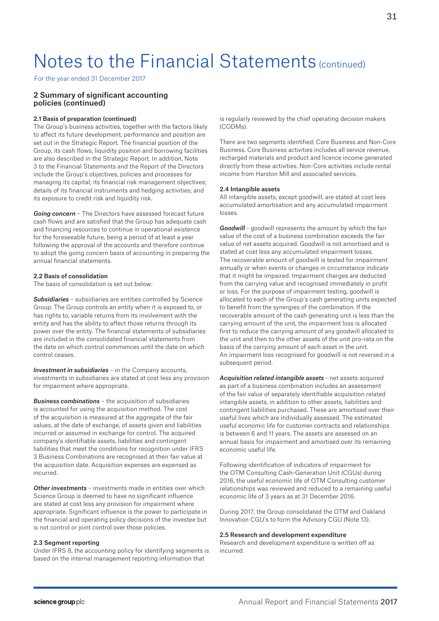For the year ended 31 December 2017

# 2 Summary of significant accounting policies (continued)

#### 2.1 Basis of preparation (continued)

The Group's business activities, together with the factors likely to affect its future development, performance and position are set out in the Strategic Report. The financial position of the Group, its cash flows, liquidity position and borrowing facilities are also described in the Strategic Report. In addition, Note 3 to the Financial Statements and the Report of the Directors include the Group's objectives, policies and processes for managing its capital; its financial risk management objectives; details of its financial instruments and hedging activities; and its exposure to credit risk and liquidity risk.

*Going concern* – The Directors have assessed forecast future cash flows and are satisfied that the Group has adequate cash and financing resources to continue in operational existence for the foreseeable future, being a period of at least a year following the approval of the accounts and therefore continue to adopt the going concern basis of accounting in preparing the annual financial statements.

### 2.2 Basis of consolidation

The basis of consolidation is set out below:

*Subsidiaries* – subsidiaries are entities controlled by Science Group. The Group controls an entity when it is exposed to, or has rights to, variable returns from its involvement with the entity and has the ability to affect those returns through its power over the entity. The financial statements of subsidiaries are included in the consolidated financial statements from the date on which control commences until the date on which control ceases.

*Investment in subsidiaries* – in the Company accounts, investments in subsidiaries are stated at cost less any provision for impairment where appropriate.

*Business combinations* – the acquisition of subsidiaries is accounted for using the acquisition method. The cost of the acquisition is measured at the aggregate of the fair values, at the date of exchange, of assets given and liabilities incurred or assumed in exchange for control. The acquired company's identifiable assets, liabilities and contingent liabilities that meet the conditions for recognition under IFRS 3 Business Combinations are recognised at their fair value at the acquisition date. Acquisition expenses are expensed as incurred.

*Other investments* – investments made in entities over which Science Group is deemed to have no significant influence are stated at cost less any provision for impairment where appropriate. Significant influence is the power to participate in the financial and operating policy decisions of the investee but is not control or joint control over those policies.

#### 2.3 Segment reporting

Under IFRS 8, the accounting policy for identifying segments is based on the internal management reporting information that

is regularly reviewed by the chief operating decision makers (CODMs).

There are two segments identified; Core Business and Non-Core Business. Core Business activities includes all service revenue, recharged materials and product and licence income generated directly from these activities. Non-Core activities include rental income from Harston Mill and associated services.

## 2.4 Intangible assets

All intangible assets, except goodwill, are stated at cost less accumulated amortisation and any accumulated impairment losses.

*Goodwill* - goodwill represents the amount by which the fair value of the cost of a business combination exceeds the fair value of net assets acquired. Goodwill is not amortised and is stated at cost less any accumulated impairment losses. The recoverable amount of goodwill is tested for impairment annually or when events or changes in circumstance indicate that it might be impaired. Impairment charges are deducted from the carrying value and recognised immediately in profit or loss. For the purpose of impairment testing, goodwill is allocated to each of the Group's cash generating units expected to benefit from the synergies of the combination. If the recoverable amount of the cash generating unit is less than the carrying amount of the unit, the impairment loss is allocated first to reduce the carrying amount of any goodwill allocated to the unit and then to the other assets of the unit pro-rata on the basis of the carrying amount of each asset in the unit. An impairment loss recognised for goodwill is not reversed in a subsequent period.

*Acquisition related intangible assets* - net assets acquired as part of a business combination includes an assessment of the fair value of separately identifiable acquisition related intangible assets, in addition to other assets, liabilities and contingent liabilities purchased. These are amortised over their useful lives which are individually assessed. The estimated useful economic life for customer contracts and relationships is between 6 and 11 years. The assets are assessed on an annual basis for impairment and amortised over its remaining economic useful life.

Following identification of indicators of impairment for the OTM Consulting Cash-Generation Unit (CGUs) during 2016, the useful economic life of OTM Consulting customer relationships was reviewed and reduced to a remaining useful economic life of 3 years as at 31 December 2016.

During 2017, the Group consolidated the OTM and Oakland Innovation CGU's to form the Advisory CGU (Note 13).

#### 2.5 Research and development expenditure

Research and development expenditure is written off as incurred.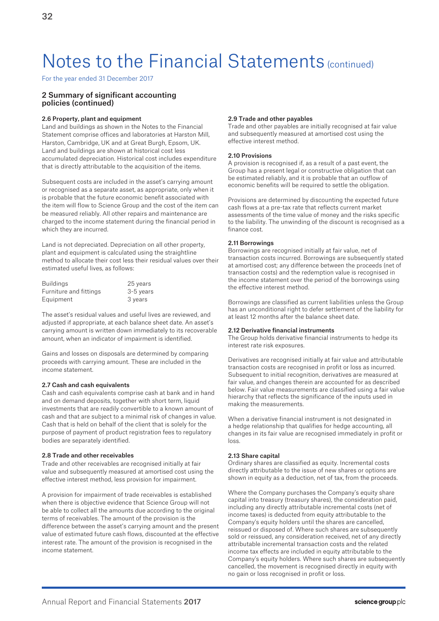For the year ended 31 December 2017

# 2 Summary of significant accounting policies (continued)

#### 2.6 Property, plant and equipment

Land and buildings as shown in the Notes to the Financial Statement comprise offices and laboratories at Harston Mill, Harston, Cambridge, UK and at Great Burgh, Epsom, UK. Land and buildings are shown at historical cost less accumulated depreciation. Historical cost includes expenditure that is directly attributable to the acquisition of the items.

Subsequent costs are included in the asset's carrying amount or recognised as a separate asset, as appropriate, only when it is probable that the future economic benefit associated with the item will flow to Science Group and the cost of the item can be measured reliably. All other repairs and maintenance are charged to the income statement during the financial period in which they are incurred.

Land is not depreciated. Depreciation on all other property, plant and equipment is calculated using the straightline method to allocate their cost less their residual values over their estimated useful lives, as follows:

| <b>Buildings</b>       | 25 years  |
|------------------------|-----------|
| Furniture and fittings | 3-5 years |
| Equipment              | 3 years   |

The asset's residual values and useful lives are reviewed, and adjusted if appropriate, at each balance sheet date. An asset's carrying amount is written down immediately to its recoverable amount, when an indicator of impairment is identified.

Gains and losses on disposals are determined by comparing proceeds with carrying amount. These are included in the income statement.

#### 2.7 Cash and cash equivalents

Cash and cash equivalents comprise cash at bank and in hand and on demand deposits, together with short term, liquid investments that are readily convertible to a known amount of cash and that are subject to a minimal risk of changes in value. Cash that is held on behalf of the client that is solely for the purpose of payment of product registration fees to regulatory bodies are separately identified.

### 2.8 Trade and other receivables

Trade and other receivables are recognised initially at fair value and subsequently measured at amortised cost using the effective interest method, less provision for impairment.

A provision for impairment of trade receivables is established when there is objective evidence that Science Group will not be able to collect all the amounts due according to the original terms of receivables. The amount of the provision is the difference between the asset's carrying amount and the present value of estimated future cash flows, discounted at the effective interest rate. The amount of the provision is recognised in the income statement.

#### 2.9 Trade and other payables

Trade and other payables are initially recognised at fair value and subsequently measured at amortised cost using the effective interest method.

### 2.10 Provisions

A provision is recognised if, as a result of a past event, the Group has a present legal or constructive obligation that can be estimated reliably, and it is probable that an outflow of economic benefits will be required to settle the obligation.

Provisions are determined by discounting the expected future cash flows at a pre-tax rate that reflects current market assessments of the time value of money and the risks specific to the liability. The unwinding of the discount is recognised as a finance cost.

#### 2.11 Borrowings

Borrowings are recognised initially at fair value, net of transaction costs incurred. Borrowings are subsequently stated at amortised cost; any difference between the proceeds (net of transaction costs) and the redemption value is recognised in the income statement over the period of the borrowings using the effective interest method.

Borrowings are classified as current liabilities unless the Group has an unconditional right to defer settlement of the liability for at least 12 months after the balance sheet date.

#### 2.12 Derivative financial instruments

The Group holds derivative financial instruments to hedge its interest rate risk exposures.

Derivatives are recognised initially at fair value and attributable transaction costs are recognised in profit or loss as incurred. Subsequent to initial recognition, derivatives are measured at fair value, and changes therein are accounted for as described below. Fair value measurements are classified using a fair value hierarchy that reflects the significance of the inputs used in making the measurements.

When a derivative financial instrument is not designated in a hedge relationship that qualifies for hedge accounting, all changes in its fair value are recognised immediately in profit or loss.

#### 2.13 Share capital

Ordinary shares are classified as equity. Incremental costs directly attributable to the issue of new shares or options are shown in equity as a deduction, net of tax, from the proceeds.

Where the Company purchases the Company's equity share capital into treasury (treasury shares), the consideration paid, including any directly attributable incremental costs (net of income taxes) is deducted from equity attributable to the Company's equity holders until the shares are cancelled, reissued or disposed of. Where such shares are subsequently sold or reissued, any consideration received, net of any directly attributable incremental transaction costs and the related income tax effects are included in equity attributable to the Company's equity holders. Where such shares are subsequently cancelled, the movement is recognised directly in equity with no gain or loss recognised in profit or loss.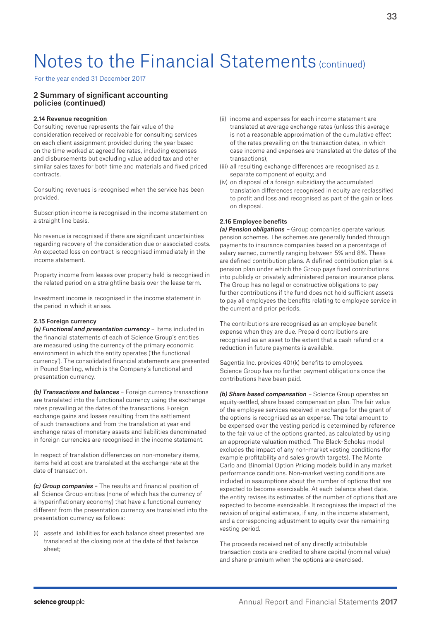For the year ended 31 December 2017

# 2 Summary of significant accounting policies (continued)

### 2.14 Revenue recognition

Consulting revenue represents the fair value of the consideration received or receivable for consulting services on each client assignment provided during the year based on the time worked at agreed fee rates, including expenses and disbursements but excluding value added tax and other similar sales taxes for both time and materials and fixed priced contracts.

Consulting revenues is recognised when the service has been provided.

Subscription income is recognised in the income statement on a straight line basis.

No revenue is recognised if there are significant uncertainties regarding recovery of the consideration due or associated costs. An expected loss on contract is recognised immediately in the income statement.

Property income from leases over property held is recognised in the related period on a straightline basis over the lease term.

Investment income is recognised in the income statement in the period in which it arises.

## 2.15 Foreign currency

*(a) Functional and presentation currency* – Items included in the financial statements of each of Science Group's entities are measured using the currency of the primary economic environment in which the entity operates ('the functional currency'). The consolidated financial statements are presented in Pound Sterling, which is the Company's functional and presentation currency.

*(b) Transactions and balances* – Foreign currency transactions are translated into the functional currency using the exchange rates prevailing at the dates of the transactions. Foreign exchange gains and losses resulting from the settlement of such transactions and from the translation at year end exchange rates of monetary assets and liabilities denominated in foreign currencies are recognised in the income statement.

In respect of translation differences on non-monetary items, items held at cost are translated at the exchange rate at the date of transaction.

*(c) Group companies* – The results and financial position of all Science Group entities (none of which has the currency of a hyperinflationary economy) that have a functional currency different from the presentation currency are translated into the presentation currency as follows:

(i) assets and liabilities for each balance sheet presented are translated at the closing rate at the date of that balance sheet;

- (ii) income and expenses for each income statement are translated at average exchange rates (unless this average is not a reasonable approximation of the cumulative effect of the rates prevailing on the transaction dates, in which case income and expenses are translated at the dates of the transactions);
- (iii) all resulting exchange differences are recognised as a separate component of equity; and
- (iv) on disposal of a foreign subsidiary the accumulated translation differences recognised in equity are reclassified to profit and loss and recognised as part of the gain or loss on disposal.

# 2.16 Employee benefits

*(a) Pension obligations* – Group companies operate various pension schemes. The schemes are generally funded through payments to insurance companies based on a percentage of salary earned, currently ranging between 5% and 8%. These are defined contribution plans. A defined contribution plan is a pension plan under which the Group pays fixed contributions into publicly or privately administered pension insurance plans. The Group has no legal or constructive obligations to pay further contributions if the fund does not hold sufficient assets to pay all employees the benefits relating to employee service in the current and prior periods.

The contributions are recognised as an employee benefit expense when they are due. Prepaid contributions are recognised as an asset to the extent that a cash refund or a reduction in future payments is available.

Sagentia Inc. provides 401(k) benefits to employees. Science Group has no further payment obligations once the contributions have been paid.

*(b) Share based compensation* – Science Group operates an equity-settled, share based compensation plan. The fair value of the employee services received in exchange for the grant of the options is recognised as an expense. The total amount to be expensed over the vesting period is determined by reference to the fair value of the options granted, as calculated by using an appropriate valuation method. The Black-Scholes model excludes the impact of any non-market vesting conditions (for example profitability and sales growth targets). The Monte Carlo and Binomial Option Pricing models build in any market performance conditions. Non-market vesting conditions are included in assumptions about the number of options that are expected to become exercisable. At each balance sheet date, the entity revises its estimates of the number of options that are expected to become exercisable. It recognises the impact of the revision of original estimates, if any, in the income statement, and a corresponding adjustment to equity over the remaining vesting period.

The proceeds received net of any directly attributable transaction costs are credited to share capital (nominal value) and share premium when the options are exercised.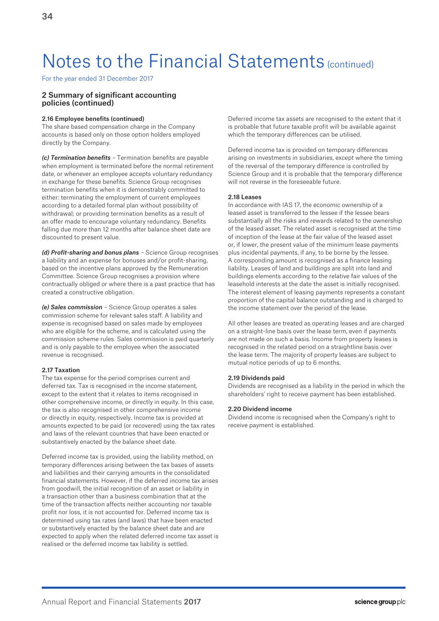For the year ended 31 December 2017

# 2 Summary of significant accounting policies (continued)

#### 2.16 Employee benefits (continued)

The share based compensation charge in the Company accounts is based only on those option holders employed directly by the Company.

*(c) Termination benefits* – Termination benefits are payable when employment is terminated before the normal retirement date, or whenever an employee accepts voluntary redundancy in exchange for these benefits. Science Group recognises termination benefits when it is demonstrably committed to either: terminating the employment of current employees according to a detailed formal plan without possibility of withdrawal; or providing termination benefits as a result of an offer made to encourage voluntary redundancy. Benefits falling due more than 12 months after balance sheet date are discounted to present value.

*(d) Profit-sharing and bonus plans* – Science Group recognises a liability and an expense for bonuses and/or profit-sharing, based on the incentive plans approved by the Remuneration Committee. Science Group recognises a provision where contractually obliged or where there is a past practice that has created a constructive obligation.

*(e) Sales commission* – Science Group operates a sales commission scheme for relevant sales staff. A liability and expense is recognised based on sales made by employees who are eligible for the scheme, and is calculated using the commission scheme rules. Sales commission is paid quarterly and is only payable to the employee when the associated revenue is recognised.

### 2.17 Taxation

The tax expense for the period comprises current and deferred tax. Tax is recognised in the income statement, except to the extent that it relates to items recognised in other comprehensive income, or directly in equity. In this case, the tax is also recognised in other comprehensive income or directly in equity, respectively. Income tax is provided at amounts expected to be paid (or recovered) using the tax rates and laws of the relevant countries that have been enacted or substantively enacted by the balance sheet date.

Deferred income tax is provided, using the liability method, on temporary differences arising between the tax bases of assets and liabilities and their carrying amounts in the consolidated financial statements. However, if the deferred income tax arises from goodwill, the initial recognition of an asset or liability in a transaction other than a business combination that at the time of the transaction affects neither accounting nor taxable profit nor loss, it is not accounted for. Deferred income tax is determined using tax rates (and laws) that have been enacted or substantively enacted by the balance sheet date and are expected to apply when the related deferred income tax asset is realised or the deferred income tax liability is settled.

Deferred income tax assets are recognised to the extent that it is probable that future taxable profit will be available against which the temporary differences can be utilised.

Deferred income tax is provided on temporary differences arising on investments in subsidiaries, except where the timing of the reversal of the temporary difference is controlled by Science Group and it is probable that the temporary difference will not reverse in the foreseeable future.

### 2.18 Leases

In accordance with IAS 17, the economic ownership of a leased asset is transferred to the lessee if the lessee bears substantially all the risks and rewards related to the ownership of the leased asset. The related asset is recognised at the time of inception of the lease at the fair value of the leased asset or, if lower, the present value of the minimum lease payments plus incidental payments, if any, to be borne by the lessee. A corresponding amount is recognised as a finance leasing liability. Leases of land and buildings are split into land and buildings elements according to the relative fair values of the leasehold interests at the date the asset is initially recognised. The interest element of leasing payments represents a constant proportion of the capital balance outstanding and is charged to the income statement over the period of the lease.

All other leases are treated as operating leases and are charged on a straight-line basis over the lease term, even if payments are not made on such a basis. Income from property leases is recognised in the related period on a straightline basis over the lease term. The majority of property leases are subject to mutual notice periods of up to 6 months.

#### 2.19 Dividends paid

Dividends are recognised as a liability in the period in which the shareholders' right to receive payment has been established.

#### 2.20 Dividend income

Dividend income is recognised when the Company's right to receive payment is established.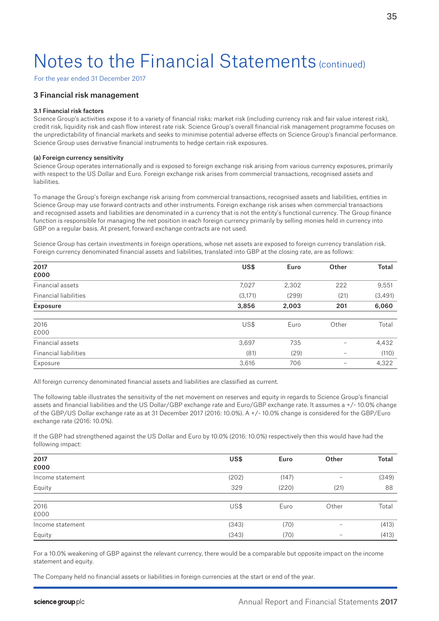For the year ended 31 December 2017

## 3 Financial risk management

#### 3.1 Financial risk factors

Science Group's activities expose it to a variety of financial risks: market risk (including currency risk and fair value interest risk), credit risk, liquidity risk and cash flow interest rate risk. Science Group's overall financial risk management programme focuses on the unpredictability of financial markets and seeks to minimise potential adverse effects on Science Group's financial performance. Science Group uses derivative financial instruments to hedge certain risk exposures.

#### (a) Foreign currency sensitivity

Science Group operates internationally and is exposed to foreign exchange risk arising from various currency exposures, primarily with respect to the US Dollar and Euro. Foreign exchange risk arises from commercial transactions, recognised assets and liabilities.

To manage the Group's foreign exchange risk arising from commercial transactions, recognised assets and liabilities, entities in Science Group may use forward contracts and other instruments. Foreign exchange risk arises when commercial transactions and recognised assets and liabilities are denominated in a currency that is not the entity's functional currency. The Group finance function is responsible for managing the net position in each foreign currency primarily by selling monies held in currency into GBP on a regular basis. At present, forward exchange contracts are not used.

Science Group has certain investments in foreign operations, whose net assets are exposed to foreign currency translation risk. Foreign currency denominated financial assets and liabilities, translated into GBP at the closing rate, are as follows:

| 2017                         | US\$     | Euro  | Other | <b>Total</b> |
|------------------------------|----------|-------|-------|--------------|
| £000                         |          |       |       |              |
| Financial assets             | 7,027    | 2,302 | 222   | 9,551        |
| <b>Financial liabilities</b> | (3, 171) | (299) | (21)  | (3, 491)     |
| <b>Exposure</b>              | 3,856    | 2,003 | 201   | 6,060        |
|                              |          |       |       |              |
| 2016                         | US\$     | Euro  | Other | Total        |
| £000                         |          |       |       |              |
| Financial assets             | 3,697    | 735   | -     | 4,432        |
| <b>Financial liabilities</b> | (81)     | (29)  | -     | (110)        |
| Exposure                     | 3,616    | 706   | -     | 4,322        |

All foreign currency denominated financial assets and liabilities are classified as current.

The following table illustrates the sensitivity of the net movement on reserves and equity in regards to Science Group's financial assets and financial liabilities and the US Dollar/GBP exchange rate and Euro/GBP exchange rate. It assumes a +/- 10.0% change of the GBP/US Dollar exchange rate as at 31 December 2017 (2016: 10.0%). A +/- 10.0% change is considered for the GBP/Euro exchange rate (2016: 10.0%).

If the GBP had strengthened against the US Dollar and Euro by 10.0% (2016: 10.0%) respectively then this would have had the following impact:

| 2017             | US\$  | Euro  | Other                    | <b>Total</b> |
|------------------|-------|-------|--------------------------|--------------|
| £000             |       |       |                          |              |
| Income statement | (202) | (147) | $\overline{\phantom{0}}$ | (349)        |
| Equity           | 329   | (220) | (21)                     | 88           |
| 2016             | US\$  | Euro  | Other                    | Total        |
| £000             |       |       |                          |              |
| Income statement | (343) | (70)  | -                        | (413)        |
| Equity           | (343) | (70)  | $\overline{\phantom{a}}$ | (413)        |

For a 10.0% weakening of GBP against the relevant currency, there would be a comparable but opposite impact on the income statement and equity.

The Company held no financial assets or liabilities in foreign currencies at the start or end of the year.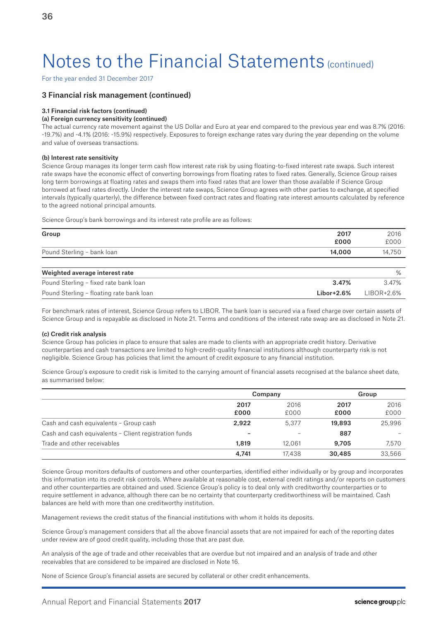For the year ended 31 December 2017

### 3 Financial risk management (continued)

#### 3.1 Financial risk factors (continued)

### (a) Foreign currency sensitivity (continued)

The actual currency rate movement against the US Dollar and Euro at year end compared to the previous year end was 8.7% (2016: -19.7%) and -4.1% (2016: -15.9%) respectively. Exposures to foreign exchange rates vary during the year depending on the volume and value of overseas transactions.

### (b) Interest rate sensitivity

Science Group manages its longer term cash flow interest rate risk by using floating-to-fixed interest rate swaps. Such interest rate swaps have the economic effect of converting borrowings from floating rates to fixed rates. Generally, Science Group raises long term borrowings at floating rates and swaps them into fixed rates that are lower than those available if Science Group borrowed at fixed rates directly. Under the interest rate swaps, Science Group agrees with other parties to exchange, at specified intervals (typically quarterly), the difference between fixed contract rates and floating rate interest amounts calculated by reference to the agreed notional principal amounts.

Science Group's bank borrowings and its interest rate profile are as follows:

| Group                                    | 2017<br>£000 | 2016<br>£000 |
|------------------------------------------|--------------|--------------|
| Pound Sterling - bank loan               | 14,000       | 14,750       |
|                                          |              |              |
| Weighted average interest rate           |              | %            |
| Pound Sterling - fixed rate bank loan    | 3.47%        | 3.47%        |
| Pound Sterling - floating rate bank loan | $Libor+2.6%$ | $LIBOR+2.6%$ |

For benchmark rates of interest, Science Group refers to LIBOR. The bank loan is secured via a fixed charge over certain assets of Science Group and is repayable as disclosed in Note 21. Terms and conditions of the interest rate swap are as disclosed in Note 21.

#### (c) Credit risk analysis

Science Group has policies in place to ensure that sales are made to clients with an appropriate credit history. Derivative counterparties and cash transactions are limited to high-credit-quality financial institutions although counterparty risk is not negligible. Science Group has policies that limit the amount of credit exposure to any financial institution.

Science Group's exposure to credit risk is limited to the carrying amount of financial assets recognised at the balance sheet date, as summarised below:

|                                                       | Company                  |              | Group        |              |
|-------------------------------------------------------|--------------------------|--------------|--------------|--------------|
|                                                       | 2017<br>£000             | 2016<br>£000 | 2017<br>£000 | 2016<br>£000 |
| Cash and cash equivalents - Group cash                | 2.922                    | 5.377        | 19,893       | 25,996       |
| Cash and cash equivalents - Client registration funds | $\overline{\phantom{0}}$ |              | 887          |              |
| Trade and other receivables                           | 1,819                    | 12.061       | 9.705        | 7.570        |
|                                                       | 4.741                    | 17.438       | 30,485       | 33,566       |

Science Group monitors defaults of customers and other counterparties, identified either individually or by group and incorporates this information into its credit risk controls. Where available at reasonable cost, external credit ratings and/or reports on customers and other counterparties are obtained and used. Science Group's policy is to deal only with creditworthy counterparties or to require settlement in advance, although there can be no certainty that counterparty creditworthiness will be maintained. Cash balances are held with more than one creditworthy institution.

Management reviews the credit status of the financial institutions with whom it holds its deposits.

Science Group's management considers that all the above financial assets that are not impaired for each of the reporting dates under review are of good credit quality, including those that are past due.

An analysis of the age of trade and other receivables that are overdue but not impaired and an analysis of trade and other receivables that are considered to be impaired are disclosed in Note 16.

None of Science Group's financial assets are secured by collateral or other credit enhancements.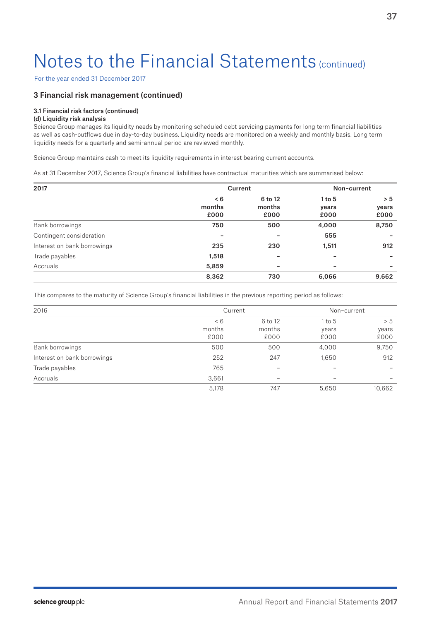For the year ended 31 December 2017

## 3 Financial risk management (continued)

### 3.1 Financial risk factors (continued)

## (d) Liquidity risk analysis

Science Group manages its liquidity needs by monitoring scheduled debt servicing payments for long term financial liabilities as well as cash-outflows due in day-to-day business. Liquidity needs are monitored on a weekly and monthly basis. Long term liquidity needs for a quarterly and semi-annual period are reviewed monthly.

Science Group maintains cash to meet its liquidity requirements in interest bearing current accounts.

As at 31 December 2017, Science Group's financial liabilities have contractual maturities which are summarised below:

| 2017                        |        | Current                  | Non-current |                          |
|-----------------------------|--------|--------------------------|-------------|--------------------------|
|                             | < 6    | 6 to 12                  | $1$ to 5    | > 5                      |
|                             | months | months                   | years       | years                    |
|                             | £000   | £000                     | £000        | £000                     |
| Bank borrowings             | 750    | 500                      | 4,000       | 8,750                    |
| Contingent consideration    |        | -                        | 555         |                          |
| Interest on bank borrowings | 235    | 230                      | 1,511       | 912                      |
| Trade payables              | 1,518  | $\overline{\phantom{a}}$ |             |                          |
| Accruals                    | 5,859  | -                        | -           | $\overline{\phantom{0}}$ |
|                             | 8,362  | 730                      | 6,066       | 9,662                    |

This compares to the maturity of Science Group's financial liabilities in the previous reporting period as follows:

| 2016                        | Current |                          | Non-current |        |
|-----------------------------|---------|--------------------------|-------------|--------|
|                             | < 6     | 6 to 12                  | $1$ to $5$  | > 5    |
|                             | months  | months                   | years       | years  |
|                             | £000    | £000                     | £000        | £000   |
| Bank borrowings             | 500     | 500                      | 4,000       | 9,750  |
| Interest on bank borrowings | 252     | 247                      | 1,650       | 912    |
| Trade payables              | 765     | $\qquad \qquad -$        |             |        |
| Accruals                    | 3,661   | $\overline{\phantom{a}}$ | -           |        |
|                             | 5,178   | 747                      | 5,650       | 10,662 |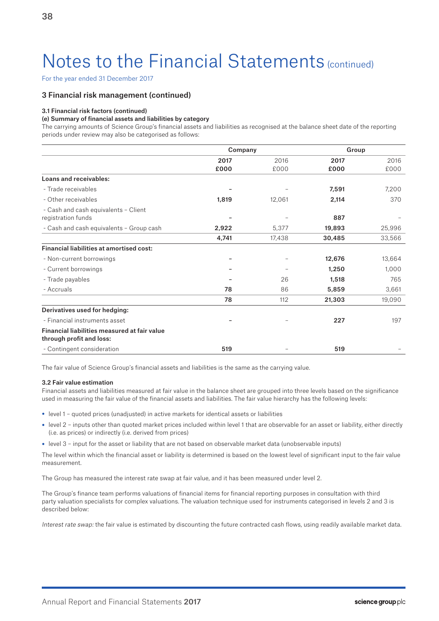For the year ended 31 December 2017

## 3 Financial risk management (continued)

### 3.1 Financial risk factors (continued)

### (e) Summary of financial assets and liabilities by category

The carrying amounts of Science Group's financial assets and liabilities as recognised at the balance sheet date of the reporting periods under review may also be categorised as follows:

|                                                                          | Company      |              | Group        |              |
|--------------------------------------------------------------------------|--------------|--------------|--------------|--------------|
|                                                                          | 2017<br>£000 | 2016<br>£000 | 2017<br>£000 | 2016<br>£000 |
| Loans and receivables:                                                   |              |              |              |              |
| - Trade receivables                                                      |              |              | 7,591        | 7,200        |
| - Other receivables                                                      | 1,819        | 12,061       | 2,114        | 370          |
| - Cash and cash equivalents - Client<br>registration funds               |              |              | 887          |              |
| - Cash and cash equivalents - Group cash                                 | 2,922        | 5,377        | 19,893       | 25,996       |
|                                                                          | 4,741        | 17,438       | 30,485       | 33,566       |
| <b>Financial liabilities at amortised cost:</b>                          |              |              |              |              |
| - Non-current borrowings                                                 |              |              | 12,676       | 13,664       |
| - Current borrowings                                                     |              |              | 1,250        | 1,000        |
| - Trade payables                                                         |              | 26           | 1,518        | 765          |
| - Accruals                                                               | 78           | 86           | 5,859        | 3,661        |
|                                                                          | 78           | 112          | 21,303       | 19,090       |
| Derivatives used for hedging:                                            |              |              |              |              |
| - Financial instruments asset                                            |              |              | 227          | 197          |
| Financial liabilities measured at fair value<br>through profit and loss: |              |              |              |              |
| - Contingent consideration                                               | 519          |              | 519          |              |

The fair value of Science Group's financial assets and liabilities is the same as the carrying value.

### 3.2 Fair value estimation

Financial assets and liabilities measured at fair value in the balance sheet are grouped into three levels based on the significance used in measuring the fair value of the financial assets and liabilities. The fair value hierarchy has the following levels:

- level 1 quoted prices (unadjusted) in active markets for identical assets or liabilities
- level 2 inputs other than quoted market prices included within level 1 that are observable for an asset or liability, either directly (i.e. as prices) or indirectly (i.e. derived from prices)
- level 3 input for the asset or liability that are not based on observable market data (unobservable inputs)

The level within which the financial asset or liability is determined is based on the lowest level of significant input to the fair value measurement.

The Group has measured the interest rate swap at fair value, and it has been measured under level 2.

The Group's finance team performs valuations of financial items for financial reporting purposes in consultation with third party valuation specialists for complex valuations. The valuation technique used for instruments categorised in levels 2 and 3 is described below:

Interest rate swap: the fair value is estimated by discounting the future contracted cash flows, using readily available market data.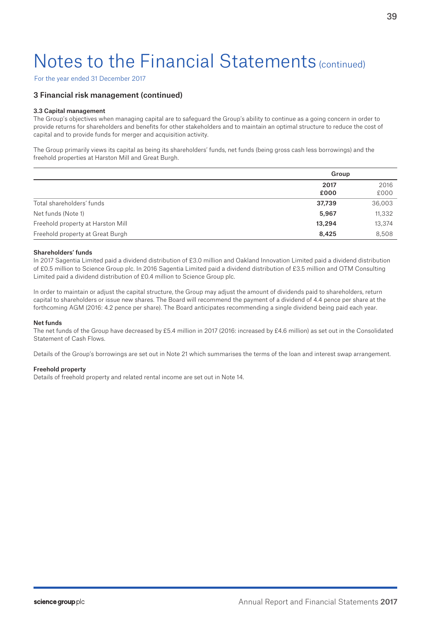For the year ended 31 December 2017

## 3 Financial risk management (continued)

### 3.3 Capital management

The Group's objectives when managing capital are to safeguard the Group's ability to continue as a going concern in order to provide returns for shareholders and benefits for other stakeholders and to maintain an optimal structure to reduce the cost of capital and to provide funds for merger and acquisition activity.

The Group primarily views its capital as being its shareholders' funds, net funds (being gross cash less borrowings) and the freehold properties at Harston Mill and Great Burgh.

|                                   | Group        |              |  |
|-----------------------------------|--------------|--------------|--|
|                                   | 2017<br>£000 | 2016<br>£000 |  |
| Total shareholders' funds         | 37,739       | 36,003       |  |
| Net funds (Note 1)                | 5,967        | 11,332       |  |
| Freehold property at Harston Mill | 13,294       | 13,374       |  |
| Freehold property at Great Burgh  | 8,425        | 8,508        |  |

#### Shareholders' funds

In 2017 Sagentia Limited paid a dividend distribution of £3.0 million and Oakland Innovation Limited paid a dividend distribution of £0.5 million to Science Group plc. In 2016 Sagentia Limited paid a dividend distribution of £3.5 million and OTM Consulting Limited paid a dividend distribution of £0.4 million to Science Group plc.

In order to maintain or adjust the capital structure, the Group may adjust the amount of dividends paid to shareholders, return capital to shareholders or issue new shares. The Board will recommend the payment of a dividend of 4.4 pence per share at the forthcoming AGM (2016: 4.2 pence per share). The Board anticipates recommending a single dividend being paid each year.

#### Net funds

The net funds of the Group have decreased by £5.4 million in 2017 (2016: increased by £4.6 million) as set out in the Consolidated Statement of Cash Flows.

Details of the Group's borrowings are set out in Note 21 which summarises the terms of the loan and interest swap arrangement.

### Freehold property

Details of freehold property and related rental income are set out in Note 14.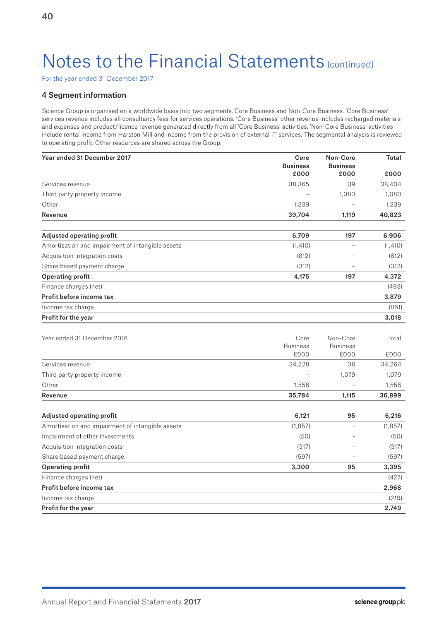For the year ended 31 December 2017

## 4 Segment information

Science Group is organised on a worldwide basis into two segments, Core Business and Non-Core Business. 'Core Business' services revenue includes all consultancy fees for services operations. 'Core Business' other revenue includes recharged materials and expenses and product/licence revenue generated directly from all 'Core Business' activities. 'Non-Core Business' activities include rental income from Harston Mill and income from the provision of external IT services. The segmental analysis is reviewed to operating profit. Other resources are shared across the Group.

| Year ended 31 December 2017                      | Core<br><b>Business</b> | Non-Core<br><b>Business</b> | <b>Total</b> |
|--------------------------------------------------|-------------------------|-----------------------------|--------------|
|                                                  | £000                    | £000                        | £000         |
| Services revenue                                 | 38,365                  | 39                          | 38,404       |
| Third party property income                      |                         | 1,080                       | 1,080        |
| Other                                            | 1,339                   |                             | 1,339        |
| Revenue                                          | 39,704                  | 1,119                       | 40,823       |
| <b>Adjusted operating profit</b>                 | 6,709                   | 197                         | 6,906        |
| Amortisation and impairment of intangible assets | (1,410)                 |                             | (1,410)      |
| Acquisition integration costs                    | (812)                   |                             | (812)        |
| Share based payment charge                       | (312)                   |                             | (312)        |
| <b>Operating profit</b>                          | 4,175                   | 197                         | 4,372        |
| Finance charges (net)                            |                         |                             | (493)        |
| Profit before income tax                         |                         |                             | 3,879        |
| Income tax charge                                |                         |                             | (861)        |
| Profit for the year                              |                         |                             | 3,018        |
|                                                  |                         |                             |              |
| Year ended 31 December 2016                      | Core                    | Non-Core                    | Total        |
|                                                  | <b>Business</b>         | <b>Business</b>             |              |
|                                                  | £000                    | £000                        | £000         |
| Services revenue                                 | 34,228                  | 36                          | 34,264       |
| Third party property income                      |                         | 1,079                       | 1,079        |
| Other                                            | 1,556                   |                             | 1,556        |
| Revenue                                          | 35,784                  | 1,115                       | 36,899       |
| Adjusted operating profit                        | 6,121                   | 95                          | 6,216        |
| Amortisation and impairment of intangible assets | (1, 857)                |                             | (1, 857)     |
| Impairment of other investments                  | (50)                    |                             | (50)         |
| Acquisition integration costs                    | (317)                   |                             | (317)        |
| Share based payment charge                       | (597)                   |                             | (597)        |
| <b>Operating profit</b>                          | 3,300                   | 95                          | 3,395        |
| Finance charges (net)                            |                         |                             | (427)        |
| Profit before income tax                         |                         |                             | 2,968        |
| Income tax charge                                |                         |                             | (219)        |
| <b>Profit for the year</b>                       |                         |                             | 2,749        |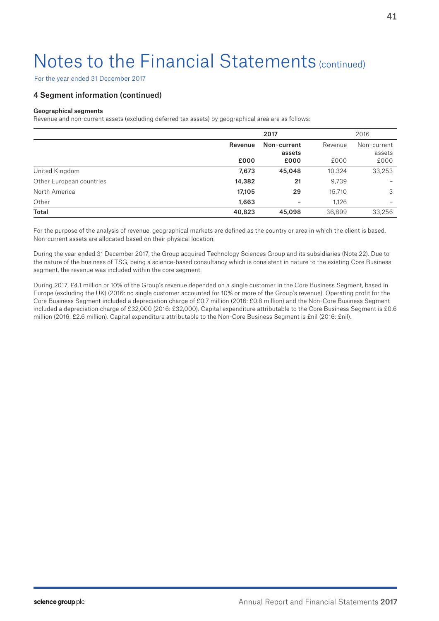For the year ended 31 December 2017

## 4 Segment information (continued)

### Geographical segments

Revenue and non-current assets (excluding deferred tax assets) by geographical area are as follows:

|                          |         | 2017        |         | 2016        |
|--------------------------|---------|-------------|---------|-------------|
|                          | Revenue | Non-current | Revenue | Non-current |
|                          |         | assets      |         | assets      |
|                          | £000    | £000        | £000    | £000        |
| United Kingdom           | 7,673   | 45,048      | 10,324  | 33,253      |
| Other European countries | 14,382  | 21          | 9,739   |             |
| North America            | 17,105  | 29          | 15,710  | 3           |
| Other                    | 1,663   |             | 1.126   | -           |
| <b>Total</b>             | 40,823  | 45,098      | 36,899  | 33,256      |

For the purpose of the analysis of revenue, geographical markets are defined as the country or area in which the client is based. Non-current assets are allocated based on their physical location.

During the year ended 31 December 2017, the Group acquired Technology Sciences Group and its subsidiaries (Note 22). Due to the nature of the business of TSG, being a science-based consultancy which is consistent in nature to the existing Core Business segment, the revenue was included within the core segment.

During 2017, £4.1 million or 10% of the Group's revenue depended on a single customer in the Core Business Segment, based in Europe (excluding the UK) (2016: no single customer accounted for 10% or more of the Group's revenue). Operating profit for the Core Business Segment included a depreciation charge of £0.7 million (2016: £0.8 million) and the Non-Core Business Segment included a depreciation charge of £32,000 (2016: £32,000). Capital expenditure attributable to the Core Business Segment is £0.6 million (2016: £2.6 million). Capital expenditure attributable to the Non-Core Business Segment is £nil (2016: £nil).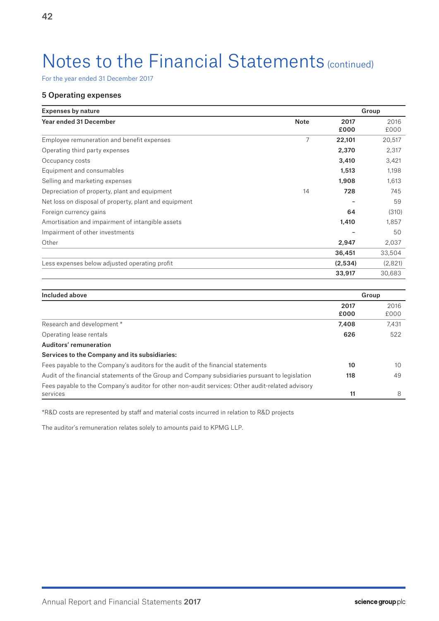For the year ended 31 December 2017

## 5 Operating expenses

| <b>Expenses by nature</b>                             |             |              | Group        |
|-------------------------------------------------------|-------------|--------------|--------------|
| <b>Year ended 31 December</b>                         | <b>Note</b> | 2017<br>£000 | 2016<br>£000 |
| Employee remuneration and benefit expenses            | 7           | 22,101       | 20,517       |
| Operating third party expenses                        |             | 2,370        | 2,317        |
| Occupancy costs                                       |             | 3,410        | 3,421        |
| Equipment and consumables                             |             | 1,513        | 1,198        |
| Selling and marketing expenses                        |             | 1,908        | 1,613        |
| Depreciation of property, plant and equipment         | 14          | 728          | 745          |
| Net loss on disposal of property, plant and equipment |             |              | 59           |
| Foreign currency gains                                |             | 64           | (310)        |
| Amortisation and impairment of intangible assets      |             | 1,410        | 1,857        |
| Impairment of other investments                       |             |              | 50           |
| Other                                                 |             | 2,947        | 2,037        |
|                                                       |             | 36,451       | 33,504       |
| Less expenses below adjusted operating profit         |             | (2,534)      | (2,821)      |
|                                                       |             | 33,917       | 30,683       |

| Included above                                                                                   |              | Group        |
|--------------------------------------------------------------------------------------------------|--------------|--------------|
|                                                                                                  | 2017<br>£000 | 2016<br>£000 |
| Research and development *                                                                       | 7,408        | 7,431        |
| Operating lease rentals                                                                          | 626          | 522          |
| Auditors' remuneration                                                                           |              |              |
| Services to the Company and its subsidiaries:                                                    |              |              |
| Fees payable to the Company's auditors for the audit of the financial statements                 | 10           | 10           |
| Audit of the financial statements of the Group and Company subsidiaries pursuant to legislation  | 118          | 49           |
| Fees payable to the Company's auditor for other non-audit services: Other audit-related advisory |              |              |
| services                                                                                         | 11           | 8            |

\*R&D costs are represented by staff and material costs incurred in relation to R&D projects

The auditor's remuneration relates solely to amounts paid to KPMG LLP.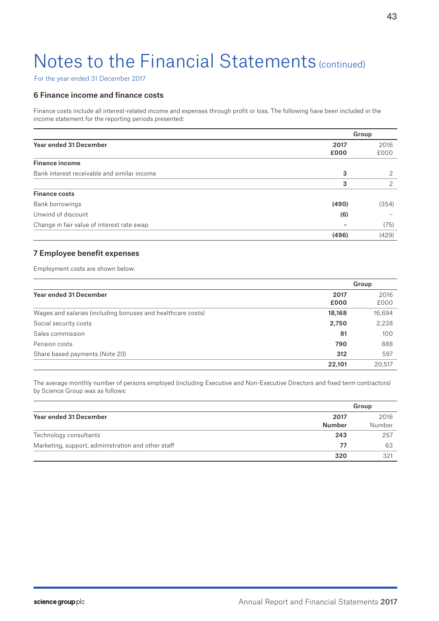For the year ended 31 December 2017

## 6 Finance income and finance costs

Finance costs include all interest-related income and expenses through profit or loss. The following have been included in the income statement for the reporting periods presented:

|                                             |       | Group |
|---------------------------------------------|-------|-------|
| <b>Year ended 31 December</b>               | 2017  | 2016  |
|                                             | £000  | £000  |
| <b>Finance income</b>                       |       |       |
| Bank interest receivable and similar income | 3     | 2     |
|                                             | 3     | 2     |
| <b>Finance costs</b>                        |       |       |
| Bank borrowings                             | (490) | (354) |
| Unwind of discount                          | (6)   |       |
| Change in fair value of interest rate swap  |       | (75)  |
|                                             | (496) | (429) |

## 7 Employee benefit expenses

Employment costs are shown below:

|                                                             |        | Group  |
|-------------------------------------------------------------|--------|--------|
| Year ended 31 December                                      | 2017   | 2016   |
|                                                             | £000   | £000   |
| Wages and salaries (including bonuses and healthcare costs) | 18,168 | 16,694 |
| Social security costs                                       | 2,750  | 2,238  |
| Sales commission                                            | 81     | 100    |
| Pension costs                                               | 790    | 888    |
| Share based payments (Note 20)                              | 312    | 597    |
|                                                             | 22.101 | 20.517 |

The average monthly number of persons employed (including Executive and Non-Executive Directors and fixed term contractors) by Science Group was as follows:

|                                                    |                       | Group          |
|----------------------------------------------------|-----------------------|----------------|
| Year ended 31 December                             | 2017<br><b>Number</b> | 2016<br>Number |
| Technology consultants                             | 243                   | 257            |
| Marketing, support, administration and other staff | 77                    | 63             |
|                                                    | 320                   | 321            |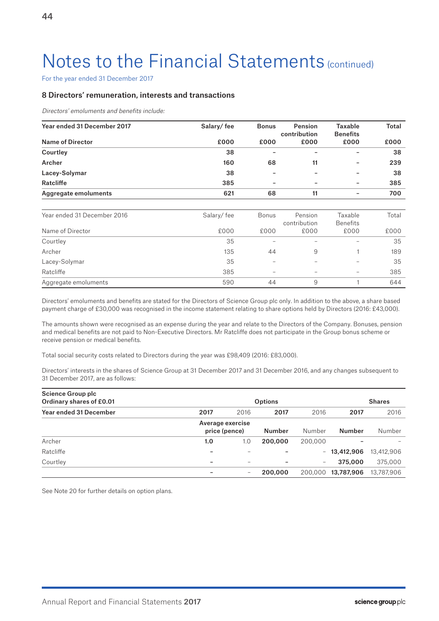For the year ended 31 December 2017

## 8 Directors' remuneration, interests and transactions

Directors' emoluments and benefits include:

| Year ended 31 December 2017 | Salary/fee | <b>Bonus</b> | Pension<br>contribution | Taxable<br><b>Benefits</b> | <b>Total</b> |
|-----------------------------|------------|--------------|-------------------------|----------------------------|--------------|
| <b>Name of Director</b>     | £000       | £000         | £000                    | £000                       | £000         |
| Courtley                    | 38         |              | -                       | -                          | 38           |
| Archer                      | 160        | 68           | 11                      |                            | 239          |
| Lacey-Solymar               | 38         |              |                         |                            | 38           |
| Ratcliffe                   | 385        |              |                         |                            | 385          |
| Aggregate emoluments        | 621        | 68           | 11                      | -                          | 700          |
| Year ended 31 December 2016 | Salary/fee | <b>Bonus</b> | Pension                 | Taxable                    | Total        |
|                             |            |              | contribution            | <b>Benefits</b>            |              |
| Name of Director            | £000       | £000         | £000                    | £000                       | £000         |
| Courtley                    | 35         |              |                         |                            | 35           |
| Archer                      | 135        | 44           | 9                       |                            | 189          |
| Lacey-Solymar               | 35         |              |                         |                            | 35           |
| Ratcliffe                   | 385        |              | -                       | -                          | 385          |
| Aggregate emoluments        | 590        | 44           | 9                       |                            | 644          |

Directors' emoluments and benefits are stated for the Directors of Science Group plc only. In addition to the above, a share based payment charge of £30,000 was recognised in the income statement relating to share options held by Directors (2016: £43,000).

The amounts shown were recognised as an expense during the year and relate to the Directors of the Company. Bonuses, pension and medical benefits are not paid to Non-Executive Directors. Mr Ratcliffe does not participate in the Group bonus scheme or receive pension or medical benefits.

Total social security costs related to Directors during the year was £98,409 (2016: £83,000).

Directors' interests in the shares of Science Group at 31 December 2017 and 31 December 2016, and any changes subsequent to 31 December 2017, are as follows:

| Science Group plc<br>Ordinary shares of £0.01 |      |                                   | <b>Options</b>           |         |               | <b>Shares</b> |
|-----------------------------------------------|------|-----------------------------------|--------------------------|---------|---------------|---------------|
| <b>Year ended 31 December</b>                 | 2017 | 2016                              | 2017                     | 2016    | 2017          | 2016          |
|                                               |      | Average exercise<br>price (pence) | Number                   | Number  | <b>Number</b> | Number        |
| Archer                                        | 1.0  | 1.0                               | 200,000                  | 200,000 |               |               |
| Ratcliffe                                     |      |                                   |                          | $-$     | 13,412,906    | 13,412,906    |
| Courtley                                      | -    | -                                 | $\overline{\phantom{a}}$ | -       | 375,000       | 375,000       |
|                                               |      | $\overline{\phantom{m}}$          | 200,000                  | 200,000 | 13,787,906    | 13,787,906    |

See Note 20 for further details on option plans.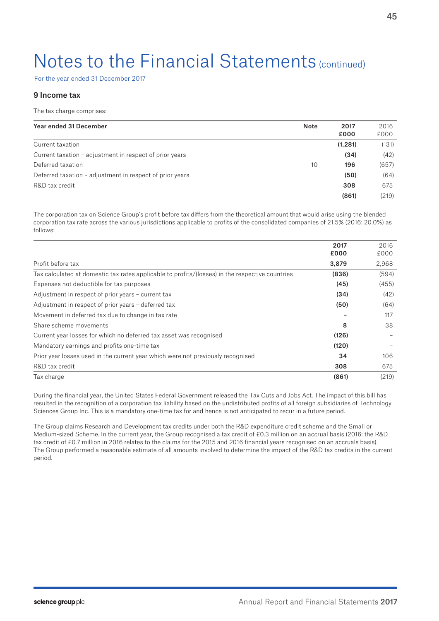For the year ended 31 December 2017

## 9 Income tax

The tax charge comprises:

| Year ended 31 December                                   | <b>Note</b> | 2017<br>£000 | 2016<br>£000 |
|----------------------------------------------------------|-------------|--------------|--------------|
| Current taxation                                         |             | (1,281)      | (131)        |
| Current taxation - adjustment in respect of prior years  |             | (34)         | (42)         |
| Deferred taxation                                        | 10          | 196          | (657)        |
| Deferred taxation – adjustment in respect of prior years |             | (50)         | (64)         |
| R&D tax credit                                           |             | 308          | 675          |
|                                                          |             | (861)        | (219)        |

The corporation tax on Science Group's profit before tax differs from the theoretical amount that would arise using the blended corporation tax rate across the various jurisdictions applicable to profits of the consolidated companies of 21.5% (2016: 20.0%) as follows:

|                                                                                                 | 2017  | 2016  |
|-------------------------------------------------------------------------------------------------|-------|-------|
|                                                                                                 | £000  | £000  |
| Profit before tax                                                                               | 3,879 | 2.968 |
| Tax calculated at domestic tax rates applicable to profits/(losses) in the respective countries | (836) | (594) |
| Expenses not deductible for tax purposes                                                        | (45)  | (455) |
| Adjustment in respect of prior years - current tax                                              | (34)  | (42)  |
| Adjustment in respect of prior years - deferred tax                                             | (50)  | (64)  |
| Movement in deferred tax due to change in tax rate                                              |       | 117   |
| Share scheme movements                                                                          | 8     | 38    |
| Current year losses for which no deferred tax asset was recognised                              | (126) |       |
| Mandatory earnings and profits one-time tax                                                     | (120) |       |
| Prior year losses used in the current year which were not previously recognised                 | 34    | 106   |
| R&D tax credit                                                                                  | 308   | 675   |
| Tax charge                                                                                      | (861) | (219) |

During the financial year, the United States Federal Government released the Tax Cuts and Jobs Act. The impact of this bill has resulted in the recognition of a corporation tax liability based on the undistributed profits of all foreign subsidiaries of Technology Sciences Group Inc. This is a mandatory one-time tax for and hence is not anticipated to recur in a future period.

The Group claims Research and Development tax credits under both the R&D expenditure credit scheme and the Small or Medium-sized Scheme. In the current year, the Group recognised a tax credit of £0.3 million on an accrual basis (2016: the R&D tax credit of £0.7 million in 2016 relates to the claims for the 2015 and 2016 financial years recognised on an accruals basis). The Group performed a reasonable estimate of all amounts involved to determine the impact of the R&D tax credits in the current period.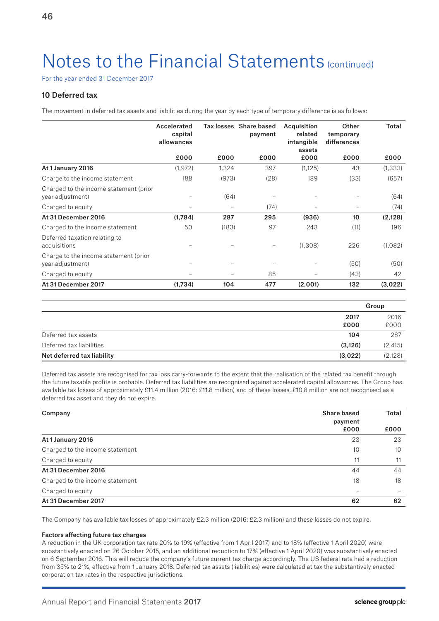For the year ended 31 December 2017

## 10 Deferred tax

The movement in deferred tax assets and liabilities during the year by each type of temporary difference is as follows:

|                                                            | Accelerated<br>capital<br>allowances |       | Tax losses Share based<br>payment | Acquisition<br>related<br>intangible<br>assets | Other<br>temporary<br>differences | Total    |
|------------------------------------------------------------|--------------------------------------|-------|-----------------------------------|------------------------------------------------|-----------------------------------|----------|
|                                                            | £000                                 | £000  | £000                              | £000                                           | £000                              | £000     |
| At 1 January 2016                                          | (1, 972)                             | 1,324 | 397                               | (1, 125)                                       | 43                                | (1, 333) |
| Charge to the income statement                             | 188                                  | (973) | (28)                              | 189                                            | (33)                              | (657)    |
| Charged to the income statement (prior<br>year adjustment) |                                      | (64)  |                                   | $\qquad \qquad$                                |                                   | (64)     |
| Charged to equity                                          |                                      |       | (74)                              |                                                |                                   | (74)     |
| At 31 December 2016                                        | (1,784)                              | 287   | 295                               | (936)                                          | 10                                | (2,128)  |
| Charged to the income statement                            | 50                                   | (183) | 97                                | 243                                            | (11)                              | 196      |
| Deferred taxation relating to<br>acquisitions              |                                      |       |                                   | (1, 308)                                       | 226                               | (1,082)  |
| Charge to the income statement (prior<br>year adjustment)  |                                      |       |                                   |                                                | (50)                              | (50)     |
| Charged to equity                                          |                                      |       | 85                                |                                                | (43)                              | 42       |
| At 31 December 2017                                        | (1,734)                              | 104   | 477                               | (2,001)                                        | 132                               | (3,022)  |

|                            |          | Group    |
|----------------------------|----------|----------|
|                            | 2017     | 2016     |
|                            | £000     | £000     |
| Deferred tax assets        | 104      | 287      |
| Deferred tax liabilities   | (3, 126) | (2, 415) |
| Net deferred tax liability | (3,022)  | (2,128)  |

Deferred tax assets are recognised for tax loss carry-forwards to the extent that the realisation of the related tax benefit through the future taxable profits is probable. Deferred tax liabilities are recognised against accelerated capital allowances. The Group has available tax losses of approximately £11.4 million (2016: £11.8 million) and of these losses, £10.8 million are not recognised as a deferred tax asset and they do not expire.

| Company                         | <b>Share based</b><br>payment | Total |
|---------------------------------|-------------------------------|-------|
|                                 | £000                          | £000  |
| At 1 January 2016               | 23                            | 23    |
| Charged to the income statement | 10                            | 10    |
| Charged to equity               | 11                            | 11    |
| At 31 December 2016             | 44                            | 44    |
| Charged to the income statement | 18                            | 18    |
| Charged to equity               |                               |       |
| At 31 December 2017             | 62                            | 62    |

The Company has available tax losses of approximately £2.3 million (2016: £2.3 million) and these losses do not expire.

### Factors affecting future tax charges

A reduction in the UK corporation tax rate 20% to 19% (effective from 1 April 2017) and to 18% (effective 1 April 2020) were substantively enacted on 26 October 2015, and an additional reduction to 17% (effective 1 April 2020) was substantively enacted on 6 September 2016. This will reduce the company's future current tax charge accordingly. The US federal rate had a reduction from 35% to 21%, effective from 1 January 2018. Deferred tax assets (liabilities) were calculated at tax the substantively enacted corporation tax rates in the respective jurisdictions.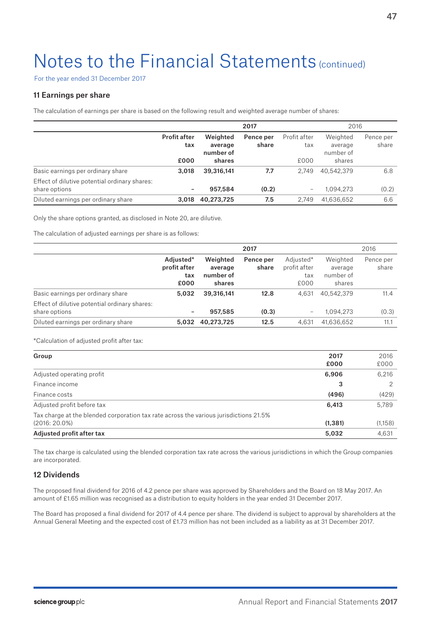For the year ended 31 December 2017

## 11 Earnings per share

The calculation of earnings per share is based on the following result and weighted average number of shares:

|                                                                | 2017                               |                                            |                    | 2016                        |                                            |                    |
|----------------------------------------------------------------|------------------------------------|--------------------------------------------|--------------------|-----------------------------|--------------------------------------------|--------------------|
|                                                                | <b>Profit after</b><br>tax<br>£000 | Weighted<br>average<br>number of<br>shares | Pence per<br>share | Profit after<br>tax<br>£000 | Weighted<br>average<br>number of<br>shares | Pence per<br>share |
| Basic earnings per ordinary share                              | 3,018                              | 39,316,141                                 | 7.7                | 2.749                       | 40.542.379                                 | 6.8                |
| Effect of dilutive potential ordinary shares:<br>share options | -                                  | 957,584                                    | (0.2)              |                             | 1,094,273                                  | (0.2)              |
| Diluted earnings per ordinary share                            | 3.018                              | 40,273,725                                 | 7.5                | 2.749                       | 41,636,652                                 | 6.6                |

Only the share options granted, as disclosed in Note 20, are dilutive.

The calculation of adjusted earnings per share is as follows:

|                                                                |                                          |                                            | 2017               |                                          |                                            | 2016               |
|----------------------------------------------------------------|------------------------------------------|--------------------------------------------|--------------------|------------------------------------------|--------------------------------------------|--------------------|
|                                                                | Adjusted*<br>profit after<br>tax<br>£000 | Weighted<br>average<br>number of<br>shares | Pence per<br>share | Adjusted*<br>profit after<br>tax<br>£000 | Weighted<br>average<br>number of<br>shares | Pence per<br>share |
| Basic earnings per ordinary share                              | 5,032                                    | 39,316,141                                 | 12.8               | 4.631                                    | 40,542,379                                 | 11.4               |
| Effect of dilutive potential ordinary shares:<br>share options | $\overline{\phantom{a}}$                 | 957,585                                    | (0.3)              | $\overline{\phantom{0}}$                 | 1,094,273                                  | (0.3)              |
| Diluted earnings per ordinary share                            | 5.032                                    | 40.273.725                                 | 12.5               | 4,631                                    | 41,636,652                                 | 11.1               |

\*Calculation of adjusted profit after tax:

| Group                                                                                 | 2017     | 2016    |
|---------------------------------------------------------------------------------------|----------|---------|
|                                                                                       | £000     | £000    |
| Adjusted operating profit                                                             | 6,906    | 6,216   |
| Finance income                                                                        | 3        |         |
| Finance costs                                                                         | (496)    | (429)   |
| Adjusted profit before tax                                                            | 6,413    | 5,789   |
| Tax charge at the blended corporation tax rate across the various jurisdictions 21.5% |          |         |
| $(2016:20.0\%)$                                                                       | (1, 381) | (1,158) |
| Adjusted profit after tax                                                             | 5,032    | 4,631   |

The tax charge is calculated using the blended corporation tax rate across the various jurisdictions in which the Group companies are incorporated.

## 12 Dividends

The proposed final dividend for 2016 of 4.2 pence per share was approved by Shareholders and the Board on 18 May 2017. An amount of £1.65 million was recognised as a distribution to equity holders in the year ended 31 December 2017.

The Board has proposed a final dividend for 2017 of 4.4 pence per share. The dividend is subject to approval by shareholders at the Annual General Meeting and the expected cost of £1.73 million has not been included as a liability as at 31 December 2017.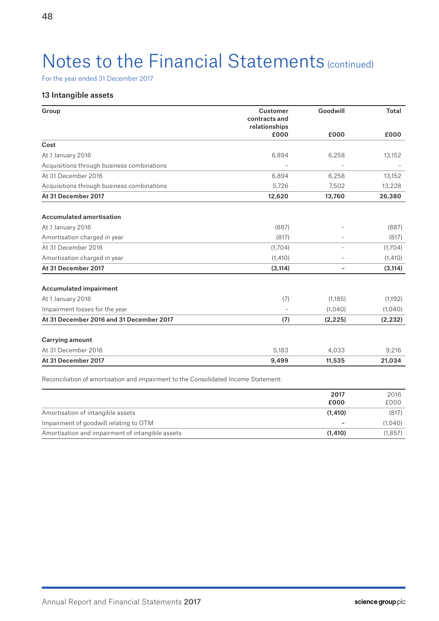For the year ended 31 December 2017

## 13 Intangible assets

| Group                                      | <b>Customer</b><br>contracts and<br>relationships | Goodwill | <b>Total</b> |
|--------------------------------------------|---------------------------------------------------|----------|--------------|
|                                            | £000                                              | £000     | £000         |
| Cost                                       |                                                   |          |              |
| At 1 January 2016                          | 6,894                                             | 6,258    | 13,152       |
| Acquisitions through business combinations |                                                   |          |              |
| At 31 December 2016                        | 6,894                                             | 6,258    | 13,152       |
| Acquisitions through business combinations | 5,726                                             | 7,502    | 13,228       |
| At 31 December 2017                        | 12,620                                            | 13,760   | 26,380       |
| <b>Accumulated amortisation</b>            |                                                   |          |              |
| At 1 January 2016                          | (887)                                             |          | (887)        |
| Amortisation charged in year               | (817)                                             |          | (817)        |
| At 31 December 2016                        | (1,704)                                           |          | (1,704)      |
| Amortisation charged in year               | (1,410)                                           |          | (1, 410)     |
| At 31 December 2017                        | (3, 114)                                          |          | (3, 114)     |
| <b>Accumulated impairment</b>              |                                                   |          |              |
| At 1 January 2016                          | (7)                                               | (1,185)  | (1, 192)     |
| Impairment losses for the year             |                                                   | (1,040)  | (1,040)      |
| At 31 December 2016 and 31 December 2017   | (7)                                               | (2, 225) | (2, 232)     |
| <b>Carrying amount</b>                     |                                                   |          |              |
| At 31 December 2016                        | 5,183                                             | 4,033    | 9,216        |
| At 31 December 2017                        | 9,499                                             | 11,535   | 21,034       |

Reconciliation of amortisation and impairment to the Consolidated Income Statement:

|                                                  | 2017<br>£000             | 2016<br>£000 |
|--------------------------------------------------|--------------------------|--------------|
| Amortisation of intangible assets                | (1, 410)                 | (817)        |
| Impairment of goodwill relating to OTM           | $\overline{\phantom{0}}$ | (1.040)      |
| Amortisation and impairment of intangible assets | (1.410)                  | (1, 857)     |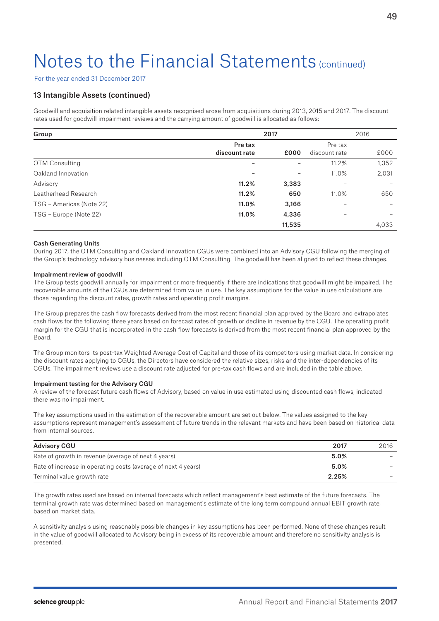For the year ended 31 December 2017

## 13 Intangible Assets (continued)

Goodwill and acquisition related intangible assets recognised arose from acquisitions during 2013, 2015 and 2017. The discount rates used for goodwill impairment reviews and the carrying amount of goodwill is allocated as follows:

| Group                    |               | 2017   |               | 2016  |
|--------------------------|---------------|--------|---------------|-------|
|                          | Pre tax       |        | Pre tax       |       |
|                          | discount rate | £000   | discount rate | £000  |
| <b>OTM Consulting</b>    | -             |        | 11.2%         | 1,352 |
| Oakland Innovation       |               |        | 11.0%         | 2,031 |
| Advisory                 | 11.2%         | 3,383  |               |       |
| Leatherhead Research     | 11.2%         | 650    | 11.0%         | 650   |
| TSG - Americas (Note 22) | 11.0%         | 3,166  | -             |       |
| TSG - Europe (Note 22)   | 11.0%         | 4,336  |               |       |
|                          |               | 11,535 |               | 4,033 |

#### Cash Generating Units

During 2017, the OTM Consulting and Oakland Innovation CGUs were combined into an Advisory CGU following the merging of the Group's technology advisory businesses including OTM Consulting. The goodwill has been aligned to reflect these changes.

#### Impairment review of goodwill

The Group tests goodwill annually for impairment or more frequently if there are indications that goodwill might be impaired. The recoverable amounts of the CGUs are determined from value in use. The key assumptions for the value in use calculations are those regarding the discount rates, growth rates and operating profit margins.

The Group prepares the cash flow forecasts derived from the most recent financial plan approved by the Board and extrapolates cash flows for the following three years based on forecast rates of growth or decline in revenue by the CGU. The operating profit margin for the CGU that is incorporated in the cash flow forecasts is derived from the most recent financial plan approved by the Board.

The Group monitors its post-tax Weighted Average Cost of Capital and those of its competitors using market data. In considering the discount rates applying to CGUs, the Directors have considered the relative sizes, risks and the inter-dependencies of its CGUs. The impairment reviews use a discount rate adjusted for pre-tax cash flows and are included in the table above.

### Impairment testing for the Advisory CGU

A review of the forecast future cash flows of Advisory, based on value in use estimated using discounted cash flows, indicated there was no impairment.

The key assumptions used in the estimation of the recoverable amount are set out below. The values assigned to the key assumptions represent management's assessment of future trends in the relevant markets and have been based on historical data from internal sources.

| <b>Advisory CGU</b>                                           | 2017  | 2016                     |
|---------------------------------------------------------------|-------|--------------------------|
| Rate of growth in revenue (average of next 4 years)           | 5.0%  |                          |
| Rate of increase in operating costs (average of next 4 years) | 5.0%  | $\overline{\phantom{a}}$ |
| Terminal value growth rate                                    | 2.25% | $\overline{\phantom{a}}$ |

The growth rates used are based on internal forecasts which reflect management's best estimate of the future forecasts. The terminal growth rate was determined based on management's estimate of the long term compound annual EBIT growth rate, based on market data.

A sensitivity analysis using reasonably possible changes in key assumptions has been performed. None of these changes result in the value of goodwill allocated to Advisory being in excess of its recoverable amount and therefore no sensitivity analysis is presented.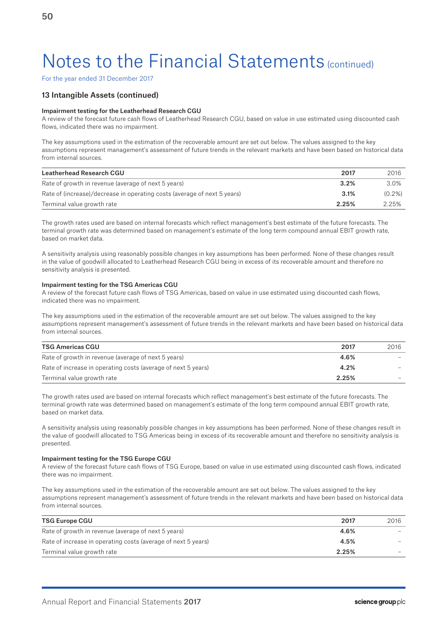For the year ended 31 December 2017

## 13 Intangible Assets (continued)

### Impairment testing for the Leatherhead Research CGU

A review of the forecast future cash flows of Leatherhead Research CGU, based on value in use estimated using discounted cash flows, indicated there was no impairment.

The key assumptions used in the estimation of the recoverable amount are set out below. The values assigned to the key assumptions represent management's assessment of future trends in the relevant markets and have been based on historical data from internal sources.

| Leatherhead Research CGU                                                 | 2017  | 2016      |
|--------------------------------------------------------------------------|-------|-----------|
| Rate of growth in revenue (average of next 5 years)                      | 3.2%  | 3.0%      |
| Rate of (increase)/decrease in operating costs (average of next 5 years) | 3.1%  | $(0.2\%)$ |
| Terminal value growth rate                                               | 2.25% | 2.25%     |

The growth rates used are based on internal forecasts which reflect management's best estimate of the future forecasts. The terminal growth rate was determined based on management's estimate of the long term compound annual EBIT growth rate, based on market data.

A sensitivity analysis using reasonably possible changes in key assumptions has been performed. None of these changes result in the value of goodwill allocated to Leatherhead Research CGU being in excess of its recoverable amount and therefore no sensitivity analysis is presented.

### Impairment testing for the TSG Americas CGU

A review of the forecast future cash flows of TSG Americas, based on value in use estimated using discounted cash flows, indicated there was no impairment.

The key assumptions used in the estimation of the recoverable amount are set out below. The values assigned to the key assumptions represent management's assessment of future trends in the relevant markets and have been based on historical data from internal sources.

| <b>TSG Americas CGU</b>                                       | 2017  | 2016                     |
|---------------------------------------------------------------|-------|--------------------------|
| Rate of growth in revenue (average of next 5 years)           | 4.6%  | $\overline{\phantom{a}}$ |
| Rate of increase in operating costs (average of next 5 years) | 4.2%  | -                        |
| Terminal value growth rate                                    | 2.25% |                          |

The growth rates used are based on internal forecasts which reflect management's best estimate of the future forecasts. The terminal growth rate was determined based on management's estimate of the long term compound annual EBIT growth rate, based on market data.

A sensitivity analysis using reasonably possible changes in key assumptions has been performed. None of these changes result in the value of goodwill allocated to TSG Americas being in excess of its recoverable amount and therefore no sensitivity analysis is presented.

#### Impairment testing for the TSG Europe CGU

A review of the forecast future cash flows of TSG Europe, based on value in use estimated using discounted cash flows, indicated there was no impairment.

The key assumptions used in the estimation of the recoverable amount are set out below. The values assigned to the key assumptions represent management's assessment of future trends in the relevant markets and have been based on historical data from internal sources.

| <b>TSG Europe CGU</b>                                         | 2017  | 2016 |
|---------------------------------------------------------------|-------|------|
| Rate of growth in revenue (average of next 5 years)           | 4.6%  |      |
| Rate of increase in operating costs (average of next 5 years) | 4.5%  |      |
| Terminal value growth rate                                    | 2.25% |      |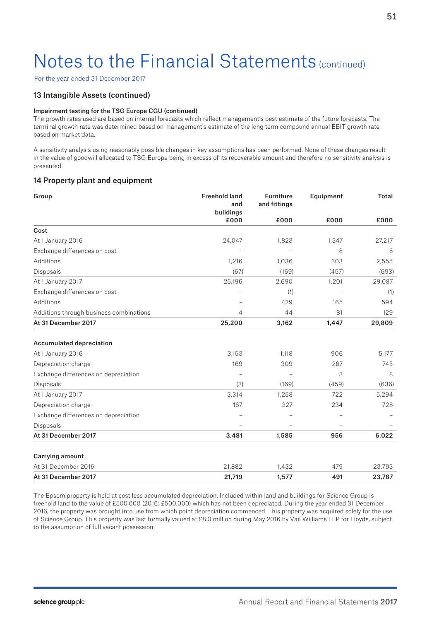For the year ended 31 December 2017

## 13 Intangible Assets (continued)

### Impairment testing for the TSG Europe CGU (continued)

The growth rates used are based on internal forecasts which reflect management's best estimate of the future forecasts. The terminal growth rate was determined based on management's estimate of the long term compound annual EBIT growth rate, based on market data.

A sensitivity analysis using reasonably possible changes in key assumptions has been performed. None of these changes result in the value of goodwill allocated to TSG Europe being in excess of its recoverable amount and therefore no sensitivity analysis is presented.

## 14 Property plant and equipment

| Group                                   | <b>Freehold land</b><br>and | <b>Furniture</b><br>and fittings | Equipment                | <b>Total</b> |
|-----------------------------------------|-----------------------------|----------------------------------|--------------------------|--------------|
|                                         | buildings                   |                                  |                          |              |
|                                         | £000                        | £000                             | £000                     | £000         |
| Cost                                    |                             |                                  |                          |              |
| At 1 January 2016                       | 24,047                      | 1,823                            | 1,347                    | 27,217       |
| Exchange differences on cost            |                             |                                  | 8                        | 8            |
| Additions                               | 1,216                       | 1,036                            | 303                      | 2,555        |
| Disposals                               | (67)                        | (169)                            | (457)                    | (693)        |
| At 1 January 2017                       | 25,196                      | 2,690                            | 1,201                    | 29,087       |
| Exchange differences on cost            |                             | (1)                              |                          | (1)          |
| Additions                               |                             | 429                              | 165                      | 594          |
| Additions through business combinations | $\overline{4}$              | 44                               | 81                       | 129          |
| At 31 December 2017                     | 25,200                      | 3,162                            | 1,447                    | 29,809       |
|                                         |                             |                                  |                          |              |
| <b>Accumulated depreciation</b>         |                             |                                  |                          |              |
| At 1 January 2016                       | 3,153                       | 1,118                            | 906                      | 5,177        |
| Depreciation charge                     | 169                         | 309                              | 267                      | 745          |
| Exchange differences on depreciation    |                             |                                  | 8                        | 8            |
| Disposals                               | (8)                         | (169)                            | (459)                    | (636)        |
| At 1 January 2017                       | 3,314                       | 1,258                            | 722                      | 5,294        |
| Depreciation charge                     | 167                         | 327                              | 234                      | 728          |
| Exchange differences on depreciation    |                             |                                  |                          |              |
| <b>Disposals</b>                        | ÷                           |                                  | $\overline{\phantom{0}}$ |              |
| At 31 December 2017                     | 3,481                       | 1,585                            | 956                      | 6,022        |
| <b>Carrying amount</b>                  |                             |                                  |                          |              |
| At 31 December 2016                     | 21,882                      | 1,432                            | 479                      | 23,793       |
| At 31 December 2017                     | 21,719                      | 1,577                            | 491                      | 23,787       |

The Epsom property is held at cost less accumulated depreciation. Included within land and buildings for Science Group is freehold land to the value of £500,000 (2016: £500,000) which has not been depreciated. During the year ended 31 December 2016, the property was brought into use from which point depreciation commenced. This property was acquired solely for the use of Science Group. This property was last formally valued at £8.0 million during May 2016 by Vail Williams LLP for Lloyds, subject to the assumption of full vacant possession.

51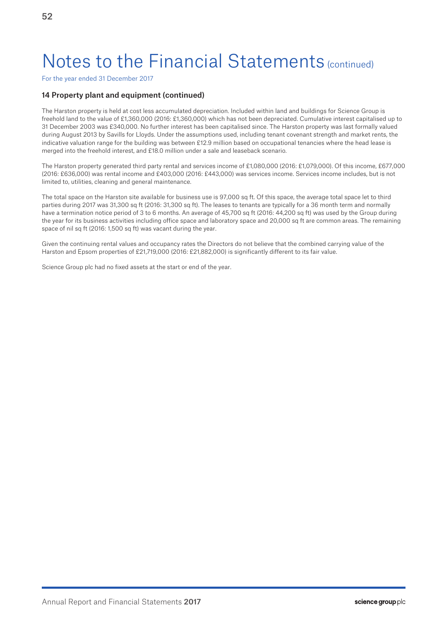For the year ended 31 December 2017

## 14 Property plant and equipment (continued)

The Harston property is held at cost less accumulated depreciation. Included within land and buildings for Science Group is freehold land to the value of £1,360,000 (2016: £1,360,000) which has not been depreciated. Cumulative interest capitalised up to 31 December 2003 was £340,000. No further interest has been capitalised since. The Harston property was last formally valued during August 2013 by Savills for Lloyds. Under the assumptions used, including tenant covenant strength and market rents, the indicative valuation range for the building was between £12.9 million based on occupational tenancies where the head lease is merged into the freehold interest, and £18.0 million under a sale and leaseback scenario.

The Harston property generated third party rental and services income of £1,080,000 (2016: £1,079,000). Of this income, £677,000 (2016: £636,000) was rental income and £403,000 (2016: £443,000) was services income. Services income includes, but is not limited to, utilities, cleaning and general maintenance.

The total space on the Harston site available for business use is 97,000 sq ft. Of this space, the average total space let to third parties during 2017 was 31,300 sq ft (2016: 31,300 sq ft). The leases to tenants are typically for a 36 month term and normally have a termination notice period of 3 to 6 months. An average of 45,700 sq ft (2016: 44,200 sq ft) was used by the Group during the year for its business activities including office space and laboratory space and 20,000 sq ft are common areas. The remaining space of nil sq ft (2016: 1,500 sq ft) was vacant during the year.

Given the continuing rental values and occupancy rates the Directors do not believe that the combined carrying value of the Harston and Epsom properties of £21,719,000 (2016: £21,882,000) is significantly different to its fair value.

Science Group plc had no fixed assets at the start or end of the year.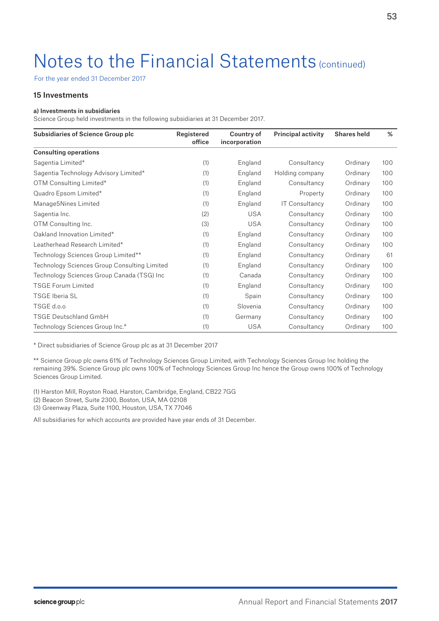For the year ended 31 December 2017

## 15 Investments

### a) Investments in subsidiaries

Science Group held investments in the following subsidiaries at 31 December 2017.

| <b>Subsidiaries of Science Group plc</b>     | Registered<br>office | Country of<br>incorporation | <b>Principal activity</b> | <b>Shares held</b> | %   |
|----------------------------------------------|----------------------|-----------------------------|---------------------------|--------------------|-----|
| <b>Consulting operations</b>                 |                      |                             |                           |                    |     |
| Sagentia Limited*                            | (1)                  | England                     | Consultancy               | Ordinary           | 100 |
| Sagentia Technology Advisory Limited*        | (1)                  | England                     | Holding company           | Ordinary           | 100 |
| OTM Consulting Limited*                      | (1)                  | England                     | Consultancy               | Ordinary           | 100 |
| Quadro Epsom Limited*                        | (1)                  | England                     | Property                  | Ordinary           | 100 |
| Manage5Nines Limited                         | (1)                  | England                     | <b>IT Consultancy</b>     | Ordinary           | 100 |
| Sagentia Inc.                                | (2)                  | <b>USA</b>                  | Consultancy               | Ordinary           | 100 |
| OTM Consulting Inc.                          | (3)                  | <b>USA</b>                  | Consultancy               | Ordinary           | 100 |
| Oakland Innovation Limited*                  | (1)                  | England                     | Consultancy               | Ordinary           | 100 |
| Leatherhead Research Limited*                | (1)                  | England                     | Consultancy               | Ordinary           | 100 |
| Technology Sciences Group Limited**          | (1)                  | England                     | Consultancy               | Ordinary           | 61  |
| Technology Sciences Group Consulting Limited | (1)                  | England                     | Consultancy               | Ordinary           | 100 |
| Technology Sciences Group Canada (TSG) Inc   | (1)                  | Canada                      | Consultancy               | Ordinary           | 100 |
| <b>TSGE Forum Limited</b>                    | (1)                  | England                     | Consultancy               | Ordinary           | 100 |
| <b>TSGE Iberia SL</b>                        | (1)                  | Spain                       | Consultancy               | Ordinary           | 100 |
| TSGE d.o.o                                   | (1)                  | Slovenia                    | Consultancy               | Ordinary           | 100 |
| <b>TSGE Deutschland GmbH</b>                 | (1)                  | Germany                     | Consultancy               | Ordinary           | 100 |
| Technology Sciences Group Inc.*              | (1)                  | USA                         | Consultancy               | Ordinary           | 100 |

\* Direct subsidiaries of Science Group plc as at 31 December 2017

\*\* Science Group plc owns 61% of Technology Sciences Group Limited, with Technology Sciences Group Inc holding the remaining 39%. Science Group plc owns 100% of Technology Sciences Group Inc hence the Group owns 100% of Technology Sciences Group Limited.

(1) Harston Mill, Royston Road, Harston, Cambridge, England, CB22 7GG

(2) Beacon Street, Suite 2300, Boston, USA, MA 02108

(3) Greenway Plaza, Suite 1100, Houston, USA, TX 77046

All subsidiaries for which accounts are provided have year ends of 31 December.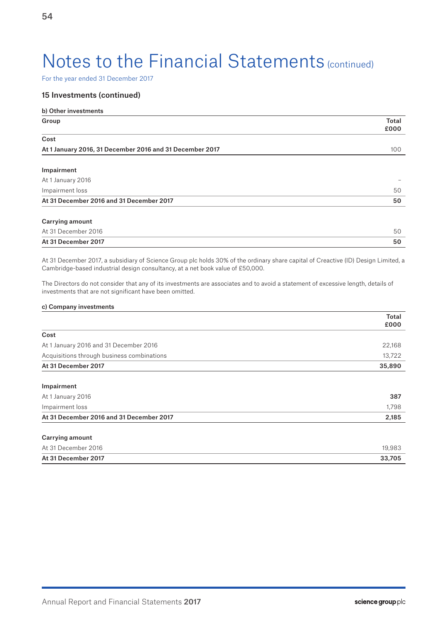For the year ended 31 December 2017

## 15 Investments (continued)

| b) Other investments                                     |                      |
|----------------------------------------------------------|----------------------|
| Group                                                    | <b>Total</b><br>£000 |
| Cost                                                     |                      |
| At 1 January 2016, 31 December 2016 and 31 December 2017 | 100                  |
| Impairment                                               |                      |
| At 1 January 2016                                        |                      |
| Impairment loss                                          | 50                   |
| At 31 December 2016 and 31 December 2017                 | 50                   |
| <b>Carrying amount</b>                                   |                      |
| At 31 December 2016                                      | 50                   |
| At 31 December 2017                                      | 50                   |

At 31 December 2017, a subsidiary of Science Group plc holds 30% of the ordinary share capital of Creactive (ID) Design Limited, a Cambridge-based industrial design consultancy, at a net book value of £50,000.

The Directors do not consider that any of its investments are associates and to avoid a statement of excessive length, details of investments that are not significant have been omitted.

### c) Company investments

Impairment

|                                            | <b>Total</b><br>£000 |
|--------------------------------------------|----------------------|
| Cost                                       |                      |
| At 1 January 2016 and 31 December 2016     | 22.168               |
| Acquisitions through business combinations | 13.722               |
| At 31 December 2017                        | 35,890               |

| At 31 December 2016 and 31 December 2017 | 2,185 |
|------------------------------------------|-------|
| Impairment loss                          | 1.798 |
| At 1 January 2016                        | -387  |
|                                          |       |

| At 31 December 2017    | 33.705 |
|------------------------|--------|
| At 31 December 2016    | 19,983 |
| <b>Carrying amount</b> |        |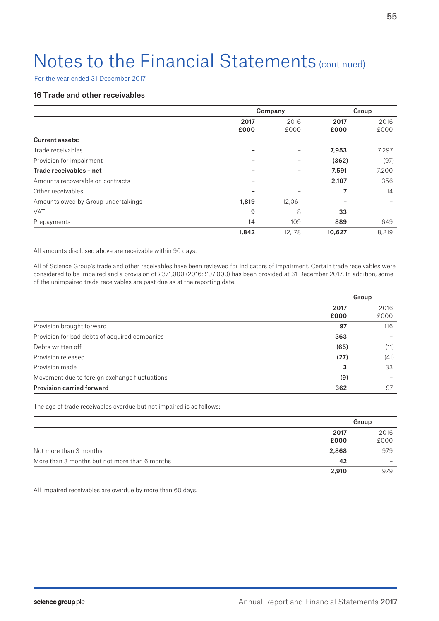For the year ended 31 December 2017

## 16 Trade and other receivables

|                                    | Company      |              |              | Group        |  |
|------------------------------------|--------------|--------------|--------------|--------------|--|
|                                    | 2017<br>£000 | 2016<br>£000 | 2017<br>£000 | 2016<br>£000 |  |
| <b>Current assets:</b>             |              |              |              |              |  |
| Trade receivables                  |              |              | 7,953        | 7,297        |  |
| Provision for impairment           |              |              | (362)        | (97)         |  |
| Trade receivables - net            |              |              | 7,591        | 7,200        |  |
| Amounts recoverable on contracts   |              |              | 2,107        | 356          |  |
| Other receivables                  |              |              | 7            | 14           |  |
| Amounts owed by Group undertakings | 1,819        | 12,061       |              |              |  |
| <b>VAT</b>                         | 9            | 8            | 33           |              |  |
| Prepayments                        | 14           | 109          | 889          | 649          |  |
|                                    | 1,842        | 12,178       | 10,627       | 8,219        |  |

All amounts disclosed above are receivable within 90 days.

All of Science Group's trade and other receivables have been reviewed for indicators of impairment. Certain trade receivables were considered to be impaired and a provision of £371,000 (2016: £97,000) has been provided at 31 December 2017. In addition, some of the unimpaired trade receivables are past due as at the reporting date.

|                                               | Group        |              |
|-----------------------------------------------|--------------|--------------|
|                                               | 2017<br>£000 | 2016<br>£000 |
| Provision brought forward                     | 97           | 116          |
| Provision for bad debts of acquired companies | 363          |              |
| Debts written off                             | (65)         | (11)         |
| Provision released                            | (27)         | (41)         |
| Provision made                                | 3            | 33           |
| Movement due to foreign exchange fluctuations | (9)          |              |
| <b>Provision carried forward</b>              | 362          | 97           |

The age of trade receivables overdue but not impaired is as follows:

|                                               |       | Group                    |
|-----------------------------------------------|-------|--------------------------|
|                                               | 2017  | 2016                     |
|                                               | £000  | £000                     |
| Not more than 3 months                        | 2,868 | 979                      |
| More than 3 months but not more than 6 months | 42    | $\overline{\phantom{a}}$ |
|                                               | 2,910 | 979                      |

All impaired receivables are overdue by more than 60 days.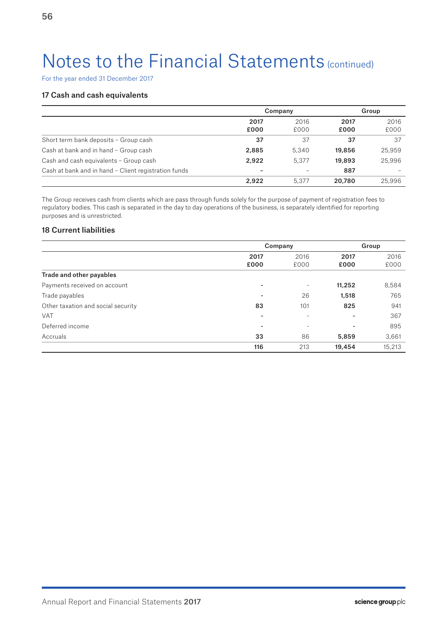For the year ended 31 December 2017

## 17 Cash and cash equivalents

|                                                      | Company      |              | Group        |              |
|------------------------------------------------------|--------------|--------------|--------------|--------------|
|                                                      | 2017<br>£000 | 2016<br>£000 | 2017<br>£000 | 2016<br>£000 |
| Short term bank deposits - Group cash                | 37           | 37           | 37           | 37           |
| Cash at bank and in hand - Group cash                | 2,885        | 5,340        | 19,856       | 25,959       |
| Cash and cash equivalents - Group cash               | 2.922        | 5.377        | 19,893       | 25,996       |
| Cash at bank and in hand - Client registration funds |              |              | 887          |              |
|                                                      | 2.922        | 5.377        | 20.780       | 25,996       |

The Group receives cash from clients which are pass through funds solely for the purpose of payment of registration fees to regulatory bodies. This cash is separated in the day to day operations of the business, is separately identified for reporting purposes and is unrestricted.

## 18 Current liabilities

|                                    | Company                      |                          | Group                    |        |
|------------------------------------|------------------------------|--------------------------|--------------------------|--------|
|                                    | 2017                         | 2016                     | 2017                     | 2016   |
|                                    | £000                         | £000                     | £000                     | £000   |
| Trade and other payables           |                              |                          |                          |        |
| Payments received on account       | $\overline{\phantom{0}}$     | ٠                        | 11,252                   | 8,584  |
| Trade payables                     | $\qquad \qquad \blacksquare$ | 26                       | 1,518                    | 765    |
| Other taxation and social security | 83                           | 101                      | 825                      | 941    |
| <b>VAT</b>                         | $\overline{\phantom{0}}$     | $\overline{\phantom{a}}$ | $\overline{\phantom{0}}$ | 367    |
| Deferred income                    |                              |                          |                          | 895    |
| Accruals                           | 33                           | 86                       | 5,859                    | 3,661  |
|                                    | 116                          | 213                      | 19,454                   | 15,213 |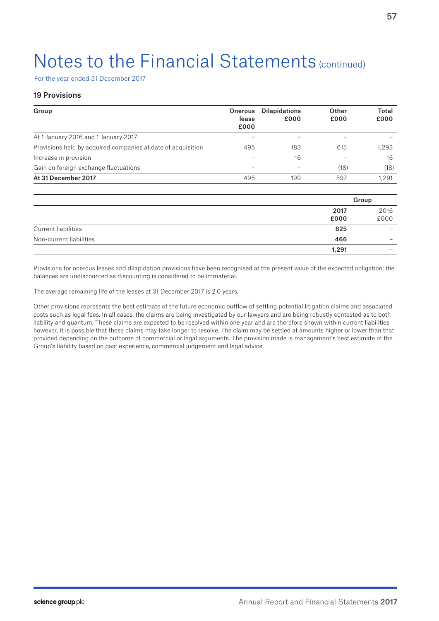For the year ended 31 December 2017

## 19 Provisions

| Group                                                        | <b>Onerous</b>           | <b>Dilapidations</b> | Other | Total |
|--------------------------------------------------------------|--------------------------|----------------------|-------|-------|
|                                                              | lease<br>£000            | £000                 | £000  | £000  |
| At 1 January 2016 and 1 January 2017                         |                          |                      |       |       |
| Provisions held by acquired companies at date of acquisition | 495                      | 183                  | 615   | 1.293 |
| Increase in provision                                        |                          | 16                   |       | 16    |
| Gain on foreign exchange fluctuations                        | $\overline{\phantom{a}}$ |                      | (18)  | (18)  |
| At 31 December 2017                                          | 495                      | 199                  | 597   | 1.291 |

|                         |       | Group                    |
|-------------------------|-------|--------------------------|
|                         | 2017  | 2016                     |
|                         | £000  | £000                     |
| Current liabilities     | 825   | $\overline{\phantom{a}}$ |
| Non-current liabilities | 466   | $\overline{\phantom{a}}$ |
|                         | 1,291 |                          |

Provisions for onerous leases and dilapidation provisions have been recognised at the present value of the expected obligation; the balances are undiscounted as discounting is considered to be immaterial.

The average remaining life of the leases at 31 December 2017 is 2.0 years.

Other provisions represents the best estimate of the future economic outflow of settling potential litigation claims and associated costs such as legal fees. In all cases, the claims are being investigated by our lawyers and are being robustly contested as to both liability and quantum. These claims are expected to be resolved within one year and are therefore shown within current liabilities however, it is possible that these claims may take longer to resolve. The claim may be settled at amounts higher or lower than that provided depending on the outcome of commercial or legal arguments. The provision made is management's best estimate of the Group's liability based on past experience, commercial judgement and legal advice.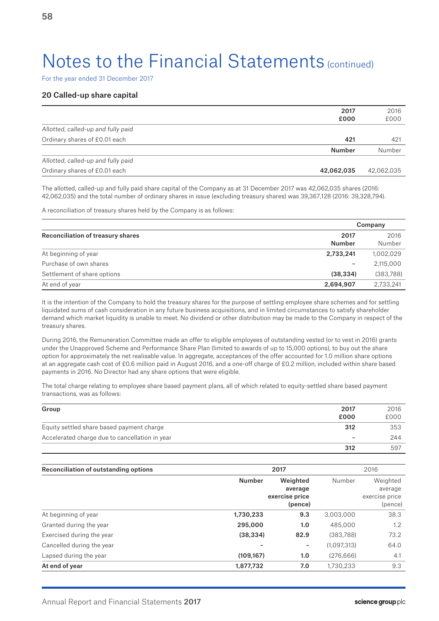For the year ended 31 December 2017

### 20 Called-up share capital

|                                    | 2017<br>£000  | 2016<br>£000 |
|------------------------------------|---------------|--------------|
| Allotted, called-up and fully paid |               |              |
| Ordinary shares of £0.01 each      | 421           | 421          |
|                                    | <b>Number</b> | Number       |
| Allotted, called-up and fully paid |               |              |
| Ordinary shares of £0.01 each      | 42,062,035    | 42,062,035   |

The allotted, called-up and fully paid share capital of the Company as at 31 December 2017 was 42,062,035 shares (2016: 42,062,035) and the total number of ordinary shares in issue (excluding treasury shares) was 39,367,128 (2016: 39,328,794).

A reconciliation of treasury shares held by the Company is as follows:

|                                   |                | Company        |
|-----------------------------------|----------------|----------------|
| Reconciliation of treasury shares | 2017<br>Number | 2016<br>Number |
| At beginning of year              | 2,733,241      | 1,002,029      |
| Purchase of own shares            | -              | 2,115,000      |
| Settlement of share options       | (38, 334)      | (383,788)      |
| At end of year                    | 2,694,907      | 2,733,241      |

It is the intention of the Company to hold the treasury shares for the purpose of settling employee share schemes and for settling liquidated sums of cash consideration in any future business acquisitions, and in limited circumstances to satisfy shareholder demand which market liquidity is unable to meet. No dividend or other distribution may be made to the Company in respect of the treasury shares.

During 2016, the Remuneration Committee made an offer to eligible employees of outstanding vested (or to vest in 2016) grants under the Unapproved Scheme and Performance Share Plan (limited to awards of up to 15,000 options), to buy out the share option for approximately the net realisable value. In aggregate, acceptances of the offer accounted for 1.0 million share options at an aggregate cash cost of £0.6 million paid in August 2016, and a one-off charge of £0.2 million, included within share based payments in 2016. No Director had any share options that were eligible.

The total charge relating to employee share based payment plans, all of which related to equity-settled share based payment transactions, was as follows:

| Group                                          | 2017 | 2016 |
|------------------------------------------------|------|------|
|                                                | £000 | £000 |
| Equity settled share based payment charge      | 312  | 353  |
| Accelerated charge due to cancellation in year | -    | 244  |
|                                                | 312  | 597  |

| Reconciliation of outstanding options | 2017          |                                      |             | 2016                                 |  |
|---------------------------------------|---------------|--------------------------------------|-------------|--------------------------------------|--|
|                                       | <b>Number</b> | Weighted                             | Number      | Weighted                             |  |
|                                       |               | average<br>exercise price<br>(pence) |             | average<br>exercise price<br>(pence) |  |
| At beginning of year                  | 1,730,233     | 9.3                                  | 3,003,000   | 38.3                                 |  |
| Granted during the year               | 295,000       | 1.0                                  | 485,000     | $1.2^{\circ}$                        |  |
| Exercised during the year             | (38, 334)     | 82.9                                 | (383, 788)  | 73.2                                 |  |
| Cancelled during the year             |               | -                                    | (1,097,313) | 64.0                                 |  |
| Lapsed during the year                | (109, 167)    | 1.0                                  | (276, 666)  | 4.1                                  |  |
| At end of year                        | 1,877,732     | 7.0                                  | 1,730,233   | 9.3                                  |  |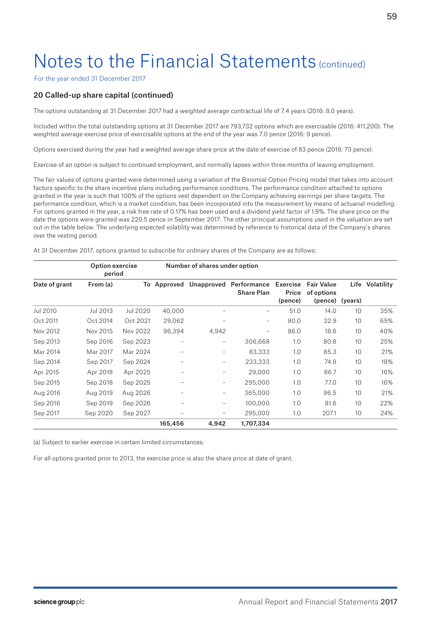For the year ended 31 December 2017

## 20 Called-up share capital (continued)

The options outstanding at 31 December 2017 had a weighted average contractual life of 7.4 years (2016: 8.0 years).

Included within the total outstanding options at 31 December 2017 are 793,732 options which are exercisable (2016: 411,200). The weighted average exercise price of exercisable options at the end of the year was 7.0 pence (2016: 9 pence).

Options exercised during the year had a weighted average share price at the date of exercise of 83 pence (2016: 73 pence).

Exercise of an option is subject to continued employment, and normally lapses within three months of leaving employment.

The fair values of options granted were determined using a variation of the Binomial Option Pricing model that takes into account factors specific to the share incentive plans including performance conditions. The performance condition attached to options granted in the year is such that 100% of the options vest dependent on the Company achieving earnings per share targets. The performance condition, which is a market condition, has been incorporated into the measurement by means of actuarial modelling. For options granted in the year, a risk free rate of 0.17% has been used and a dividend yield factor of 1.9%. The share price on the date the options were granted was 220.5 pence in September 2017. The other principal assumptions used in the valuation are set out in the table below. The underlying expected volatility was determined by reference to historical data of the Company's shares over the vesting period.

At 31 December 2017, options granted to subscribe for ordinary shares of the Company are as follows:

|               | <b>Option exercise</b><br>period |          |          | Number of shares under option |                                             |                              |                                            |                 |            |
|---------------|----------------------------------|----------|----------|-------------------------------|---------------------------------------------|------------------------------|--------------------------------------------|-----------------|------------|
| Date of grant | From (a)                         | To       | Approved |                               | Unapproved Performance<br><b>Share Plan</b> | Exercise<br>Price<br>(pence) | <b>Fair Value</b><br>of options<br>(pence) | Life<br>(years) | Volatility |
| Jul 2010      | Jul 2013                         | Jul 2020 | 40,000   |                               | -                                           | 51.0                         | 14.0                                       | 10              | 35%        |
| Oct 2011      | Oct 2014                         | Oct 2021 | 29,062   | -                             | $\overline{\phantom{0}}$                    | 80.0                         | 32.9                                       | 10              | 65%        |
| Nov 2012      | Nov 2015                         | Nov 2022 | 96,394   | 4,942                         | -                                           | 86.0                         | 18.6                                       | 10              | 40%        |
| Sep 2013      | Sep 2016                         | Sep 2023 |          | -                             | 306,668                                     | 1.0                          | 80.8                                       | 10              | 25%        |
| Mar 2014      | Mar 2017                         | Mar 2024 |          | -                             | 83,333                                      | 1.0                          | 85.3                                       | 10              | 21%        |
| Sep 2014      | Sep 2017                         | Sep 2024 |          | -                             | 233,333                                     | 1.0                          | 74.8                                       | 10              | 18%        |
| Apr 2015      | Apr 2018                         | Apr 2025 |          |                               | 29,000                                      | 1.0                          | 86.7                                       | 10              | 16%        |
| Sep 2015      | Sep 2018                         | Sep 2025 |          | -                             | 295,000                                     | 1.0                          | 77.0                                       | 10              | 16%        |
| Aug 2016      | Aug 2019                         | Aug 2026 |          | -                             | 365,000                                     | 1.0                          | 96.5                                       | 10              | 21%        |
| Sep 2016      | Sep 2019                         | Sep 2026 |          | -                             | 100,000                                     | 1.0                          | 81.6                                       | 10              | 22%        |
| Sep 2017      | Sep 2020                         | Sep 2027 |          |                               | 295,000                                     | 1.0                          | 207.1                                      | 10              | 24%        |
|               |                                  |          | 165,456  | 4.942                         | 1,707,334                                   |                              |                                            |                 |            |

(a) Subject to earlier exercise in certain limited circumstances.

For all options granted prior to 2013, the exercise price is also the share price at date of grant.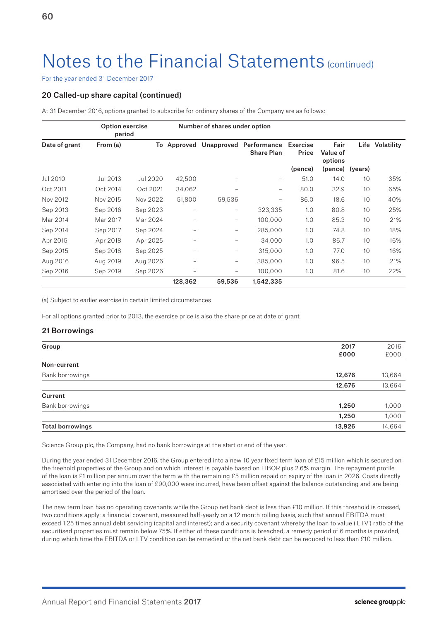For the year ended 31 December 2017

## 20 Called-up share capital (continued)

At 31 December 2016, options granted to subscribe for ordinary shares of the Company are as follows:

|               | <b>Option exercise</b><br>period |          |             | Number of shares under option |                                             |                              |                                                |      |            |
|---------------|----------------------------------|----------|-------------|-------------------------------|---------------------------------------------|------------------------------|------------------------------------------------|------|------------|
| Date of grant | From (a)                         |          | To Approved |                               | Unapproved Performance<br><b>Share Plan</b> | Exercise<br>Price<br>(pence) | Fair<br>Value of<br>options<br>(pence) (years) | Life | Volatility |
| Jul 2010      | Jul 2013                         | Jul 2020 | 42,500      |                               | -                                           | 51.0                         | 14.0                                           | 10   | 35%        |
| Oct 2011      | Oct 2014                         | Oct 2021 | 34,062      |                               | -                                           | 80.0                         | 32.9                                           | 10   | 65%        |
| Nov 2012      | Nov 2015                         | Nov 2022 | 51,800      | 59,536                        | -                                           | 86.0                         | 18.6                                           | 10   | 40%        |
| Sep 2013      | Sep 2016                         | Sep 2023 |             | -                             | 323,335                                     | 1.0                          | 80.8                                           | 10   | 25%        |
| Mar 2014      | Mar 2017                         | Mar 2024 | -           | -                             | 100,000                                     | 1.0                          | 85.3                                           | 10   | 21%        |
| Sep 2014      | Sep 2017                         | Sep 2024 | -           | -                             | 285,000                                     | 1.0                          | 74.8                                           | 10   | 18%        |
| Apr 2015      | Apr 2018                         | Apr 2025 |             | -                             | 34,000                                      | 1.0                          | 86.7                                           | 10   | 16%        |
| Sep 2015      | Sep 2018                         | Sep 2025 | -           | $\qquad \qquad -$             | 315,000                                     | 1.0                          | 77.0                                           | 10   | 16%        |
| Aug 2016      | Aug 2019                         | Aug 2026 | -           | -                             | 385,000                                     | 1.0                          | 96.5                                           | 10   | 21%        |
| Sep 2016      | Sep 2019                         | Sep 2026 | -           |                               | 100,000                                     | 1.0                          | 81.6                                           | 10   | 22%        |
|               |                                  |          | 128,362     | 59,536                        | 1,542,335                                   |                              |                                                |      |            |

(a) Subject to earlier exercise in certain limited circumstances

For all options granted prior to 2013, the exercise price is also the share price at date of grant

## 21 Borrowings

| Group                   | 2017   | 2016   |
|-------------------------|--------|--------|
|                         | £000   | £000   |
| Non-current             |        |        |
| Bank borrowings         | 12,676 | 13,664 |
|                         | 12,676 | 13,664 |
| Current                 |        |        |
| Bank borrowings         | 1,250  | 1,000  |
|                         | 1,250  | 1,000  |
| <b>Total borrowings</b> | 13,926 | 14,664 |

Science Group plc, the Company, had no bank borrowings at the start or end of the year.

During the year ended 31 December 2016, the Group entered into a new 10 year fixed term loan of £15 million which is secured on the freehold properties of the Group and on which interest is payable based on LIBOR plus 2.6% margin. The repayment profile of the loan is £1 million per annum over the term with the remaining £5 million repaid on expiry of the loan in 2026. Costs directly associated with entering into the loan of £90,000 were incurred, have been offset against the balance outstanding and are being amortised over the period of the loan.

The new term loan has no operating covenants while the Group net bank debt is less than £10 million. If this threshold is crossed, two conditions apply: a financial covenant, measured half-yearly on a 12 month rolling basis, such that annual EBITDA must exceed 1.25 times annual debt servicing (capital and interest); and a security covenant whereby the loan to value ('LTV') ratio of the securitised properties must remain below 75%. If either of these conditions is breached, a remedy period of 6 months is provided, during which time the EBITDA or LTV condition can be remedied or the net bank debt can be reduced to less than £10 million.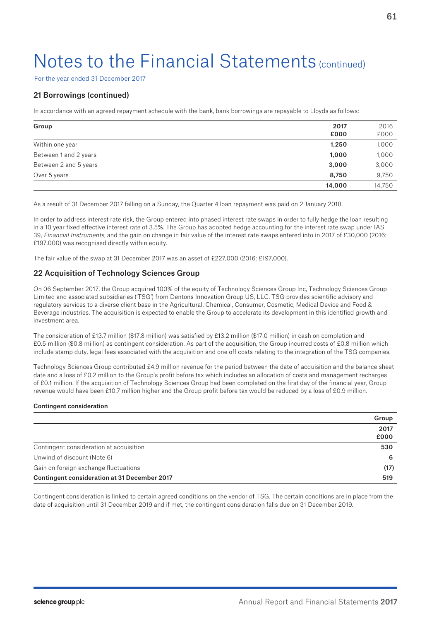For the year ended 31 December 2017

## 21 Borrowings (continued)

In accordance with an agreed repayment schedule with the bank, bank borrowings are repayable to Lloyds as follows:

| Group                 | 2017<br>£000 | 2016<br>£000 |
|-----------------------|--------------|--------------|
| Within one year       | 1,250        | 1,000        |
| Between 1 and 2 years | 1,000        | 1,000        |
| Between 2 and 5 years | 3,000        | 3,000        |
| Over 5 years          | 8,750        | 9,750        |
|                       | 14,000       | 14,750       |

As a result of 31 December 2017 falling on a Sunday, the Quarter 4 loan repayment was paid on 2 January 2018.

In order to address interest rate risk, the Group entered into phased interest rate swaps in order to fully hedge the loan resulting in a 10 year fixed effective interest rate of 3.5%. The Group has adopted hedge accounting for the interest rate swap under IAS 39, Financial Instruments, and the gain on change in fair value of the interest rate swaps entered into in 2017 of £30,000 (2016: £197,000) was recognised directly within equity.

The fair value of the swap at 31 December 2017 was an asset of £227,000 (2016: £197,000).

## 22 Acquisition of Technology Sciences Group

On 06 September 2017, the Group acquired 100% of the equity of Technology Sciences Group Inc, Technology Sciences Group Limited and associated subsidiaries ('TSG') from Dentons Innovation Group US, LLC. TSG provides scientific advisory and regulatory services to a diverse client base in the Agricultural, Chemical, Consumer, Cosmetic, Medical Device and Food & Beverage industries. The acquisition is expected to enable the Group to accelerate its development in this identified growth and investment area.

The consideration of £13.7 million (\$17.8 million) was satisfied by £13.2 million (\$17.0 million) in cash on completion and £0.5 million (\$0.8 million) as contingent consideration. As part of the acquisition, the Group incurred costs of £0.8 million which include stamp duty, legal fees associated with the acquisition and one off costs relating to the integration of the TSG companies.

Technology Sciences Group contributed £4.9 million revenue for the period between the date of acquisition and the balance sheet date and a loss of £0.2 million to the Group's profit before tax which includes an allocation of costs and management recharges of £0.1 million. If the acquisition of Technology Sciences Group had been completed on the first day of the financial year, Group revenue would have been £10.7 million higher and the Group profit before tax would be reduced by a loss of £0.9 million.

### Contingent consideration

|                                              | Group |
|----------------------------------------------|-------|
|                                              | 2017  |
|                                              | £000  |
| Contingent consideration at acquisition      | 530   |
| Unwind of discount (Note 6)                  | 6     |
| Gain on foreign exchange fluctuations        | (17)  |
| Contingent consideration at 31 December 2017 | 519   |

Contingent consideration is linked to certain agreed conditions on the vendor of TSG. The certain conditions are in place from the date of acquisition until 31 December 2019 and if met, the contingent consideration falls due on 31 December 2019.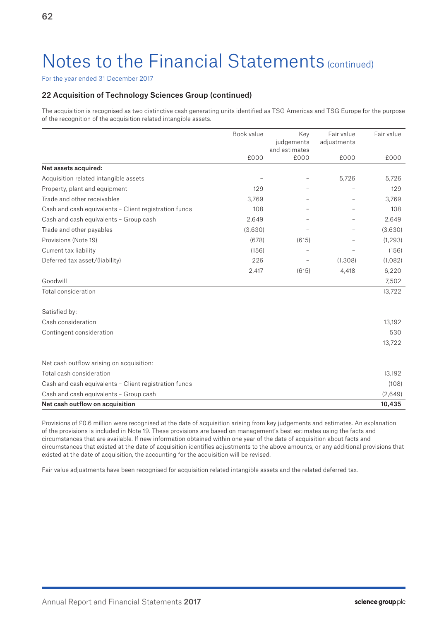For the year ended 31 December 2017

## 22 Acquisition of Technology Sciences Group (continued)

The acquisition is recognised as two distinctive cash generating units identified as TSG Americas and TSG Europe for the purpose of the recognition of the acquisition related intangible assets.

|                                                       | Book value | Key                      | Fair value  | Fair value |
|-------------------------------------------------------|------------|--------------------------|-------------|------------|
|                                                       |            | judgements               | adjustments |            |
|                                                       | £000       | and estimates<br>£000    | £000        | £000       |
| Net assets acquired:                                  |            |                          |             |            |
| Acquisition related intangible assets                 |            |                          | 5,726       | 5,726      |
| Property, plant and equipment                         | 129        |                          |             | 129        |
| Trade and other receivables                           | 3.769      |                          |             | 3,769      |
| Cash and cash equivalents - Client registration funds | 108        |                          |             | 108        |
| Cash and cash equivalents - Group cash                | 2,649      |                          |             | 2,649      |
| Trade and other payables                              | (3,630)    |                          |             | (3,630)    |
| Provisions (Note 19)                                  | (678)      | (615)                    |             | (1, 293)   |
| Current tax liability                                 | (156)      |                          |             | (156)      |
| Deferred tax asset/(liability)                        | 226        | $\overline{\phantom{m}}$ | (1, 308)    | (1,082)    |
|                                                       | 2,417      | (615)                    | 4,418       | 6,220      |
| Goodwill                                              |            |                          |             | 7,502      |
| Total consideration                                   |            |                          |             | 13,722     |
| Satisfied by:                                         |            |                          |             |            |
| Cash consideration                                    |            |                          |             | 13,192     |
| Contingent consideration                              |            |                          |             | 530        |
|                                                       |            |                          |             | 13,722     |
| Net cash outflow arising on acquisition:              |            |                          |             |            |
| Total cash consideration                              |            |                          |             | 13,192     |
| Cash and cash equivalents - Client registration funds |            |                          |             | (108)      |
| Cash and cash equivalents - Group cash                |            |                          |             | (2,649)    |
| Net cash outflow on acquisition                       |            |                          |             | 10,435     |

Provisions of £0.6 million were recognised at the date of acquisition arising from key judgements and estimates. An explanation of the provisions is included in Note 19. These provisions are based on management's best estimates using the facts and circumstances that are available. If new information obtained within one year of the date of acquisition about facts and circumstances that existed at the date of acquisition identifies adjustments to the above amounts, or any additional provisions that existed at the date of acquisition, the accounting for the acquisition will be revised.

Fair value adjustments have been recognised for acquisition related intangible assets and the related deferred tax.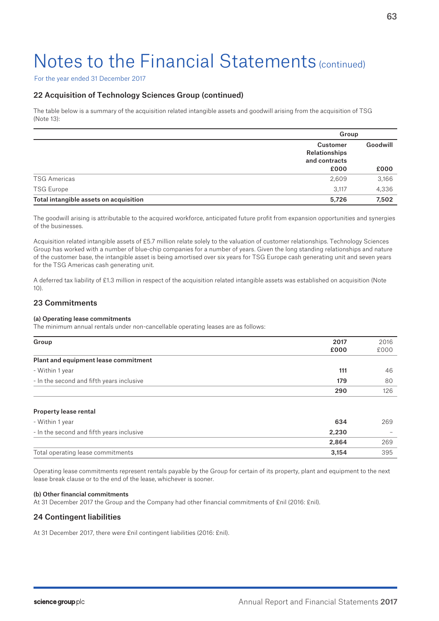For the year ended 31 December 2017

## 22 Acquisition of Technology Sciences Group (continued)

The table below is a summary of the acquisition related intangible assets and goodwill arising from the acquisition of TSG (Note 13):

|                                        | Group                                      |          |
|----------------------------------------|--------------------------------------------|----------|
|                                        | Customer<br>Relationships<br>and contracts | Goodwill |
|                                        | £000                                       | £000     |
| <b>TSG Americas</b>                    | 2,609                                      | 3,166    |
| <b>TSG Europe</b>                      | 3.117                                      | 4,336    |
| Total intangible assets on acquisition | 5,726                                      | 7,502    |

The goodwill arising is attributable to the acquired workforce, anticipated future profit from expansion opportunities and synergies of the businesses.

Acquisition related intangible assets of £5.7 million relate solely to the valuation of customer relationships. Technology Sciences Group has worked with a number of blue-chip companies for a number of years. Given the long standing relationships and nature of the customer base, the intangible asset is being amortised over six years for TSG Europe cash generating unit and seven years for the TSG Americas cash generating unit.

A deferred tax liability of £1.3 million in respect of the acquisition related intangible assets was established on acquisition (Note 10).

## 23 Commitments

### (a) Operating lease commitments

The minimum annual rentals under non-cancellable operating leases are as follows:

| Group                                     | 2017 | 2016 |
|-------------------------------------------|------|------|
|                                           | £000 | £000 |
| Plant and equipment lease commitment      |      |      |
| - Within 1 year                           | 111  | 46   |
| - In the second and fifth years inclusive | 179  | 80   |
|                                           | 290  | 126  |
|                                           |      |      |

### Property lease rental

| - Within 1 year                           | 634   | 269                      |
|-------------------------------------------|-------|--------------------------|
| - In the second and fifth years inclusive | 2.230 | $\overline{\phantom{a}}$ |
|                                           | 2.864 | 269                      |
| Total operating lease commitments         | 3.154 | 395                      |

Operating lease commitments represent rentals payable by the Group for certain of its property, plant and equipment to the next lease break clause or to the end of the lease, whichever is sooner.

### (b) Other financial commitments

At 31 December 2017 the Group and the Company had other financial commitments of £nil (2016: £nil).

## 24 Contingent liabilities

At 31 December 2017, there were £nil contingent liabilities (2016: £nil).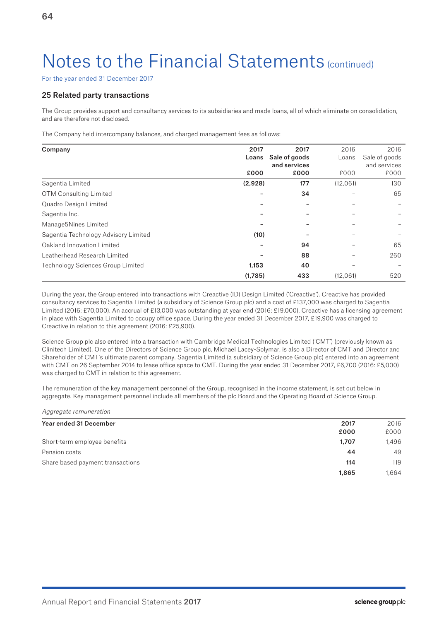For the year ended 31 December 2017

## 25 Related party transactions

The Group provides support and consultancy services to its subsidiaries and made loans, all of which eliminate on consolidation, and are therefore not disclosed.

The Company held intercompany balances, and charged management fees as follows:

| Company                              | 2017    | 2017          | 2016     | 2016          |
|--------------------------------------|---------|---------------|----------|---------------|
|                                      | Loans   | Sale of goods | Loans    | Sale of goods |
|                                      |         | and services  |          | and services  |
|                                      | £000    | £000          | £000     | £000          |
| Sagentia Limited                     | (2,928) | 177           | (12,061) | 130           |
| <b>OTM Consulting Limited</b>        |         | 34            |          | 65            |
| Quadro Design Limited                |         |               |          |               |
| Sagentia Inc.                        |         |               |          |               |
| Manage5Nines Limited                 |         |               |          |               |
| Sagentia Technology Advisory Limited | (10)    |               |          |               |
| Oakland Innovation Limited           |         | 94            |          | 65            |
| Leatherhead Research Limited         |         | 88            |          | 260           |
| Technology Sciences Group Limited    | 1,153   | 40            |          |               |
|                                      | (1,785) | 433           | (12,061) | 520           |

During the year, the Group entered into transactions with Creactive (ID) Design Limited ('Creactive'). Creactive has provided consultancy services to Sagentia Limited (a subsidiary of Science Group plc) and a cost of £137,000 was charged to Sagentia Limited (2016: £70,000). An accrual of £13,000 was outstanding at year end (2016: £19,000). Creactive has a licensing agreement in place with Sagentia Limited to occupy office space. During the year ended 31 December 2017, £19,900 was charged to Creactive in relation to this agreement (2016: £25,900).

Science Group plc also entered into a transaction with Cambridge Medical Technologies Limited ('CMT') (previously known as Clinitech Limited). One of the Directors of Science Group plc, Michael Lacey-Solymar, is also a Director of CMT and Director and Shareholder of CMT's ultimate parent company. Sagentia Limited (a subsidiary of Science Group plc) entered into an agreement with CMT on 26 September 2014 to lease office space to CMT. During the year ended 31 December 2017, £6,700 (2016: £5,000) was charged to CMT in relation to this agreement.

The remuneration of the key management personnel of the Group, recognised in the income statement, is set out below in aggregate. Key management personnel include all members of the plc Board and the Operating Board of Science Group.

Aggregate remuneration

| Year ended 31 December           | 2017  | 2016  |
|----------------------------------|-------|-------|
|                                  | £000  | £000  |
| Short-term employee benefits     | 1.707 | 1.496 |
| Pension costs                    | 44    | 49    |
| Share based payment transactions | 114   | 119   |
|                                  | 1,865 | 1.664 |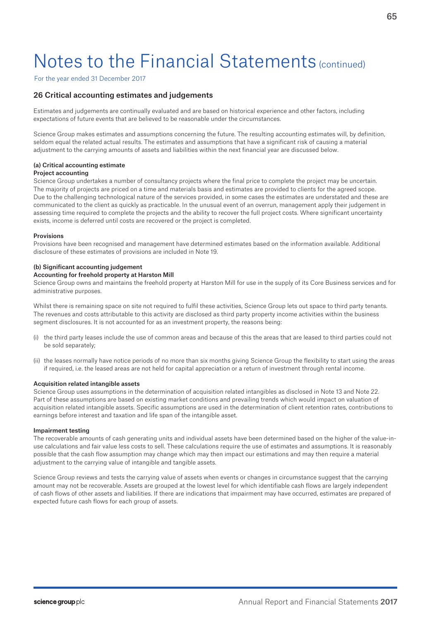For the year ended 31 December 2017

## 26 Critical accounting estimates and judgements

Estimates and judgements are continually evaluated and are based on historical experience and other factors, including expectations of future events that are believed to be reasonable under the circumstances.

Science Group makes estimates and assumptions concerning the future. The resulting accounting estimates will, by definition, seldom equal the related actual results. The estimates and assumptions that have a significant risk of causing a material adjustment to the carrying amounts of assets and liabilities within the next financial year are discussed below.

#### (a) Critical accounting estimate Project accounting

Science Group undertakes a number of consultancy projects where the final price to complete the project may be uncertain. The majority of projects are priced on a time and materials basis and estimates are provided to clients for the agreed scope. Due to the challenging technological nature of the services provided, in some cases the estimates are understated and these are communicated to the client as quickly as practicable. In the unusual event of an overrun, management apply their judgement in assessing time required to complete the projects and the ability to recover the full project costs. Where significant uncertainty exists, income is deferred until costs are recovered or the project is completed.

### Provisions

Provisions have been recognised and management have determined estimates based on the information available. Additional disclosure of these estimates of provisions are included in Note 19.

### (b) Significant accounting judgement

#### Accounting for freehold property at Harston Mill

Science Group owns and maintains the freehold property at Harston Mill for use in the supply of its Core Business services and for administrative purposes.

Whilst there is remaining space on site not required to fulfil these activities, Science Group lets out space to third party tenants. The revenues and costs attributable to this activity are disclosed as third party property income activities within the business segment disclosures. It is not accounted for as an investment property, the reasons being:

- (i) the third party leases include the use of common areas and because of this the areas that are leased to third parties could not be sold separately;
- (ii) the leases normally have notice periods of no more than six months giving Science Group the flexibility to start using the areas if required, i.e. the leased areas are not held for capital appreciation or a return of investment through rental income.

### Acquisition related intangible assets

Science Group uses assumptions in the determination of acquisition related intangibles as disclosed in Note 13 and Note 22. Part of these assumptions are based on existing market conditions and prevailing trends which would impact on valuation of acquisition related intangible assets. Specific assumptions are used in the determination of client retention rates, contributions to earnings before interest and taxation and life span of the intangible asset.

### Impairment testing

The recoverable amounts of cash generating units and individual assets have been determined based on the higher of the value-inuse calculations and fair value less costs to sell. These calculations require the use of estimates and assumptions. It is reasonably possible that the cash flow assumption may change which may then impact our estimations and may then require a material adjustment to the carrying value of intangible and tangible assets.

Science Group reviews and tests the carrying value of assets when events or changes in circumstance suggest that the carrying amount may not be recoverable. Assets are grouped at the lowest level for which identifiable cash flows are largely independent of cash flows of other assets and liabilities. If there are indications that impairment may have occurred, estimates are prepared of expected future cash flows for each group of assets.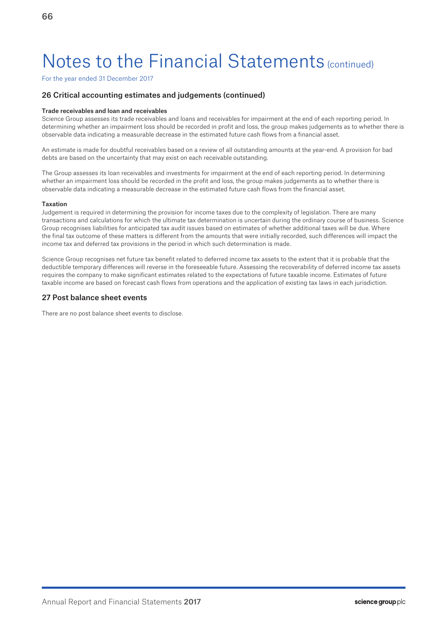For the year ended 31 December 2017

## 26 Critical accounting estimates and judgements (continued)

### Trade receivables and loan and receivables

Science Group assesses its trade receivables and loans and receivables for impairment at the end of each reporting period. In determining whether an impairment loss should be recorded in profit and loss, the group makes judgements as to whether there is observable data indicating a measurable decrease in the estimated future cash flows from a financial asset.

An estimate is made for doubtful receivables based on a review of all outstanding amounts at the year-end. A provision for bad debts are based on the uncertainty that may exist on each receivable outstanding.

The Group assesses its loan receivables and investments for impairment at the end of each reporting period. In determining whether an impairment loss should be recorded in the profit and loss, the group makes judgements as to whether there is observable data indicating a measurable decrease in the estimated future cash flows from the financial asset.

### Taxation

Judgement is required in determining the provision for income taxes due to the complexity of legislation. There are many transactions and calculations for which the ultimate tax determination is uncertain during the ordinary course of business. Science Group recognises liabilities for anticipated tax audit issues based on estimates of whether additional taxes will be due. Where the final tax outcome of these matters is different from the amounts that were initially recorded, such differences will impact the income tax and deferred tax provisions in the period in which such determination is made.

Science Group recognises net future tax benefit related to deferred income tax assets to the extent that it is probable that the deductible temporary differences will reverse in the foreseeable future. Assessing the recoverability of deferred income tax assets requires the company to make significant estimates related to the expectations of future taxable income. Estimates of future taxable income are based on forecast cash flows from operations and the application of existing tax laws in each jurisdiction.

### 27 Post balance sheet events

There are no post balance sheet events to disclose.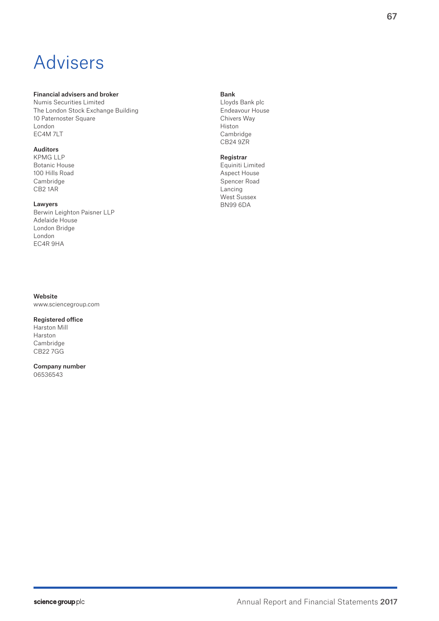# Advisers

### Financial advisers and broker

Numis Securities Limited The London Stock Exchange Building 10 Paternoster Square London EC4M 7LT

### Auditors

KPMG LL P Botanic House 100 Hills Road Cambridge CB2 1AR

### Lawyers

Berwin Leighton Paisner LLP Adelaide House London Bridge London EC4R 9HA

## Website

www.sciencegroup.com

## Registered office

Harston Mill Harston Cambridge CB22 7GG

## Company number

06536543

## Bank

Lloyds Bank plc Endeavour House Chivers Way Histon Cambridge CB24 9ZR

## Registrar

Equiniti Limited Aspect House Spencer Road Lancing West Sussex BN99 6DA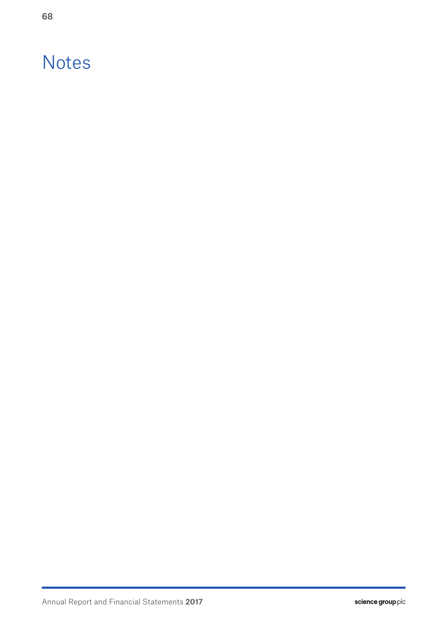## **Notes**